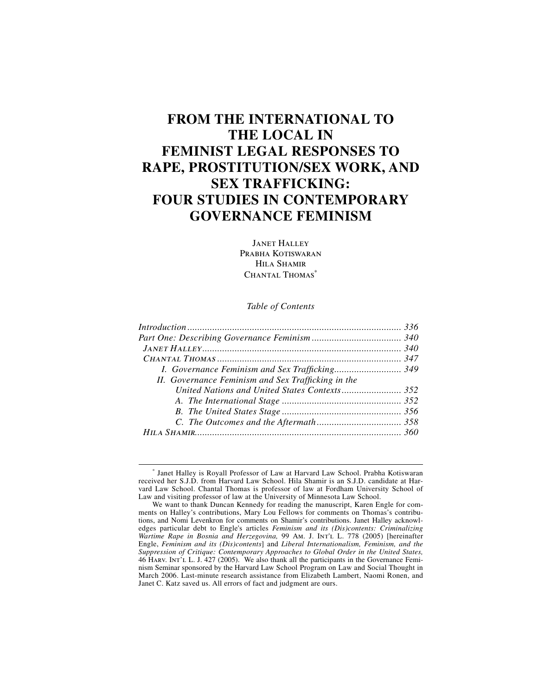# **FROM THE INTERNATIONAL TO THE LOCAL IN FEMINIST LEGAL RESPONSES TO RAPE, PROSTITUTION/SEX WORK, AND SEX TRAFFICKING: FOUR STUDIES IN CONTEMPORARY GOVERNANCE FEMINISM**

Janet Halley PRABHA KOTISWARAN Hila Shamir CHANTAL THOMAS<sup>\*</sup>

# *Table of Contents*

| II. Governance Feminism and Sex Trafficking in the |  |
|----------------------------------------------------|--|
|                                                    |  |
|                                                    |  |
|                                                    |  |
|                                                    |  |
|                                                    |  |
|                                                    |  |

<sup>∗</sup> Janet Halley is Royall Professor of Law at Harvard Law School. Prabha Kotiswaran received her S.J.D. from Harvard Law School. Hila Shamir is an S.J.D. candidate at Harvard Law School. Chantal Thomas is professor of law at Fordham University School of Law and visiting professor of law at the University of Minnesota Law School.

We want to thank Duncan Kennedy for reading the manuscript, Karen Engle for comments on Halley's contributions, Mary Lou Fellows for comments on Thomas's contributions, and Nomi Levenkron for comments on Shamir's contributions. Janet Halley acknowledges particular debt to Engle's articles *Feminism and its (Dis)contents: Criminalizing Wartime Rape in Bosnia and Herzegovina,* 99 Am. J. Int'l L. 778 (2005) [hereinafter Engle, *Feminism and its (Dis)contents*] and *Liberal Internationalism, Feminism, and the*  Suppression of Critique: Contemporary Approaches to Global Order in the United States,<br>46 Harv. Int'l L. J. 427 (2005). We also thank all the participants in the Governance Feminism Seminar sponsored by the Harvard Law School Program on Law and Social Thought in March 2006. Last-minute research assistance from Elizabeth Lambert, Naomi Ronen, and Janet C. Katz saved us. All errors of fact and judgment are ours.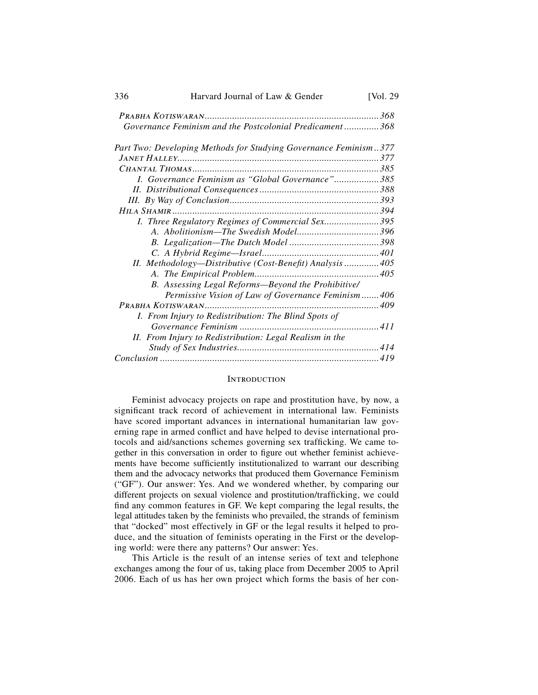| 336 | Harvard Journal of Law & Gender                                  | [Vol. $29$ |
|-----|------------------------------------------------------------------|------------|
|     |                                                                  |            |
|     | Governance Feminism and the Postcolonial Predicament368          |            |
|     | Part Two: Developing Methods for Studying Governance Feminism377 |            |
|     |                                                                  |            |
|     |                                                                  |            |
|     | I. Governance Feminism as "Global Governance"385                 |            |
|     |                                                                  |            |
|     |                                                                  |            |
|     |                                                                  |            |
|     | I. Three Regulatory Regimes of Commercial Sex395                 |            |
|     |                                                                  |            |
|     |                                                                  |            |
|     |                                                                  |            |
|     | II. Methodology—Distributive (Cost-Benefit) Analysis405          |            |
|     |                                                                  |            |
|     | B. Assessing Legal Reforms-Beyond the Prohibitive/               |            |
|     | Permissive Vision of Law of Governance Feminism406               |            |
|     |                                                                  |            |
|     | I. From Injury to Redistribution: The Blind Spots of             |            |
|     |                                                                  |            |
|     | II. From Injury to Redistribution: Legal Realism in the          |            |
|     |                                                                  |            |
|     |                                                                  |            |
|     |                                                                  |            |

#### **INTRODUCTION**

Feminist advocacy projects on rape and prostitution have, by now, a significant track record of achievement in international law. Feminists have scored important advances in international humanitarian law governing rape in armed conflict and have helped to devise international protocols and aid/sanctions schemes governing sex trafficking. We came together in this conversation in order to figure out whether feminist achievements have become sufficiently institutionalized to warrant our describing them and the advocacy networks that produced them Governance Feminism ("GF"). Our answer: Yes. And we wondered whether, by comparing our different projects on sexual violence and prostitution/trafficking, we could find any common features in GF. We kept comparing the legal results, the legal attitudes taken by the feminists who prevailed, the strands of feminism that "docked" most effectively in GF or the legal results it helped to produce, and the situation of feminists operating in the First or the developing world: were there any patterns? Our answer: Yes.

This Article is the result of an intense series of text and telephone exchanges among the four of us, taking place from December 2005 to April 2006. Each of us has her own project which forms the basis of her con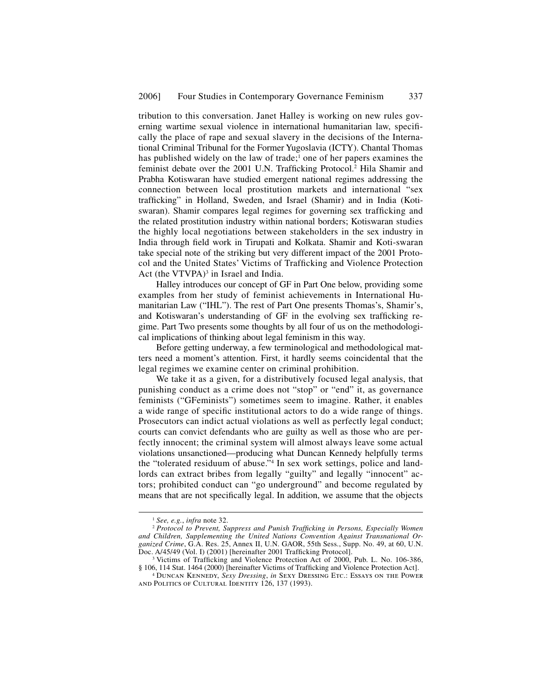tribution to this conversation. Janet Halley is working on new rules governing wartime sexual violence in international humanitarian law, specifically the place of rape and sexual slavery in the decisions of the International Criminal Tribunal for the Former Yugoslavia (ICTY). Chantal Thomas has published widely on the law of trade;<sup>1</sup> one of her papers examines the feminist debate over the 2001 U.N. Trafficking Protocol.<sup>2</sup> Hila Shamir and Prabha Kotiswaran have studied emergent national regimes addressing the connection between local prostitution markets and international "sex trafficking" in Holland, Sweden, and Israel (Shamir) and in India (Kotiswaran). Shamir compares legal regimes for governing sex trafficking and the related prostitution industry within national borders; Kotiswaran studies the highly local negotiations between stakeholders in the sex industry in India through field work in Tirupati and Kolkata. Shamir and Koti-swaran take special note of the striking but very different impact of the 2001 Protocol and the United States' Victims of Trafficking and Violence Protection Act (the VTVPA) $3$  in Israel and India.

Halley introduces our concept of GF in Part One below, providing some examples from her study of feminist achievements in International Humanitarian Law ("IHL"). The rest of Part One presents Thomas's, Shamir's, and Kotiswaran's understanding of GF in the evolving sex trafficking regime. Part Two presents some thoughts by all four of us on the methodological implications of thinking about legal feminism in this way.

Before getting underway, a few terminological and methodological matters need a moment's attention. First, it hardly seems coincidental that the legal regimes we examine center on criminal prohibition.

We take it as a given, for a distributively focused legal analysis, that punishing conduct as a crime does not "stop" or "end" it, as governance feminists ("GFeminists") sometimes seem to imagine. Rather, it enables a wide range of specific institutional actors to do a wide range of things. Prosecutors can indict actual violations as well as perfectly legal conduct; courts can convict defendants who are guilty as well as those who are perfectly innocent; the criminal system will almost always leave some actual violations unsanctioned—producing what Duncan Kennedy helpfully terms the "tolerated residuum of abuse."4 In sex work settings, police and landlords can extract bribes from legally "guilty" and legally "innocent" actors; prohibited conduct can "go underground" and become regulated by means that are not specifically legal. In addition, we assume that the objects

<sup>&</sup>lt;sup>1</sup> See, e.g., infra note 32.<br><sup>2</sup> Protocol to Prevent, Suppress and Punish Trafficking in Persons, Especially Women *and Children, Supplementing the United Nations Convention Against Transnational Organized Crime*, G.A. Res. 25, Annex II, U.N. GAOR, 55th Sess., Supp. No. 49, at 60, U.N. Doc. A/45/49 (Vol. I) (2001) [hereinafter 2001 Trafficking Protocol].

<sup>&</sup>lt;sup>3</sup> Victims of Trafficking and Violence Protection Act of 2000, Pub. L. No. 106-386, § 106, 114 Stat. 1464 (2000) [hereinafter Victims of Trafficking and Violence Protection Act].

<sup>&</sup>lt;sup>4</sup> DUNCAN KENNEDY, Sexy Dressing, in SEXY DRESSING ETC.: ESSAYS ON THE POWER and Politics of Cultural Identity 126, 137 (1993).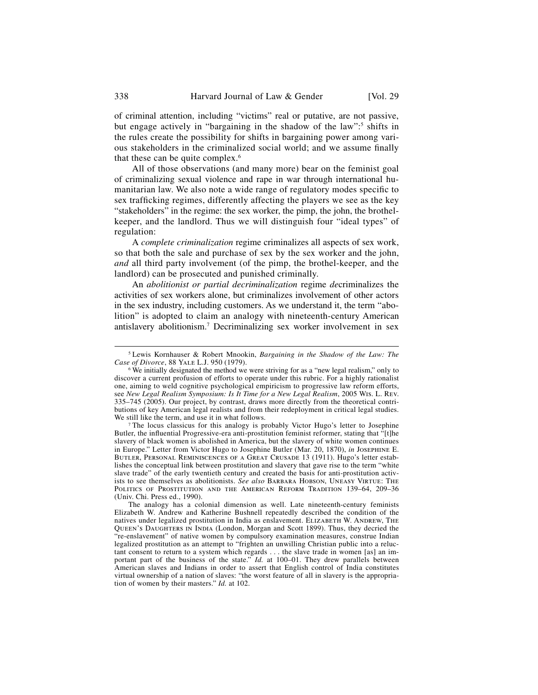of criminal attention, including "victims" real or putative, are not passive, but engage actively in "bargaining in the shadow of the law"<sup>5</sup> shifts in the rules create the possibility for shifts in bargaining power among various stakeholders in the criminalized social world; and we assume finally that these can be quite complex.6

All of those observations (and many more) bear on the feminist goal of criminalizing sexual violence and rape in war through international humanitarian law. We also note a wide range of regulatory modes specific to sex trafficking regimes, differently affecting the players we see as the key "stakeholders" in the regime: the sex worker, the pimp, the john, the brothelkeeper, and the landlord. Thus we will distinguish four "ideal types" of regulation:

A *complete criminalization* regime criminalizes all aspects of sex work, so that both the sale and purchase of sex by the sex worker and the john, *and* all third party involvement (of the pimp, the brothel-keeper, and the landlord) can be prosecuted and punished criminally.

An *abolitionist or partial decriminalization* regime *de*criminalizes the activities of sex workers alone, but criminalizes involvement of other actors in the sex industry, including customers. As we understand it, the term "abolition" is adopted to claim an analogy with nineteenth-century American antislavery abolitionism.7 Decriminalizing sex worker involvement in sex

<sup>7</sup> The locus classicus for this analogy is probably Victor Hugo's letter to Josephine Butler, the influential Progressive-era anti-prostitution feminist reformer, stating that "[t]he slavery of black women is abolished in America, but the slavery of white women continues in Europe." Letter from Victor Hugo to Josephine Butler (Mar. 20, 1870), *in* Josephine E. Butler, Personal Reminiscences of a Great Crusade 13 (1911). Hugo's letter establishes the conceptual link between prostitution and slavery that gave rise to the term "white slave trade" of the early twentieth century and created the basis for anti-prostitution activists to see themselves as abolitionists. *See also* Barbara Hobson, Uneasy Virtue: The POLITICS OF PROSTITUTION AND THE AMERICAN REFORM TRADITION 139-64, 209-36 (Univ. Chi. Press ed., 1990).

The analogy has a colonial dimension as well. Late nineteenth-century feminists Elizabeth W. Andrew and Katherine Bushnell repeatedly described the condition of the natives under legalized prostitution in India as enslavement. ELIZABETH W. ANDREW, THE Queen's Daughters in India (London, Morgan and Scott 1899). Thus, they decried the "re-enslavement" of native women by compulsory examination measures, construe Indian legalized prostitution as an attempt to "frighten an unwilling Christian public into a reluctant consent to return to a system which regards . . . the slave trade in women [as] an important part of the business of the state." *Id.* at 100–01. They drew parallels between American slaves and Indians in order to assert that English control of India constitutes virtual ownership of a nation of slaves: "the worst feature of all in slavery is the appropriation of women by their masters." *Id.* at 102.

 <sup>5</sup> Lewis Kornhauser & Robert Mnookin, *Bargaining in the Shadow of the Law: The* 

<sup>&</sup>lt;sup>6</sup> We initially designated the method we were striving for as a "new legal realism," only to discover a current profusion of efforts to operate under this rubric. For a highly rationalist one, aiming to weld cognitive psychological empiricism to progressive law reform efforts, see *New Legal Realism Symposium: Is It Time for a New Legal Realism*, 2005 Wis. L. Rev. 335–745 (2005). Our project, by contrast, draws more directly from the theoretical contributions of key American legal realists and from their redeployment in critical legal studies.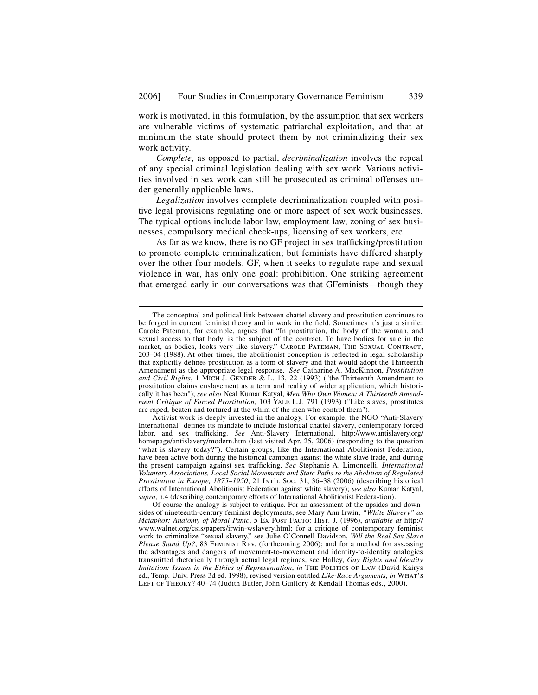work is motivated, in this formulation, by the assumption that sex workers are vulnerable victims of systematic patriarchal exploitation, and that at minimum the state should protect them by not criminalizing their sex work activity.

*Complete*, as opposed to partial, *decriminalization* involves the repeal of any special criminal legislation dealing with sex work. Various activities involved in sex work can still be prosecuted as criminal offenses under generally applicable laws.

*Legalization* involves complete decriminalization coupled with positive legal provisions regulating one or more aspect of sex work businesses. The typical options include labor law, employment law, zoning of sex businesses, compulsory medical check-ups, licensing of sex workers, etc.

As far as we know, there is no GF project in sex trafficking/prostitution to promote complete criminalization; but feminists have differed sharply over the other four models. GF, when it seeks to regulate rape and sexual violence in war, has only one goal: prohibition. One striking agreement that emerged early in our conversations was that GFeminists—though they

The conceptual and political link between chattel slavery and prostitution continues to be forged in current feminist theory and in work in the field. Sometimes it's just a simile: Carole Pateman, for example, argues that "In prostitution, the body of the woman, and sexual access to that body, is the subject of the contract. To have bodies for sale in the market, as bodies, looks very like slavery." CAROLE PATEMAN, THE SEXUAL CONTRACT,  $203-04$  (1988). At other times, the abolitionist conception is reflected in legal scholarship that explicitly defines prostitution as a form of slavery and that would adopt the Thirteenth Amendment as the appropriate legal response. *See* Catharine A. MacKinnon, *Prostitution and Civil Rights*, 1 MICH J. GENDER & L. 13, 22 (1993) ("the Thirteenth Amendment to prostitution claims enslavement as a term and reality of wider application, which historically it has been"); *see also* Neal Kumar Katyal, *Men Who Own Women: A Thirteenth Amendment Critique of Forced Prostitution*, 103 YALE L.J. 791 (1993) ("Like slaves, prostitutes are raped, beaten and tortured at the whim of the men who control them").

Activist work is deeply invested in the analogy. For example, the NGO "Anti-Slavery International" defines its mandate to include historical chattel slavery, contemporary forced labor, and sex trafficking. *See* Anti-Slavery International, http://www.antislavery.org/ homepage/antislavery/modern.htm (last visited Apr. 25, 2006) (responding to the question "what is slavery today?"). Certain groups, like the International Abolitionist Federation, have been active both during the historical campaign against the white slave trade, and during the present campaign against sex trafficking. See Stephanie A. Limoncelli, *International Voluntary Associations, Local Social Movements and State Paths to the Abolition of Regulated Prostitution in Europe, 1875–1950*, 21 Int'l Soc. 31, 36–38 (2006) (describing historical efforts of International Abolitionist Federation against white slavery); *see also* Kumar Katyal, *supra*, n.4 (describing contemporary efforts of International Abolitionist Federa-tion).

Of course the analogy is subject to critique. For an assessment of the upsides and downsides of nineteenth-century feminist deployments, see Mary Ann Irwin, *"White Slavery" as Metaphor: Anatomy of Moral Panic*, 5 Ex Post Facto: Hist. J. (1996), *available at* http:// www.walnet.org/csis/papers/irwin-wslavery.html; for a critique of contemporary feminist work to criminalize "sexual slavery," see Julie O'Connell Davidson, *Will the Real Sex Slave Please Stand Up?*, 83 FEMINIST REV. (forthcoming 2006); and for a method for assessing the advantages and dangers of movement-to-movement and identity-to-identity analogies transmitted rhetorically through actual legal regimes, see Halley, *Gay Rights and Identity Imitation: Issues in the Ethics of Representation, in* THE POLITICS OF LAW (David Kairys ed., Temp. Univ. Press 3d ed. 1998), revised version entitled *Like-Race Arguments*, *in* What's LEFT OF THEORY? 40-74 (Judith Butler, John Guillory & Kendall Thomas eds., 2000).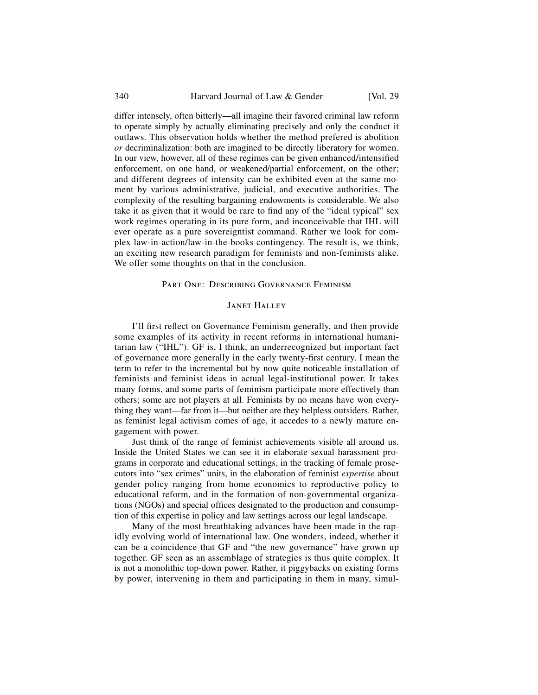#### 340 Harvard Journal of Law & Gender [Vol. 29]

differ intensely, often bitterly—all imagine their favored criminal law reform to operate simply by actually eliminating precisely and only the conduct it outlaws. This observation holds whether the method prefered is abolition *or* decriminalization: both are imagined to be directly liberatory for women. In our view, however, all of these regimes can be given enhanced/intensified enforcement, on one hand, or weakened/partial enforcement, on the other; and different degrees of intensity can be exhibited even at the same moment by various administrative, judicial, and executive authorities. The complexity of the resulting bargaining endowments is considerable. We also take it as given that it would be rare to find any of the "ideal typical" sex work regimes operating in its pure form, and inconceivable that IHL will ever operate as a pure sovereigntist command. Rather we look for complex law-in-action/law-in-the-books contingency. The result is, we think, an exciting new research paradigm for feminists and non-feminists alike. We offer some thoughts on that in the conclusion.

## Part One: Describing Governance Feminism

## **JANET HALLEY**

I'll first reflect on Governance Feminism generally, and then provide some examples of its activity in recent reforms in international humanitarian law ("IHL"). GF is, I think, an underrecognized but important fact of governance more generally in the early twenty-first century. I mean the term to refer to the incremental but by now quite noticeable installation of feminists and feminist ideas in actual legal-institutional power. It takes many forms, and some parts of feminism participate more effectively than others; some are not players at all. Feminists by no means have won everything they want—far from it—but neither are they helpless outsiders. Rather, as feminist legal activism comes of age, it accedes to a newly mature engagement with power.

Just think of the range of feminist achievements visible all around us. Inside the United States we can see it in elaborate sexual harassment programs in corporate and educational settings, in the tracking of female prosecutors into "sex crimes" units, in the elaboration of feminist *expertise* about gender policy ranging from home economics to reproductive policy to educational reform, and in the formation of non-governmental organizations (NGOs) and special offices designated to the production and consumption of this expertise in policy and law settings across our legal landscape.

Many of the most breathtaking advances have been made in the rapidly evolving world of international law. One wonders, indeed, whether it can be a coincidence that GF and "the new governance" have grown up together. GF seen as an assemblage of strategies is thus quite complex. It is not a monolithic top-down power. Rather, it piggybacks on existing forms by power, intervening in them and participating in them in many, simul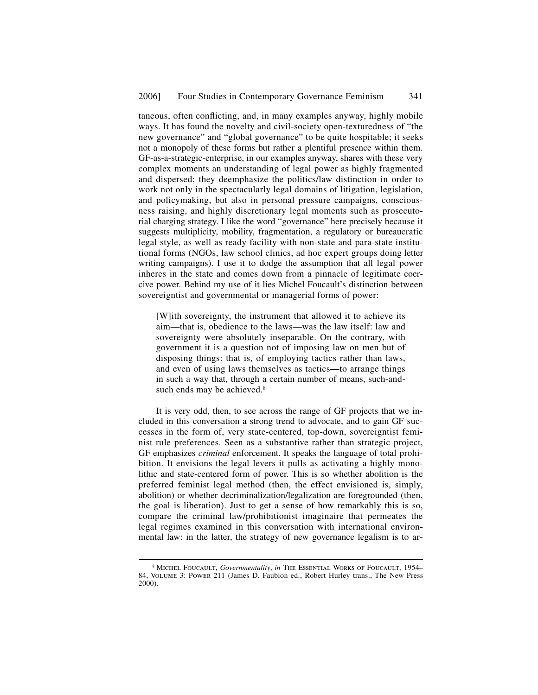taneous, often conflicting, and, in many examples anyway, highly mobile ways. It has found the novelty and civil-society open-texturedness of "the new governance" and "global governance" to be quite hospitable; it seeks not a monopoly of these forms but rather a plentiful presence within them. GF-as-a-strategic-enterprise, in our examples anyway, shares with these very complex moments an understanding of legal power as highly fragmented and dispersed; they deemphasize the politics/law distinction in order to work not only in the spectacularly legal domains of litigation, legislation, and policymaking, but also in personal pressure campaigns, consciousness raising, and highly discretionary legal moments such as prosecutorial charging strategy. I like the word "governance" here precisely because it suggests multiplicity, mobility, fragmentation, a regulatory or bureaucratic legal style, as well as ready facility with non-state and para-state institutional forms (NGOs, law school clinics, ad hoc expert groups doing letter writing campaigns). I use it to dodge the assumption that all legal power inheres in the state and comes down from a pinnacle of legitimate coercive power. Behind my use of it lies Michel Foucault's distinction between sovereigntist and governmental or managerial forms of power:

[W]ith sovereignty, the instrument that allowed it to achieve its aim—that is, obedience to the laws—was the law itself: law and sovereignty were absolutely inseparable. On the contrary, with government it is a question not of imposing law on men but of disposing things: that is, of employing tactics rather than laws, and even of using laws themselves as tactics—to arrange things in such a way that, through a certain number of means, such-andsuch ends may be achieved.<sup>8</sup>

It is very odd, then, to see across the range of GF projects that we included in this conversation a strong trend to advocate, and to gain GF successes in the form of, very state-centered, top-down, sovereigntist feminist rule preferences. Seen as a substantive rather than strategic project, GF emphasizes *criminal* enforcement. It speaks the language of total prohibition. It envisions the legal levers it pulls as activating a highly monolithic and state-centered form of power. This is so whether abolition is the preferred feminist legal method (then, the effect envisioned is, simply, abolition) or whether decriminalization/legalization are foregrounded (then, the goal is liberation). Just to get a sense of how remarkably this is so, compare the criminal law/prohibitionist imaginaire that permeates the legal regimes examined in this conversation with international environmental law: in the latter, the strategy of new governance legalism is to ar-

 <sup>8</sup> Michel Foucault, *Governmentality*, *in* The Essential Works of Foucault, 1954– 84, Volume 3: Power 211 (James D. Faubion ed., Robert Hurley trans., The New Press 2000).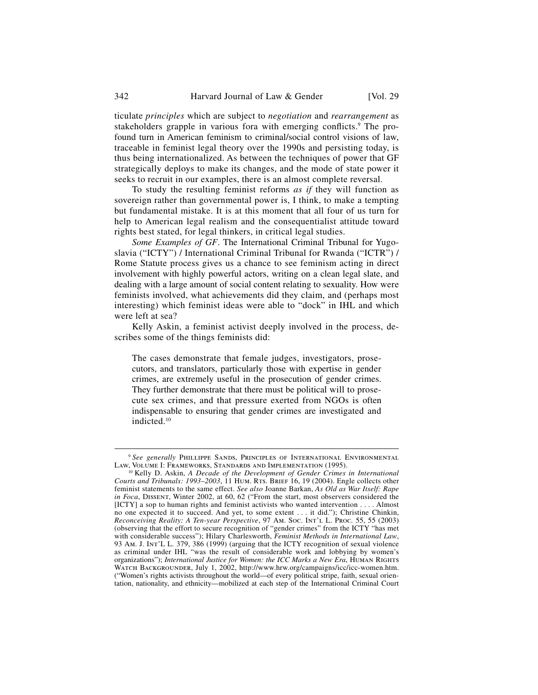ticulate *principles* which are subject to *negotiation* and *rearrangement* as stakeholders grapple in various fora with emerging conflicts.<sup>9</sup> The profound turn in American feminism to criminal/social control visions of law, traceable in feminist legal theory over the 1990s and persisting today, is thus being internationalized. As between the techniques of power that GF strategically deploys to make its changes, and the mode of state power it seeks to recruit in our examples, there is an almost complete reversal.

To study the resulting feminist reforms *as if* they will function as sovereign rather than governmental power is, I think, to make a tempting but fundamental mistake. It is at this moment that all four of us turn for help to American legal realism and the consequentialist attitude toward rights best stated, for legal thinkers, in critical legal studies.

*Some Examples of GF*. The International Criminal Tribunal for Yugoslavia ("ICTY") / International Criminal Tribunal for Rwanda ("ICTR") / Rome Statute process gives us a chance to see feminism acting in direct involvement with highly powerful actors, writing on a clean legal slate, and dealing with a large amount of social content relating to sexuality. How were feminists involved, what achievements did they claim, and (perhaps most interesting) which feminist ideas were able to "dock" in IHL and which were left at sea?

Kelly Askin, a feminist activist deeply involved in the process, describes some of the things feminists did:

The cases demonstrate that female judges, investigators, prosecutors, and translators, particularly those with expertise in gender crimes, are extremely useful in the prosecution of gender crimes. They further demonstrate that there must be political will to prosecute sex crimes, and that pressure exerted from NGOs is often indispensable to ensuring that gender crimes are investigated and indicted.10

<sup>&</sup>lt;sup>9</sup> *See generally* PHILLIPPE SANDS, PRINCIPLES OF INTERNATIONAL ENVIRONMENTAL LAW, VOLUME I: FRAMEWORKS, STANDARDS AND IMPLEMENTATION (1995).

<sup>&</sup>lt;sup>10</sup> Kelly D. Askin, A Decade of the Development of Gender Crimes in International *Courts and Tribunals: 1993–2003*, 11 Hum. Rts. Brief 16, 19 (2004). Engle collects other feminist statements to the same effect. *See also* Joanne Barkan, *As Old as War Itself: Rape in Foca*, Dissent, Winter 2002, at 60, 62 ("From the start, most observers considered the [ICTY] a sop to human rights and feminist activists who wanted intervention . . . . Almost no one expected it to succeed. And yet, to some extent . . . it did."); Christine Chinkin, *Reconceiving Reality: A Ten-year Perspective*, 97 Am. Soc. Int'l L. Proc*.* 55, 55 (2003) (observing that the effort to secure recognition of "gender crimes" from the ICTY "has met with considerable success"); Hilary Charlesworth, *Feminist Methods in International Law*, 93 Am. J. Int'L L*.* 379, 386 (1999) (arguing that the ICTY recognition of sexual violence as criminal under IHL "was the result of considerable work and lobbying by women's organizations"); *International Justice for Women: the ICC Marks a New Era*, HUMAN RIGHTS WATCH BACKGROUNDER, July 1, 2002, http://www.hrw.org/campaigns/icc/icc-women.htm. ("Women's rights activists throughout the world—of every political stripe, faith, sexual orientation, nationality, and ethnicity—mobilized at each step of the International Criminal Court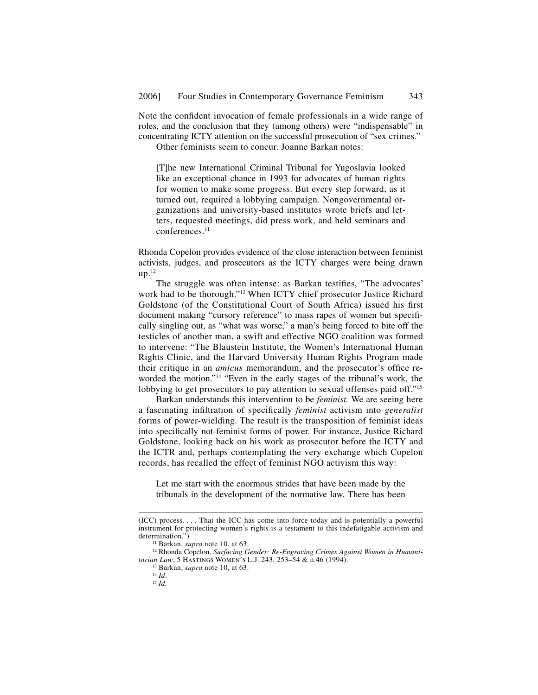Note the confident invocation of female professionals in a wide range of roles, and the conclusion that they (among others) were "indispensable" in concentrating ICTY attention on the successful prosecution of "sex crimes."

Other feminists seem to concur. Joanne Barkan notes:

[T]he new International Criminal Tribunal for Yugoslavia looked like an exceptional chance in 1993 for advocates of human rights for women to make some progress. But every step forward, as it turned out, required a lobbying campaign. Nongovernmental organizations and university-based institutes wrote briefs and letters, requested meetings, did press work, and held seminars and conferences.<sup>11</sup>

Rhonda Copelon provides evidence of the close interaction between feminist activists, judges, and prosecutors as the ICTY charges were being drawn  $up.<sup>12</sup>$ 

The struggle was often intense: as Barkan testifies, "The advocates' work had to be thorough."13 When ICTY chief prosecutor Justice Richard Goldstone (of the Constitutional Court of South Africa) issued his first document making "cursory reference" to mass rapes of women but specifically singling out, as "what was worse," a man's being forced to bite off the testicles of another man, a swift and effective NGO coalition was formed to intervene: "The Blaustein Institute, the Women's International Human Rights Clinic, and the Harvard University Human Rights Program made their critique in an *amicus* memorandum, and the prosecutor's office reworded the motion."14 "Even in the early stages of the tribunal's work, the lobbying to get prosecutors to pay attention to sexual offenses paid off."<sup>15</sup>

Barkan understands this intervention to be *feminist.* We are seeing here a fascinating infiltration of specifically *feminist* activism into *generalist* forms of power-wielding. The result is the transposition of feminist ideas into specifically not-feminist forms of power. For instance, Justice Richard Goldstone, looking back on his work as prosecutor before the ICTY and the ICTR and, perhaps contemplating the very exchange which Copelon records, has recalled the effect of feminist NGO activism this way:

Let me start with the enormous strides that have been made by the tribunals in the development of the normative law. There has been

j

<sup>(</sup>ICC) process. . . . That the ICC has come into force today and is potentially a powerful instrument for protecting women's rights is a testament to this indefatigable activism and

<sup>&</sup>lt;sup>11</sup> Barkan, *supra* note 10, at 63.<br><sup>12</sup> Rhonda Copelon, *Surfacing Gender: Re-Engraving Crimes Against Women in Humanitarian Law*, 5 HASTINGS WOMEN'S L.J. 243, 253–54 & n.46 (1994).<br>
<sup>13</sup> Barkan, *supra* note 10, at 63.<br>
<sup>14</sup> *Id.* 15 *Id.*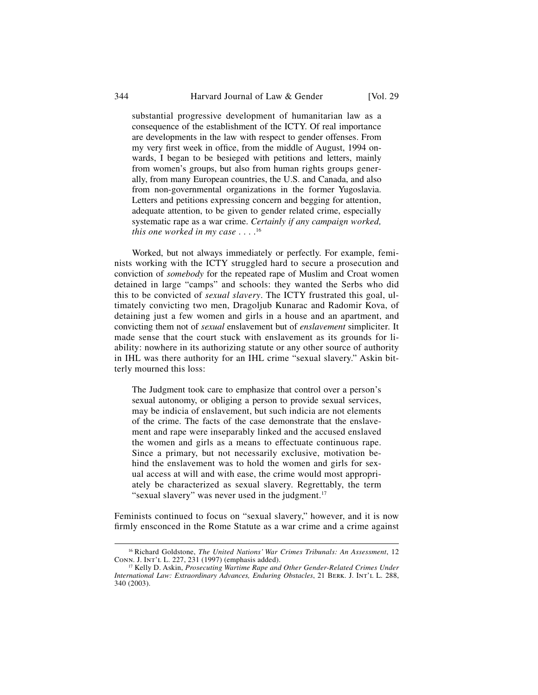substantial progressive development of humanitarian law as a consequence of the establishment of the ICTY. Of real importance are developments in the law with respect to gender offenses. From my very first week in office, from the middle of August, 1994 onwards, I began to be besieged with petitions and letters, mainly from women's groups, but also from human rights groups generally, from many European countries, the U.S. and Canada, and also from non-governmental organizations in the former Yugoslavia. Letters and petitions expressing concern and begging for attention, adequate attention, to be given to gender related crime, especially systematic rape as a war crime. *Certainly if any campaign worked, this one worked in my case* . . . .16

Worked, but not always immediately or perfectly. For example, feminists working with the ICTY struggled hard to secure a prosecution and conviction of *somebody* for the repeated rape of Muslim and Croat women detained in large "camps" and schools: they wanted the Serbs who did this to be convicted of *sexual slavery*. The ICTY frustrated this goal, ultimately convicting two men, Dragoljub Kunarac and Radomir Kova, of detaining just a few women and girls in a house and an apartment, and convicting them not of *sexual* enslavement but of *enslavement* simpliciter. It made sense that the court stuck with enslavement as its grounds for liability: nowhere in its authorizing statute or any other source of authority in IHL was there authority for an IHL crime "sexual slavery." Askin bitterly mourned this loss:

The Judgment took care to emphasize that control over a person's sexual autonomy, or obliging a person to provide sexual services, may be indicia of enslavement, but such indicia are not elements of the crime. The facts of the case demonstrate that the enslavement and rape were inseparably linked and the accused enslaved the women and girls as a means to effectuate continuous rape. Since a primary, but not necessarily exclusive, motivation behind the enslavement was to hold the women and girls for sexual access at will and with ease, the crime would most appropriately be characterized as sexual slavery. Regrettably, the term "sexual slavery" was never used in the judgment.<sup>17</sup>

Feminists continued to focus on "sexual slavery," however, and it is now firmly ensconced in the Rome Statute as a war crime and a crime against

<sup>&</sup>lt;sup>16</sup> Richard Goldstone, *The United Nations' War Crimes Tribunals: An Assessment*, 12 CONN. J. INT'L L. 227, 231 (1997) (emphasis added).

<sup>&</sup>lt;sup>17</sup> Kelly D. Askin, *Prosecuting Wartime Rape and Other Gender-Related Crimes Under International Law: Extraordinary Advances, Enduring Obstacles*, 21 Berk. J. Int'l L. 288, 340 (2003).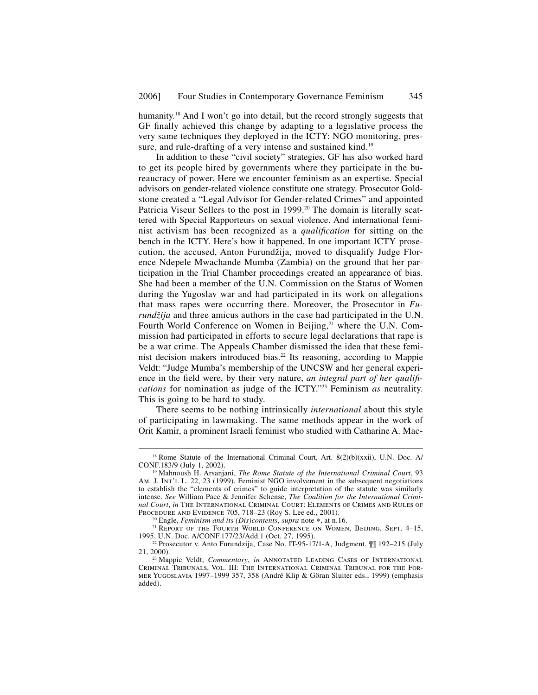humanity.<sup>18</sup> And I won't go into detail, but the record strongly suggests that GF finally achieved this change by adapting to a legislative process the very same techniques they deployed in the ICTY: NGO monitoring, pressure, and rule-drafting of a very intense and sustained kind.<sup>19</sup>

In addition to these "civil society" strategies, GF has also worked hard to get its people hired by governments where they participate in the bureaucracy of power. Here we encounter feminism as an expertise. Special advisors on gender-related violence constitute one strategy. Prosecutor Goldstone created a "Legal Advisor for Gender-related Crimes" and appointed Patricia Viseur Sellers to the post in 1999.<sup>20</sup> The domain is literally scattered with Special Rapporteurs on sexual violence. And international feminist activism has been recognized as a *qualification* for sitting on the bench in the ICTY. Here's how it happened. In one important ICTY prosecution, the accused, Anton Furundžija, moved to disqualify Judge Florence Ndepele Mwachande Mumba (Zambia) on the ground that her participation in the Trial Chamber proceedings created an appearance of bias. She had been a member of the U.N. Commission on the Status of Women during the Yugoslav war and had participated in its work on allegations that mass rapes were occurring there. Moreover, the Prosecutor in *Furundžija* and three amicus authors in the case had participated in the U.N. Fourth World Conference on Women in Beijing,<sup>21</sup> where the U.N. Commission had participated in efforts to secure legal declarations that rape is be a war crime. The Appeals Chamber dismissed the idea that these feminist decision makers introduced bias.22 Its reasoning, according to Mappie Veldt: "Judge Mumba's membership of the UNCSW and her general experience in the field were, by their very nature, *an integral part of her qualifications* for nomination as judge of the ICTY."23 Feminism *as* neutrality. This is going to be hard to study.

There seems to be nothing intrinsically *international* about this style of participating in lawmaking. The same methods appear in the work of Orit Kamir, a prominent Israeli feminist who studied with Catharine A. Mac-

<sup>&</sup>lt;sup>18</sup> Rome Statute of the International Criminal Court, Art. 8(2)(b)(xxii), U.N. Doc. A/ CONF.183/9 (July 1, 2002).

<sup>&</sup>lt;sup>19</sup> Mahnoush H. Arsanjani, *The Rome Statute of the International Criminal Court*, 93 AM. J. INT'L L. 22, 23 (1999). Feminist NGO involvement in the subsequent negotiations to establish the "elements of crimes" to guide interpretation of the statute was similarly intense. *See* William Pace & Jennifer Schense, *The Coalition for the International Criminal Court*, *in* The International Criminal Court: Elements of Crimes and Rules of Procedure and Evidence 705, 718–23 (Roy S. Lee ed., 2001).

<sup>&</sup>lt;sup>20</sup> Engle, *Feminism and its (Dis)contents*, *supra* note \*, at n.16.<br><sup>21</sup> REPORT OF THE FOURTH WORLD CONFERENCE ON WOMEN, BEIJING, SEPT. 4–15, 1995, U.N. Doc. A/CONF.177/23/Add.1 (Oct. 27, 1995).

<sup>&</sup>lt;sup>22</sup> Prosecutor v. Anto Furundzija, Case No. IT-95-17/1-A, Judgment,  $\int \int$  192–215 (July 21, 2000).

<sup>&</sup>lt;sup>23</sup> Mappie Veldt, *Commentary*, *in* ANNOTATED LEADING CASES OF INTERNATIONAL Criminal Tribunals, Vol. III: The International Criminal Tribunal for the Former Yugoslavia 1997–1999 357, 358 (André Klip & Göran Sluiter eds., 1999) (emphasis added).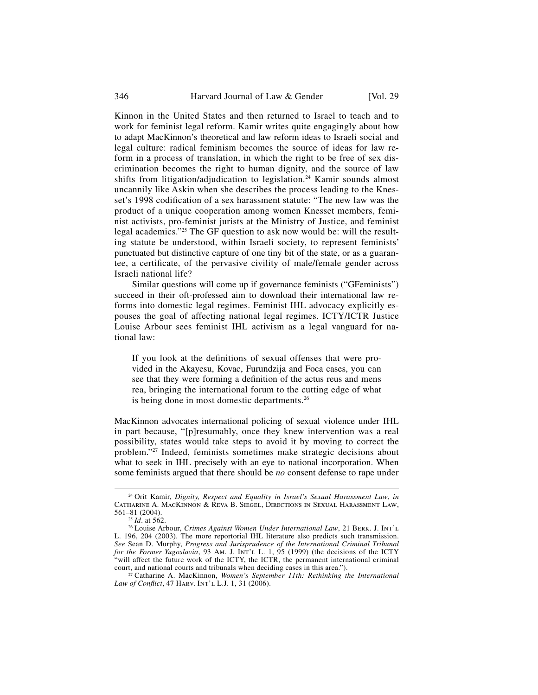346 Harvard Journal of Law & Gender [Vol. 29]

Kinnon in the United States and then returned to Israel to teach and to work for feminist legal reform. Kamir writes quite engagingly about how to adapt MacKinnon's theoretical and law reform ideas to Israeli social and legal culture: radical feminism becomes the source of ideas for law reform in a process of translation, in which the right to be free of sex discrimination becomes the right to human dignity, and the source of law shifts from litigation/adjudication to legislation.<sup>24</sup> Kamir sounds almost uncannily like Askin when she describes the process leading to the Knesset's 1998 codification of a sex harassment statute: "The new law was the product of a unique cooperation among women Knesset members, feminist activists, pro-feminist jurists at the Ministry of Justice, and feminist legal academics."<sup>25</sup> The GF question to ask now would be: will the resulting statute be understood, within Israeli society, to represent feminists' punctuated but distinctive capture of one tiny bit of the state, or as a guarantee, a certificate, of the pervasive civility of male/female gender across Israeli national life?

Similar questions will come up if governance feminists ("GFeminists") succeed in their oft-professed aim to download their international law reforms into domestic legal regimes. Feminist IHL advocacy explicitly espouses the goal of affecting national legal regimes. ICTY/ICTR Justice Louise Arbour sees feminist IHL activism as a legal vanguard for national law:

If you look at the definitions of sexual offenses that were provided in the Akayesu, Kovac, Furundzija and Foca cases, you can see that they were forming a definition of the actus reus and mens rea, bringing the international forum to the cutting edge of what is being done in most domestic departments.26

MacKinnon advocates international policing of sexual violence under IHL in part because, "[p]resumably, once they knew intervention was a real possibility, states would take steps to avoid it by moving to correct the problem."27 Indeed, feminists sometimes make strategic decisions about what to seek in IHL precisely with an eye to national incorporation. When some feminists argued that there should be *no* consent defense to rape under

 <sup>24</sup> Orit Kamir, *Dignity, Respect and Equality in Israel's Sexual Harassment Law*, *in*  Catharine A. MacKinnon & Reva B. Siegel, Directions in Sexual Harassment Law,

<sup>561–81 (2004). 25</sup> *Id*. at 562. 26 Louise Arbour, *Crimes Against Women Under International Law*, 21 Berk. J. Int'l L. 196, 204 (2003). The more reportorial IHL literature also predicts such transmission. *See* Sean D. Murphy, *Progress and Jurisprudence of the International Criminal Tribunal for the Former Yugoslavia*, 93 Am. J. Int'l L. 1, 95 (1999) (the decisions of the ICTY "will affect the future work of the ICTY, the ICTR, the permanent international criminal court, and national courts and tribunals when deciding cases in this area."). 27 Catharine A. MacKinnon, *Women's September 11th: Rethinking the International* 

*Law of Conflict*, 47 HARV. INT'L L.J. 1, 31 (2006).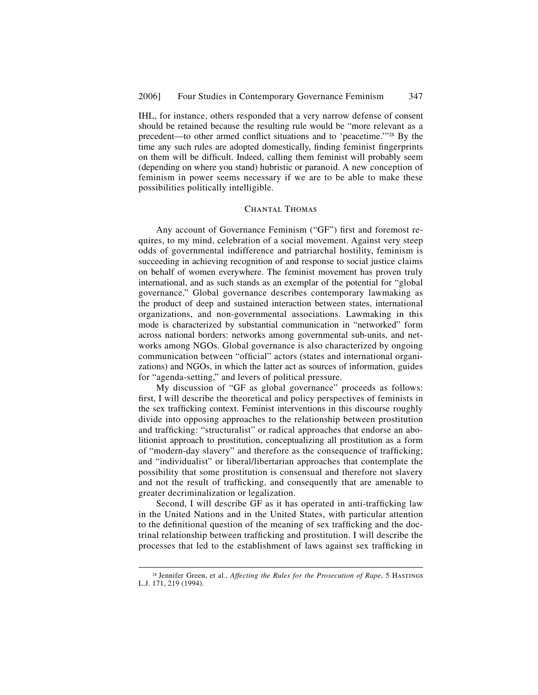IHL, for instance, others responded that a very narrow defense of consent should be retained because the resulting rule would be "more relevant as a precedent—to other armed conflict situations and to 'peacetime.'"<sup>28</sup> By the time any such rules are adopted domestically, finding feminist fingerprints on them will be difficult. Indeed, calling them feminist will probably seem (depending on where you stand) hubristic or paranoid. A new conception of feminism in power seems necessary if we are to be able to make these possibilities politically intelligible.

## CHANTAL THOMAS

Any account of Governance Feminism ("GF") first and foremost requires, to my mind, celebration of a social movement. Against very steep odds of governmental indifference and patriarchal hostility, feminism is succeeding in achieving recognition of and response to social justice claims on behalf of women everywhere. The feminist movement has proven truly international, and as such stands as an exemplar of the potential for "global governance." Global governance describes contemporary lawmaking as the product of deep and sustained interaction between states, international organizations, and non-governmental associations. Lawmaking in this mode is characterized by substantial communication in "networked" form across national borders: networks among governmental sub-units, and networks among NGOs. Global governance is also characterized by ongoing communication between "official" actors (states and international organizations) and NGOs, in which the latter act as sources of information, guides for "agenda-setting," and levers of political pressure.

My discussion of "GF as global governance" proceeds as follows: first, I will describe the theoretical and policy perspectives of feminists in the sex trafficking context. Feminist interventions in this discourse roughly divide into opposing approaches to the relationship between prostitution and trafficking: "structuralist" or radical approaches that endorse an abolitionist approach to prostitution, conceptualizing all prostitution as a form of "modern-day slavery" and therefore as the consequence of trafficking; and "individualist" or liberal/libertarian approaches that contemplate the possibility that some prostitution is consensual and therefore not slavery and not the result of trafficking, and consequently that are amenable to greater decriminalization or legalization.

Second, I will describe GF as it has operated in anti-trafficking law in the United Nations and in the United States, with particular attention to the definitional question of the meaning of sex trafficking and the doctrinal relationship between trafficking and prostitution. I will describe the processes that led to the establishment of laws against sex trafficking in

<sup>&</sup>lt;sup>28</sup> Jennifer Green, et al., *Affecting the Rules for the Prosecution of Rape*, 5 HASTINGS L.J. 171, 219 (1994).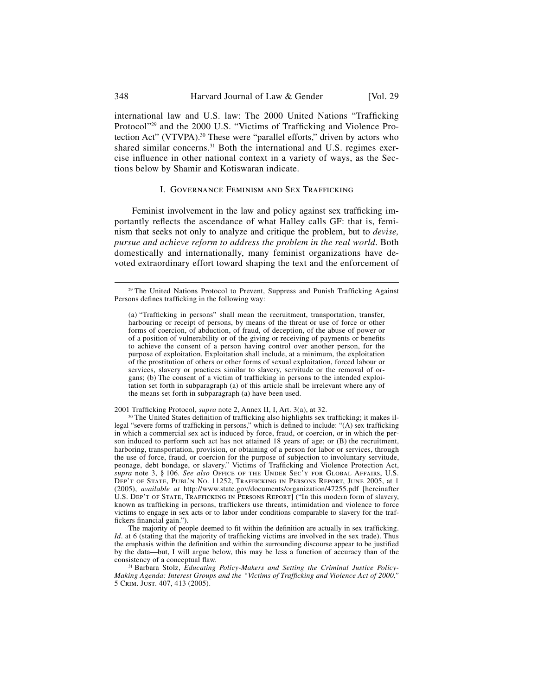international law and U.S. law: The 2000 United Nations "Trafficking Protocol"<sup>29</sup> and the 2000 U.S. "Victims of Trafficking and Violence Protection Act" (VTVPA).<sup>30</sup> These were "parallel efforts," driven by actors who shared similar concerns.<sup>31</sup> Both the international and U.S. regimes exercise influence in other national context in a variety of ways, as the Sections below by Shamir and Kotiswaran indicate.

#### I. GOVERNANCE FEMINISM AND SEX TRAFFICKING

Feminist involvement in the law and policy against sex trafficking importantly reflects the ascendance of what Halley calls GF: that is, feminism that seeks not only to analyze and critique the problem, but to *devise, pursue and achieve reform to address the problem in the real world*. Both domestically and internationally, many feminist organizations have devoted extraordinary effort toward shaping the text and the enforcement of

2001 Trafficking Protocol, *supra* note 2, Annex II, I, Art. 3(a), at 32.<br><sup>30</sup> The United States definition of trafficking also highlights sex trafficking; it makes illegal "severe forms of trafficking in persons," which is defined to include: "(A) sex trafficking in which a commercial sex act is induced by force, fraud, or coercion, or in which the person induced to perform such act has not attained 18 years of age; or (B) the recruitment, harboring, transportation, provision, or obtaining of a person for labor or services, through the use of force, fraud, or coercion for the purpose of subjection to involuntary servitude, peonage, debt bondage, or slavery." Victims of Trafficking and Violence Protection Act, *supra* note 3, § 106. *See also* Office of the Under Sec'y for GLOBAL Affairs, U.S. DEP'T OF STATE, PUBL'N NO. 11252, TRAFFICKING IN PERSONS REPORT, JUNE 2005, at 1 (2005), *available at* http://www.state.gov/documents/organization/47255.pdf [hereinafter U.S. DEP'T OF STATE, TRAFFICKING IN PERSONS REPORT] ("In this modern form of slavery, known as trafficking in persons, traffickers use threats, intimidation and violence to force victims to engage in sex acts or to labor under conditions comparable to slavery for the traffickers financial gain.").

The majority of people deemed to fit within the definition are actually in sex trafficking. *Id*. at 6 (stating that the majority of trafficking victims are involved in the sex trade). Thus the emphasis within the definition and within the surrounding discourse appear to be justified by the data—but, I will argue below, this may be less a function of accuracy than of the

<sup>31</sup> Barbara Stolz, *Educating Policy-Makers and Setting the Criminal Justice Policy-Making Agenda: Interest Groups and the "Victims of Trafficking and Violence Act of 2000,"* 5 Crim. Just. 407, 413 (2005).

<sup>&</sup>lt;sup>29</sup> The United Nations Protocol to Prevent, Suppress and Punish Trafficking Against Persons defines trafficking in the following way:

<sup>(</sup>a) "Trafficking in persons" shall mean the recruitment, transportation, transfer, harbouring or receipt of persons, by means of the threat or use of force or other forms of coercion, of abduction, of fraud, of deception, of the abuse of power or of a position of vulnerability or of the giving or receiving of payments or benefits to achieve the consent of a person having control over another person, for the purpose of exploitation. Exploitation shall include, at a minimum, the exploitation of the prostitution of others or other forms of sexual exploitation, forced labour or services, slavery or practices similar to slavery, servitude or the removal of organs; (b) The consent of a victim of trafficking in persons to the intended exploitation set forth in subparagraph (a) of this article shall be irrelevant where any of the means set forth in subparagraph (a) have been used.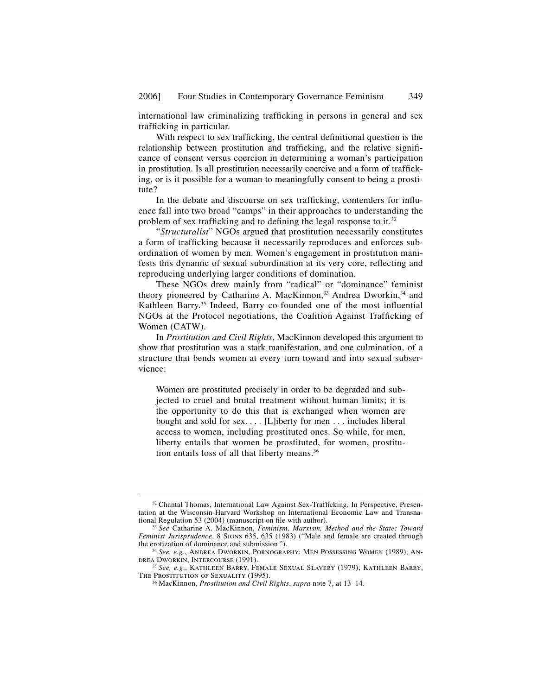international law criminalizing trafficking in persons in general and sex trafficking in particular.

With respect to sex trafficking, the central definitional question is the relationship between prostitution and trafficking, and the relative significance of consent versus coercion in determining a woman's participation in prostitution. Is all prostitution necessarily coercive and a form of trafficking, or is it possible for a woman to meaningfully consent to being a prostitute?

In the debate and discourse on sex trafficking, contenders for influence fall into two broad "camps" in their approaches to understanding the problem of sex trafficking and to defining the legal response to it. $32$ 

"*Structuralist*" NGOs argued that prostitution necessarily constitutes a form of trafficking because it necessarily reproduces and enforces subordination of women by men. Women's engagement in prostitution manifests this dynamic of sexual subordination at its very core, reflecting and reproducing underlying larger conditions of domination.

These NGOs drew mainly from "radical" or "dominance" feminist theory pioneered by Catharine A. MacKinnon,<sup>33</sup> Andrea Dworkin,<sup>34</sup> and Kathleen Barry.<sup>35</sup> Indeed, Barry co-founded one of the most influential NGOs at the Protocol negotiations, the Coalition Against Trafficking of Women (CATW).

In *Prostitution and Civil Rights*, MacKinnon developed this argument to show that prostitution was a stark manifestation, and one culmination, of a structure that bends women at every turn toward and into sexual subservience:

Women are prostituted precisely in order to be degraded and subjected to cruel and brutal treatment without human limits; it is the opportunity to do this that is exchanged when women are bought and sold for sex. . . . [L]iberty for men . . . includes liberal access to women, including prostituted ones. So while, for men, liberty entails that women be prostituted, for women, prostitution entails loss of all that liberty means.<sup>36</sup>

<sup>35</sup> See, e.g., Kathleen Barry, Female Sexual Slavery (1979); Kathleen Barry, The Prostitution of Sexuality (1995).

 $32$  Chantal Thomas, International Law Against Sex-Trafficking, In Perspective, Presentation at the Wisconsin-Harvard Workshop on International Economic Law and Transna-

tional Regulation 53 (2004) (manuscript on ªle with author). 33 *See* Catharine A. MacKinnon, *Feminism, Marxism, Method and the State: Toward Feminist Jurisprudence*, 8 SIGNs 635, 635 (1983) ("Male and female are created through the erotization of dominance and submission.").

<sup>&</sup>lt;sup>34</sup> See, e.g., Andrea Dworkin, Pornography: Men Possessing Women (1989); Andrea Dworkin, Intercourse (1991).

<sup>&</sup>lt;sup>36</sup> MacKinnon, *Prostitution and Civil Rights*, *supra* note 7, at 13–14.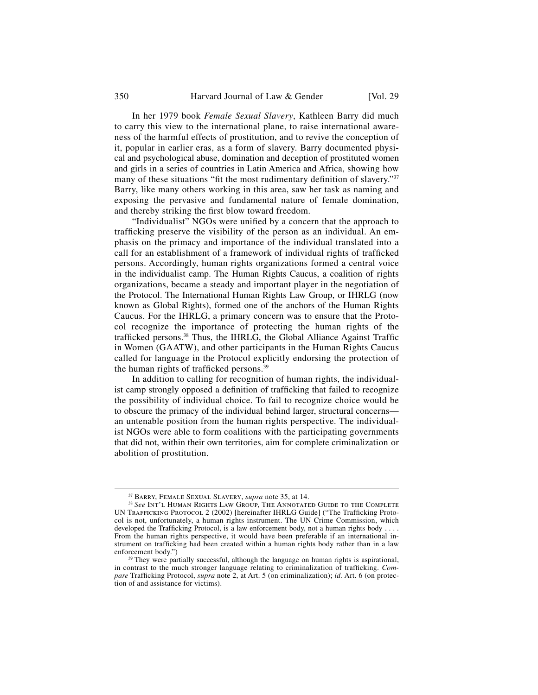In her 1979 book *Female Sexual Slavery*, Kathleen Barry did much to carry this view to the international plane, to raise international awareness of the harmful effects of prostitution, and to revive the conception of it, popular in earlier eras, as a form of slavery. Barry documented physical and psychological abuse, domination and deception of prostituted women and girls in a series of countries in Latin America and Africa, showing how many of these situations "fit the most rudimentary definition of slavery."<sup>37</sup> Barry, like many others working in this area, saw her task as naming and exposing the pervasive and fundamental nature of female domination, and thereby striking the first blow toward freedom.

"Individualist" NGOs were unified by a concern that the approach to trafficking preserve the visibility of the person as an individual. An emphasis on the primacy and importance of the individual translated into a call for an establishment of a framework of individual rights of trafficked persons. Accordingly, human rights organizations formed a central voice in the individualist camp. The Human Rights Caucus, a coalition of rights organizations, became a steady and important player in the negotiation of the Protocol. The International Human Rights Law Group, or IHRLG (now known as Global Rights), formed one of the anchors of the Human Rights Caucus. For the IHRLG, a primary concern was to ensure that the Protocol recognize the importance of protecting the human rights of the trafficked persons.<sup>38</sup> Thus, the IHRLG, the Global Alliance Against Traffic in Women (GAATW), and other participants in the Human Rights Caucus called for language in the Protocol explicitly endorsing the protection of the human rights of trafficked persons.<sup>39</sup>

In addition to calling for recognition of human rights, the individualist camp strongly opposed a definition of trafficking that failed to recognize the possibility of individual choice. To fail to recognize choice would be to obscure the primacy of the individual behind larger, structural concerns an untenable position from the human rights perspective. The individualist NGOs were able to form coalitions with the participating governments that did not, within their own territories, aim for complete criminalization or abolition of prostitution.

<sup>&</sup>lt;sup>37</sup> Barry, Female Sexual Slavery, *supra* note 35, at 14.<br><sup>38</sup> See Int'l Human Rights Law Group, The Annotated Guide to the Complete UN TRAFFICKING PROTOCOL 2 (2002) [hereinafter IHRLG Guide] ("The Trafficking Protocol is not, unfortunately, a human rights instrument. The UN Crime Commission, which developed the Trafficking Protocol, is a law enforcement body, not a human rights body  $\dots$ . From the human rights perspective, it would have been preferable if an international instrument on trafficking had been created within a human rights body rather than in a law enforcement body.")

<sup>&</sup>lt;sup>39</sup> They were partially successful, although the language on human rights is aspirational, in contrast to the much stronger language relating to criminalization of trafficking. *Compare* Trafficking Protocol, *supra* note 2, at Art. 5 (on criminalization); *id.* Art. 6 (on protection of and assistance for victims).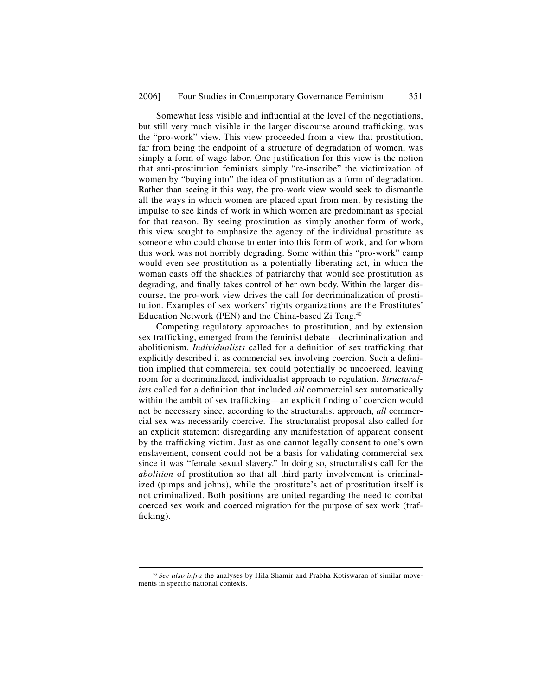Somewhat less visible and influential at the level of the negotiations, but still very much visible in the larger discourse around trafficking, was the "pro-work" view. This view proceeded from a view that prostitution, far from being the endpoint of a structure of degradation of women, was simply a form of wage labor. One justification for this view is the notion that anti-prostitution feminists simply "re-inscribe" the victimization of women by "buying into" the idea of prostitution as a form of degradation. Rather than seeing it this way, the pro-work view would seek to dismantle all the ways in which women are placed apart from men, by resisting the impulse to see kinds of work in which women are predominant as special for that reason. By seeing prostitution as simply another form of work, this view sought to emphasize the agency of the individual prostitute as someone who could choose to enter into this form of work, and for whom this work was not horribly degrading. Some within this "pro-work" camp would even see prostitution as a potentially liberating act, in which the woman casts off the shackles of patriarchy that would see prostitution as degrading, and finally takes control of her own body. Within the larger discourse, the pro-work view drives the call for decriminalization of prostitution. Examples of sex workers' rights organizations are the Prostitutes' Education Network (PEN) and the China-based Zi Teng.<sup>40</sup>

Competing regulatory approaches to prostitution, and by extension sex trafficking, emerged from the feminist debate—decriminalization and abolitionism. *Individualists* called for a definition of sex trafficking that explicitly described it as commercial sex involving coercion. Such a definition implied that commercial sex could potentially be uncoerced, leaving room for a decriminalized, individualist approach to regulation. *Structuralists* called for a definition that included *all* commercial sex automatically within the ambit of sex trafficking—an explicit finding of coercion would not be necessary since, according to the structuralist approach, *all* commercial sex was necessarily coercive. The structuralist proposal also called for an explicit statement disregarding any manifestation of apparent consent by the trafficking victim. Just as one cannot legally consent to one's own enslavement, consent could not be a basis for validating commercial sex since it was "female sexual slavery." In doing so, structuralists call for the *abolition* of prostitution so that all third party involvement is criminalized (pimps and johns), while the prostitute's act of prostitution itself is not criminalized. Both positions are united regarding the need to combat coerced sex work and coerced migration for the purpose of sex work (trafficking).

 <sup>40</sup> *See also infra* the analyses by Hila Shamir and Prabha Kotiswaran of similar movements in specific national contexts.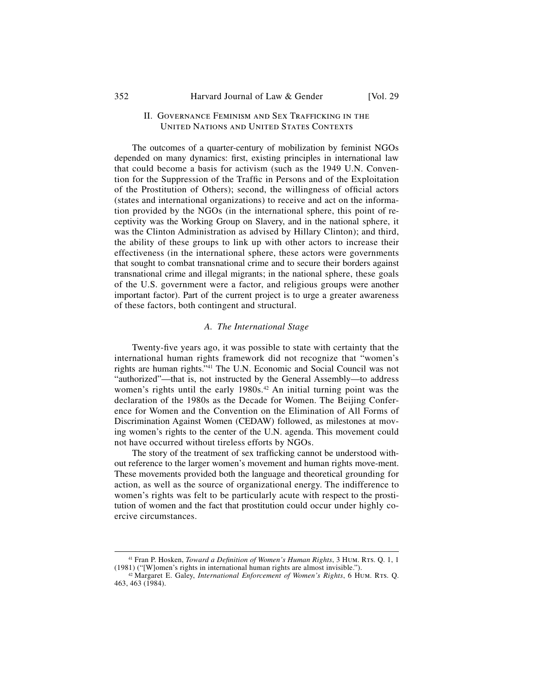# II. GOVERNANCE FEMINISM AND SEX TRAFFICKING IN THE United Nations and United States Contexts

The outcomes of a quarter-century of mobilization by feminist NGOs depended on many dynamics: first, existing principles in international law that could become a basis for activism (such as the 1949 U.N. Convention for the Suppression of the Traffic in Persons and of the Exploitation of the Prostitution of Others); second, the willingness of official actors (states and international organizations) to receive and act on the information provided by the NGOs (in the international sphere, this point of receptivity was the Working Group on Slavery, and in the national sphere, it was the Clinton Administration as advised by Hillary Clinton); and third, the ability of these groups to link up with other actors to increase their effectiveness (in the international sphere, these actors were governments that sought to combat transnational crime and to secure their borders against transnational crime and illegal migrants; in the national sphere, these goals of the U.S. government were a factor, and religious groups were another important factor). Part of the current project is to urge a greater awareness of these factors, both contingent and structural.

#### *A. The International Stage*

Twenty-five years ago, it was possible to state with certainty that the international human rights framework did not recognize that "women's rights are human rights."41 The U.N. Economic and Social Council was not "authorized"—that is, not instructed by the General Assembly—to address women's rights until the early 1980s.<sup>42</sup> An initial turning point was the declaration of the 1980s as the Decade for Women. The Beijing Conference for Women and the Convention on the Elimination of All Forms of Discrimination Against Women (CEDAW) followed, as milestones at moving women's rights to the center of the U.N. agenda. This movement could not have occurred without tireless efforts by NGOs.

The story of the treatment of sex trafficking cannot be understood without reference to the larger women's movement and human rights move-ment. These movements provided both the language and theoretical grounding for action, as well as the source of organizational energy. The indifference to women's rights was felt to be particularly acute with respect to the prostitution of women and the fact that prostitution could occur under highly coercive circumstances.

<sup>&</sup>lt;sup>41</sup> Fran P. Hosken, *Toward a Definition of Women's Human Rights*, 3 HUM. RTs. Q. 1, 1 (1981) ("[W]omen's rights in international human rights are almost invisible.").

<sup>&</sup>lt;sup>42</sup> Margaret E. Galey, *International Enforcement of Women's Rights*, 6 Hum. Rts. Q. 463, 463 (1984).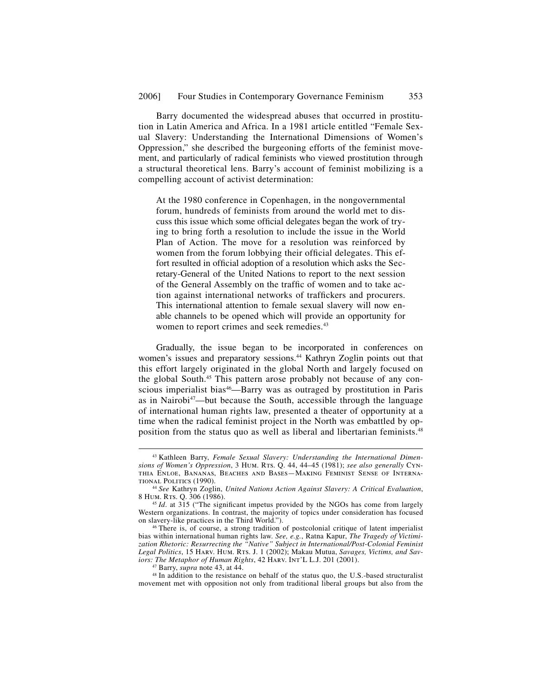Barry documented the widespread abuses that occurred in prostitution in Latin America and Africa. In a 1981 article entitled "Female Sexual Slavery: Understanding the International Dimensions of Women's Oppression," she described the burgeoning efforts of the feminist movement, and particularly of radical feminists who viewed prostitution through a structural theoretical lens. Barry's account of feminist mobilizing is a compelling account of activist determination:

At the 1980 conference in Copenhagen, in the nongovernmental forum, hundreds of feminists from around the world met to discuss this issue which some official delegates began the work of trying to bring forth a resolution to include the issue in the World Plan of Action. The move for a resolution was reinforced by women from the forum lobbying their official delegates. This effort resulted in official adoption of a resolution which asks the Secretary-General of the United Nations to report to the next session of the General Assembly on the traffic of women and to take action against international networks of traffickers and procurers. This international attention to female sexual slavery will now enable channels to be opened which will provide an opportunity for women to report crimes and seek remedies.<sup>43</sup>

Gradually, the issue began to be incorporated in conferences on women's issues and preparatory sessions.<sup>44</sup> Kathryn Zoglin points out that this effort largely originated in the global North and largely focused on the global South.45 This pattern arose probably not because of any conscious imperialist bias<sup>46</sup>—Barry was as outraged by prostitution in Paris as in Nairobi $47$ —but because the South, accessible through the language of international human rights law, presented a theater of opportunity at a time when the radical feminist project in the North was embattled by opposition from the status quo as well as liberal and libertarian feminists.48

 <sup>43</sup> Kathleen Barry, *Female Sexual Slavery: Understanding the International Dimensions of Women's Oppression*, 3 Hum. Rts. Q. 44, 44–45 (1981); *see also generally* Cynthia Enloe, Bananas, Beaches and Bases—Making Feminist Sense of Interna-

<sup>&</sup>lt;sup>44</sup> *See* Kathryn Zoglin, *United Nations Action Against Slavery: A Critical Evaluation,* 8 Hum. RTs. O. 306 (1986).

<sup>&</sup>lt;sup>45</sup> *Id.* at 315 ("The significant impetus provided by the NGOs has come from largely Western organizations. In contrast, the majority of topics under consideration has focused on slavery-like practices in the Third World.").

 $46$  There is, of course, a strong tradition of postcolonial critique of latent imperialist bias within international human rights law. *See, e.g.*, Ratna Kapur, *The Tragedy of Victimization Rhetoric: Resurrecting the "Native" Subject in International/Post-Colonial Feminist*  Legal Politics, 15 HARV. HUM. RTS. J. 1 (2002); Makau Mutua, *Savages, Victims, and Saviors: The Metaphor of Human Rights*, 42 HARV. INT'L L.J. 201 (2001).

<sup>&</sup>lt;sup>47</sup> Barry, *supra* note 43, at 44.<br><sup>48</sup> In addition to the resistance on behalf of the status quo, the U.S.-based structuralist movement met with opposition not only from traditional liberal groups but also from the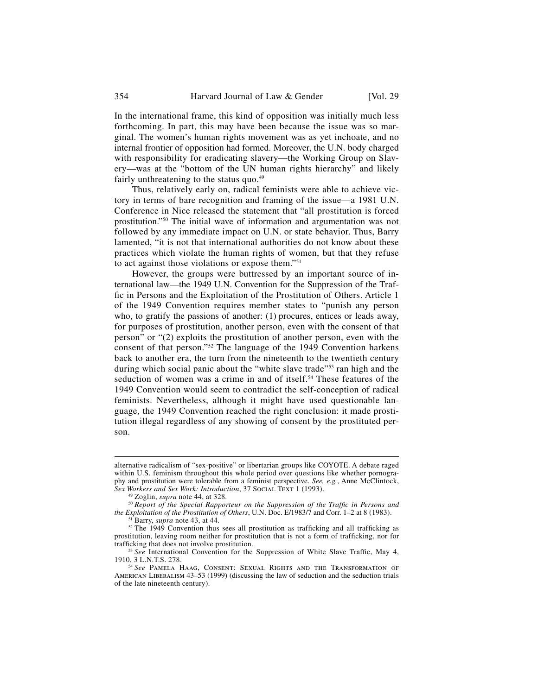In the international frame, this kind of opposition was initially much less forthcoming. In part, this may have been because the issue was so marginal. The women's human rights movement was as yet inchoate, and no internal frontier of opposition had formed. Moreover, the U.N. body charged with responsibility for eradicating slavery—the Working Group on Slavery—was at the "bottom of the UN human rights hierarchy" and likely fairly unthreatening to the status quo. $49$ 

Thus, relatively early on, radical feminists were able to achieve victory in terms of bare recognition and framing of the issue—a 1981 U.N. Conference in Nice released the statement that "all prostitution is forced prostitution."50 The initial wave of information and argumentation was not followed by any immediate impact on U.N. or state behavior. Thus, Barry lamented, "it is not that international authorities do not know about these practices which violate the human rights of women, but that they refuse to act against those violations or expose them."51

However, the groups were buttressed by an important source of international law—the 1949 U.N. Convention for the Suppression of the Traffic in Persons and the Exploitation of the Prostitution of Others. Article 1 of the 1949 Convention requires member states to "punish any person who, to gratify the passions of another: (1) procures, entices or leads away, for purposes of prostitution, another person, even with the consent of that person" or "(2) exploits the prostitution of another person, even with the consent of that person."52 The language of the 1949 Convention harkens back to another era, the turn from the nineteenth to the twentieth century during which social panic about the "white slave trade"<sup>53</sup> ran high and the seduction of women was a crime in and of itself.<sup>54</sup> These features of the 1949 Convention would seem to contradict the self-conception of radical feminists. Nevertheless, although it might have used questionable language, the 1949 Convention reached the right conclusion: it made prostitution illegal regardless of any showing of consent by the prostituted person.

j

alternative radicalism of "sex-positive" or libertarian groups like COYOTE. A debate raged within U.S. feminism throughout this whole period over questions like whether pornography and prostitution were tolerable from a feminist perspective. *See, e.g.*, Anne McClintock, *Sex Workers and Sex Work: Introduction*, 37 Social Text 1 (1993).<br><sup>49</sup> Zoglin, *supra* note 44, at 328.

<sup>&</sup>lt;sup>50</sup> Report of the Special Rapporteur on the Suppression of the Traffic in Persons and the Exploitation of the Prostitution of Others, U.N. Doc. E/1983/7 and Corr. 1–2 at 8 (1983).

<sup>&</sup>lt;sup>51</sup> Barry, *supra* note 43, at 44.<br><sup>52</sup> The 1949 Convention thus sees all prostitution as trafficking and all trafficking as prostitution, leaving room neither for prostitution that is not a form of trafficking, nor for trafficking that does not involve prostitution.

<sup>&</sup>lt;sup>53</sup> See International Convention for the Suppression of White Slave Traffic, May 4, 1910, 3 L.N.T.S. 278.

<sup>&</sup>lt;sup>54</sup> See Pamela Haag, Consent: Sexual Rights and the Transformation of AMERICAN LIBERALISM 43-53 (1999) (discussing the law of seduction and the seduction trials of the late nineteenth century).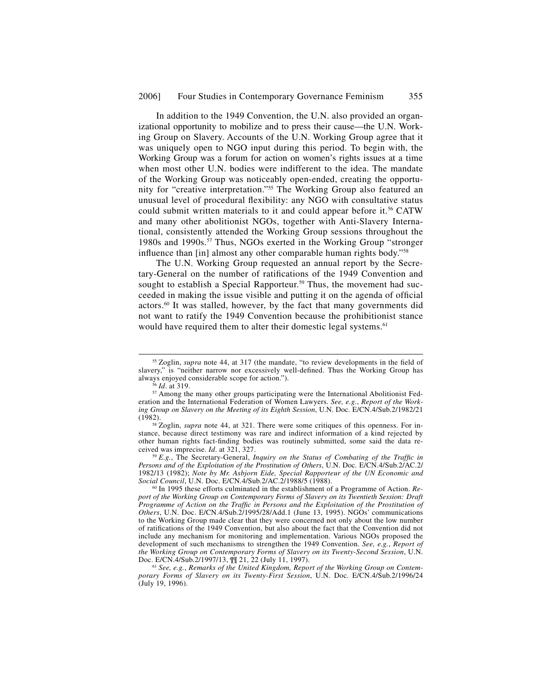In addition to the 1949 Convention, the U.N. also provided an organizational opportunity to mobilize and to press their cause—the U.N. Working Group on Slavery. Accounts of the U.N. Working Group agree that it was uniquely open to NGO input during this period. To begin with, the Working Group was a forum for action on women's rights issues at a time when most other U.N. bodies were indifferent to the idea. The mandate of the Working Group was noticeably open-ended, creating the opportunity for "creative interpretation."55 The Working Group also featured an unusual level of procedural flexibility: any NGO with consultative status could submit written materials to it and could appear before it.<sup>56</sup> CATW and many other abolitionist NGOs, together with Anti-Slavery International, consistently attended the Working Group sessions throughout the 1980s and 1990s.<sup>57</sup> Thus, NGOs exerted in the Working Group "stronger influence than [in] almost any other comparable human rights body."<sup>58</sup>

The U.N. Working Group requested an annual report by the Secretary-General on the number of ratifications of the 1949 Convention and sought to establish a Special Rapporteur.<sup>59</sup> Thus, the movement had succeeded in making the issue visible and putting it on the agenda of official actors.60 It was stalled, however, by the fact that many governments did not want to ratify the 1949 Convention because the prohibitionist stance would have required them to alter their domestic legal systems.<sup>61</sup>

<sup>&</sup>lt;sup>55</sup> Zoglin, *supra* note 44, at 317 (the mandate, "to review developments in the field of slavery," is "neither narrow nor excessively well-defined. Thus the Working Group has always enjoyed considerable scope for action.").

<sup>&</sup>lt;sup>56</sup> *Id.* at 319.<br><sup>57</sup> Among the many other groups participating were the International Abolitionist Federation and the International Federation of Women Lawyers. *See, e.g.*, *Report of the Working Group on Slavery on the Meeting of its Eighth Session*, U.N. Doc. E/CN.4/Sub.2/1982/21

<sup>&</sup>lt;sup>58</sup> Zoglin, *supra* note 44, at 321. There were some critiques of this openness. For instance, because direct testimony was rare and indirect information of a kind rejected by other human rights fact-finding bodies was routinely submitted, some said the data received was imprecise.  $Id$  at 321, 327.

<sup>&</sup>lt;sup>59</sup> *E.g.*, The Secretary-General, *Inquiry on the Status of Combating of the Traffic in Persons and of the Exploitation of the Prostitution of Others*, U.N. Doc. E/CN.4/Sub.2/AC.2/ 1982/13 (1982); *Note by Mr. Asbjorn Eide, Special Rapporteur of the UN Economic and* 

<sup>&</sup>lt;sup>60</sup> In 1995 these efforts culminated in the establishment of a Programme of Action. *Report of the Working Group on Contemporary Forms of Slavery on its Twentieth Session: Draft Programme of Action on the Traffic in Persons and the Exploitation of the Prostitution of Others*, U.N. Doc. E/CN.4/Sub.2/1995/28/Add.1 (June 13, 1995). NGOs' communications to the Working Group made clear that they were concerned not only about the low number of ratifications of the 1949 Convention, but also about the fact that the Convention did not include any mechanism for monitoring and implementation. Various NGOs proposed the development of such mechanisms to strengthen the 1949 Convention. *See, e.g.*, *Report of the Working Group on Contemporary Forms of Slavery on its Twenty-Second Session*, U.N.

<sup>&</sup>lt;sup>61</sup> See, e.g., Remarks of the United Kingdom, Report of the Working Group on Contem*porary Forms of Slavery on its Twenty-First Session*, U.N. Doc. E/CN.4/Sub.2/1996/24 (July 19, 1996).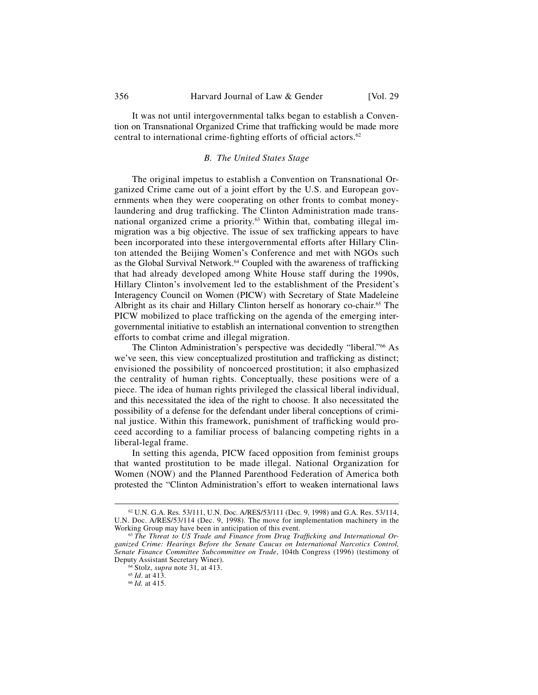It was not until intergovernmental talks began to establish a Convention on Transnational Organized Crime that trafficking would be made more central to international crime-fighting efforts of official actors. $62$ 

# *B. The United States Stage*

The original impetus to establish a Convention on Transnational Organized Crime came out of a joint effort by the U.S. and European governments when they were cooperating on other fronts to combat moneylaundering and drug trafficking. The Clinton Administration made transnational organized crime a priority.<sup>63</sup> Within that, combating illegal immigration was a big objective. The issue of sex trafficking appears to have been incorporated into these intergovernmental efforts after Hillary Clinton attended the Beijing Women's Conference and met with NGOs such as the Global Survival Network.<sup>64</sup> Coupled with the awareness of trafficking that had already developed among White House staff during the 1990s, Hillary Clinton's involvement led to the establishment of the President's Interagency Council on Women (PICW) with Secretary of State Madeleine Albright as its chair and Hillary Clinton herself as honorary co-chair.<sup>65</sup> The PICW mobilized to place trafficking on the agenda of the emerging intergovernmental initiative to establish an international convention to strengthen efforts to combat crime and illegal migration.

The Clinton Administration's perspective was decidedly "liberal."<sup>66</sup> As we've seen, this view conceptualized prostitution and trafficking as distinct; envisioned the possibility of noncoerced prostitution; it also emphasized the centrality of human rights. Conceptually, these positions were of a piece. The idea of human rights privileged the classical liberal individual, and this necessitated the idea of the right to choose. It also necessitated the possibility of a defense for the defendant under liberal conceptions of criminal justice. Within this framework, punishment of trafficking would proceed according to a familiar process of balancing competing rights in a liberal-legal frame.

In setting this agenda, PICW faced opposition from feminist groups that wanted prostitution to be made illegal. National Organization for Women (NOW) and the Planned Parenthood Federation of America both protested the "Clinton Administration's effort to weaken international laws

 $62$  U.N. G.A. Res. 53/111, U.N. Doc. A/RES/53/111 (Dec. 9, 1998) and G.A. Res. 53/114, U.N. Doc. A/RES/53/114 (Dec. 9, 1998). The move for implementation machinery in the

<sup>&</sup>lt;sup>63</sup> The Threat to US Trade and Finance from Drug Trafficking and International Or*ganized Crime: Hearings Before the Senate Caucus on International Narcotics Control, Senate Finance Committee Subcommittee on Trade*, 104th Congress (1996) (testimony of Deputy Assistant Secretary Winer). 64 Stolz, *supra* note 31, at 413. 65 *Id*. at 413. 66 *Id.* at 415.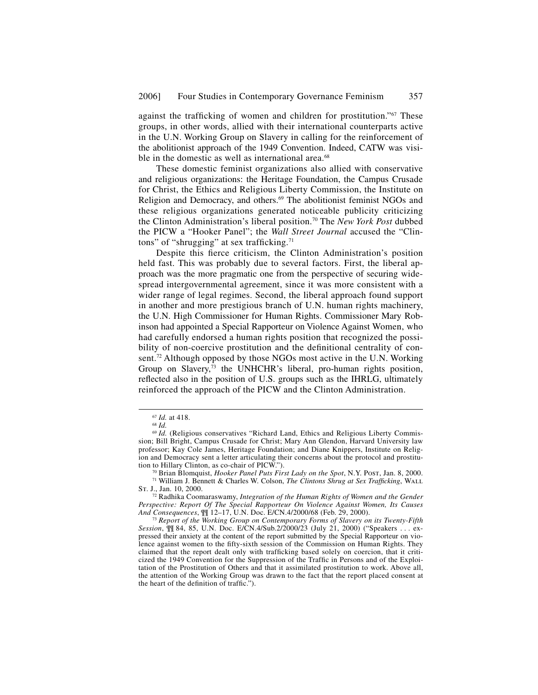against the trafficking of women and children for prostitution."<sup>67</sup> These groups, in other words, allied with their international counterparts active in the U.N. Working Group on Slavery in calling for the reinforcement of the abolitionist approach of the 1949 Convention. Indeed, CATW was visible in the domestic as well as international area.<sup>68</sup>

These domestic feminist organizations also allied with conservative and religious organizations: the Heritage Foundation, the Campus Crusade for Christ, the Ethics and Religious Liberty Commission, the Institute on Religion and Democracy, and others.<sup>69</sup> The abolitionist feminist NGOs and these religious organizations generated noticeable publicity criticizing the Clinton Administration's liberal position.70 The *New York Post* dubbed the PICW a "Hooker Panel"; the *Wall Street Journal* accused the "Clintons" of "shrugging" at sex trafficking. $71$ 

Despite this fierce criticism, the Clinton Administration's position held fast. This was probably due to several factors. First, the liberal approach was the more pragmatic one from the perspective of securing widespread intergovernmental agreement, since it was more consistent with a wider range of legal regimes. Second, the liberal approach found support in another and more prestigious branch of U.N. human rights machinery, the U.N. High Commissioner for Human Rights. Commissioner Mary Robinson had appointed a Special Rapporteur on Violence Against Women, who had carefully endorsed a human rights position that recognized the possibility of non-coercive prostitution and the definitional centrality of consent.<sup>72</sup> Although opposed by those NGOs most active in the U.N. Working Group on Slavery,<sup>73</sup> the UNHCHR's liberal, pro-human rights position, reflected also in the position of U.S. groups such as the IHRLG, ultimately reinforced the approach of the PICW and the Clinton Administration.

<sup>67</sup> *Id.* at 418. 68 *Id.* 

<sup>69</sup> *Id.* (Religious conservatives "Richard Land, Ethics and Religious Liberty Commission; Bill Bright, Campus Crusade for Christ; Mary Ann Glendon, Harvard University law professor; Kay Cole James, Heritage Foundation; and Diane Knippers, Institute on Religion and Democracy sent a letter articulating their concerns about the protocol and prostitu-<br>tion to Hillary Clinton, as co-chair of PICW.").

<sup>&</sup>lt;sup>70</sup> Brian Blomquist, *Hooker Panel Puts First Lady on the Spot*, N.Y. Post, Jan. 8, 2000.<br><sup>71</sup> William J. Bennett & Charles W. Colson, *The Clintons Shrug at Sex Trafficking*, WALL St. J., Jan. 10, 2000.

<sup>&</sup>lt;sup>72</sup> Radhika Coomaraswamy, *Integration of the Human Rights of Women and the Gender Perspective: Report Of The Special Rapporteur On Violence Against Women, Its Causes* 

<sup>&</sup>lt;sup>73</sup> Report of the Working Group on Contemporary Forms of Slavery on its Twenty-Fifth *Session*, ¶¶ 84, 85, U.N. Doc. E/CN.4/Sub.2/2000/23 (July 21, 2000) ("Speakers . . . expressed their anxiety at the content of the report submitted by the Special Rapporteur on violence against women to the fifty-sixth session of the Commission on Human Rights. They claimed that the report dealt only with trafficking based solely on coercion, that it criticized the 1949 Convention for the Suppression of the Traffic in Persons and of the Exploitation of the Prostitution of Others and that it assimilated prostitution to work. Above all, the attention of the Working Group was drawn to the fact that the report placed consent at the heart of the definition of traffic.").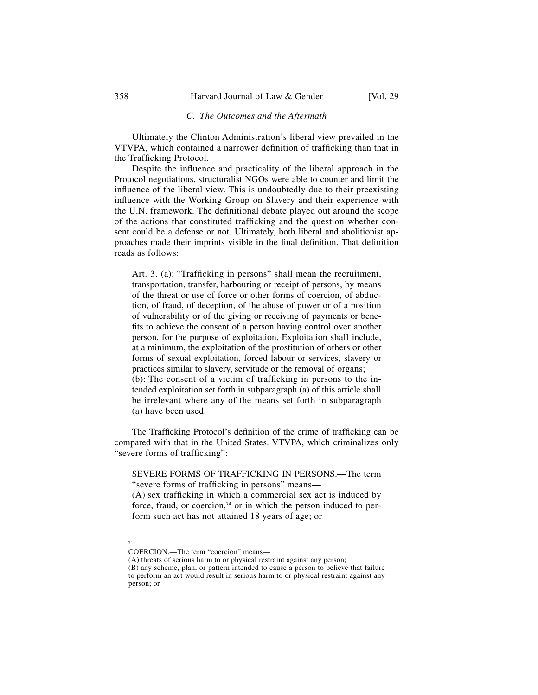## *C. The Outcomes and the Aftermath*

Ultimately the Clinton Administration's liberal view prevailed in the VTVPA, which contained a narrower definition of trafficking than that in the Trafficking Protocol.

Despite the influence and practicality of the liberal approach in the Protocol negotiations, structuralist NGOs were able to counter and limit the influence of the liberal view. This is undoubtedly due to their preexisting influence with the Working Group on Slavery and their experience with the U.N. framework. The definitional debate played out around the scope of the actions that constituted trafficking and the question whether consent could be a defense or not. Ultimately, both liberal and abolitionist approaches made their imprints visible in the final definition. That definition reads as follows:

Art. 3. (a): "Trafficking in persons" shall mean the recruitment, transportation, transfer, harbouring or receipt of persons, by means of the threat or use of force or other forms of coercion, of abduction, of fraud, of deception, of the abuse of power or of a position of vulnerability or of the giving or receiving of payments or benefits to achieve the consent of a person having control over another person, for the purpose of exploitation. Exploitation shall include, at a minimum, the exploitation of the prostitution of others or other forms of sexual exploitation, forced labour or services, slavery or practices similar to slavery, servitude or the removal of organs;  $(b)$ : The consent of a victim of trafficking in persons to the intended exploitation set forth in subparagraph (a) of this article shall be irrelevant where any of the means set forth in subparagraph (a) have been used.

The Trafficking Protocol's definition of the crime of trafficking can be compared with that in the United States. VTVPA, which criminalizes only "severe forms of trafficking":

SEVERE FORMS OF TRAFFICKING IN PERSONS.—The term "severe forms of trafficking in persons" means—

 $(A)$  sex trafficking in which a commercial sex act is induced by force, fraud, or coercion, $74$  or in which the person induced to perform such act has not attained 18 years of age; or

 <sup>74</sup> 

COERCION.—The term "coercion" means—

<sup>(</sup>A) threats of serious harm to or physical restraint against any person;

<sup>(</sup>B) any scheme, plan, or pattern intended to cause a person to believe that failure to perform an act would result in serious harm to or physical restraint against any person; or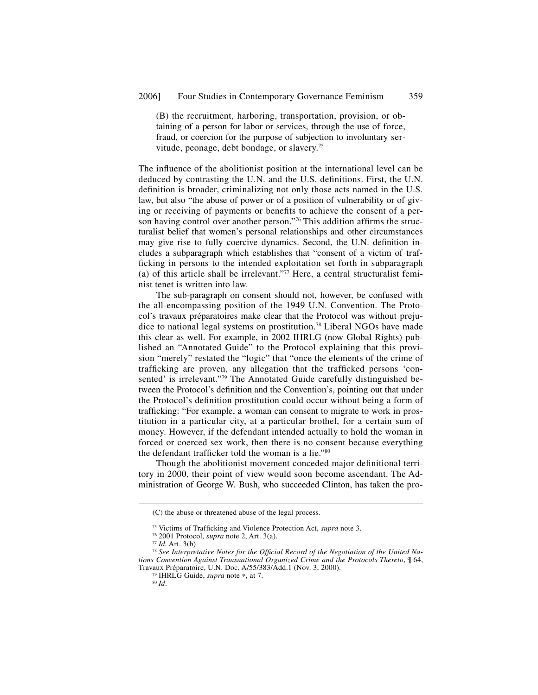(B) the recruitment, harboring, transportation, provision, or obtaining of a person for labor or services, through the use of force, fraud, or coercion for the purpose of subjection to involuntary servitude, peonage, debt bondage, or slavery.75

The influence of the abolitionist position at the international level can be deduced by contrasting the U.N. and the U.S. definitions. First, the U.N. definition is broader, criminalizing not only those acts named in the U.S. law, but also "the abuse of power or of a position of vulnerability or of giving or receiving of payments or benefits to achieve the consent of a person having control over another person."<sup>76</sup> This addition affirms the structuralist belief that women's personal relationships and other circumstances may give rise to fully coercive dynamics. Second, the U.N. definition includes a subparagraph which establishes that "consent of a victim of trafficking in persons to the intended exploitation set forth in subparagraph (a) of this article shall be irrelevant."77 Here, a central structuralist feminist tenet is written into law.

The sub-paragraph on consent should not, however, be confused with the all-encompassing position of the 1949 U.N. Convention. The Protocol's travaux préparatoires make clear that the Protocol was without prejudice to national legal systems on prostitution.<sup>78</sup> Liberal NGOs have made this clear as well. For example, in 2002 IHRLG (now Global Rights) published an "Annotated Guide" to the Protocol explaining that this provision "merely" restated the "logic" that "once the elements of the crime of trafficking are proven, any allegation that the trafficked persons 'consented' is irrelevant."79 The Annotated Guide carefully distinguished between the Protocol's definition and the Convention's, pointing out that under the Protocol's definition prostitution could occur without being a form of trafficking: "For example, a woman can consent to migrate to work in prostitution in a particular city, at a particular brothel, for a certain sum of money. However, if the defendant intended actually to hold the woman in forced or coerced sex work, then there is no consent because everything the defendant trafficker told the woman is a lie."80

Though the abolitionist movement conceded major definitional territory in 2000, their point of view would soon become ascendant. The Administration of George W. Bush, who succeeded Clinton, has taken the pro-

 <sup>(</sup>C) the abuse or threatened abuse of the legal process.

<sup>&</sup>lt;sup>75</sup> Victims of Trafficking and Violence Protection Act, *supra* note 3.<br><sup>76</sup> 2001 Protocol, *supra* note 2, Art. 3(a).<br><sup>77</sup> Id. Art. 3(b).<br><sup>78</sup> See Interpretative Notes for the Official Record of the Negotiation of the U *tions Convention Against Transnational Organized Crime and the Protocols Thereto*, ¶ 64, Travaux Préparatoire, U.N. Doc. A/55/383/Add.1 (Nov. 3, 2000). 79 IHRLG Guide, *supra* note <sup>∗</sup>, at 7. 80 *Id*.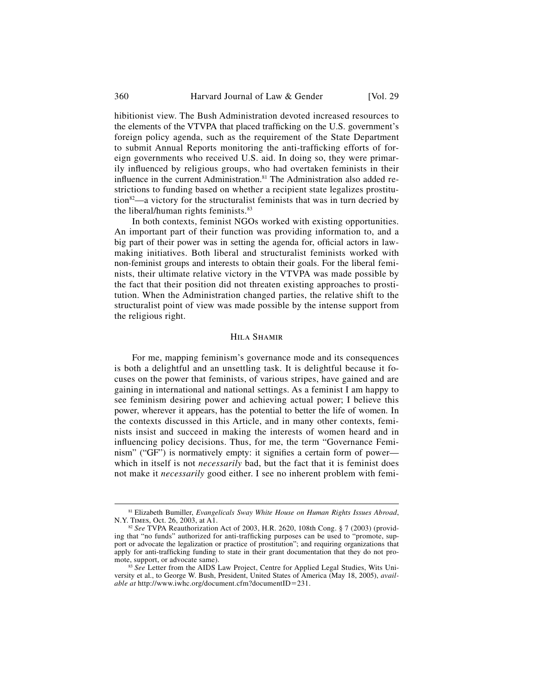hibitionist view. The Bush Administration devoted increased resources to the elements of the VTVPA that placed trafficking on the U.S. government's foreign policy agenda, such as the requirement of the State Department to submit Annual Reports monitoring the anti-trafficking efforts of foreign governments who received U.S. aid. In doing so, they were primarily influenced by religious groups, who had overtaken feminists in their influence in the current Administration.<sup>81</sup> The Administration also added restrictions to funding based on whether a recipient state legalizes prostitu- $\frac{1}{2}$  a victory for the structuralist feminists that was in turn decried by the liberal/human rights feminists.<sup>83</sup>

In both contexts, feminist NGOs worked with existing opportunities. An important part of their function was providing information to, and a big part of their power was in setting the agenda for, official actors in lawmaking initiatives. Both liberal and structuralist feminists worked with non-feminist groups and interests to obtain their goals. For the liberal feminists, their ultimate relative victory in the VTVPA was made possible by the fact that their position did not threaten existing approaches to prostitution. When the Administration changed parties, the relative shift to the structuralist point of view was made possible by the intense support from the religious right.

## Hila Shamir

For me, mapping feminism's governance mode and its consequences is both a delightful and an unsettling task. It is delightful because it focuses on the power that feminists, of various stripes, have gained and are gaining in international and national settings. As a feminist I am happy to see feminism desiring power and achieving actual power; I believe this power, wherever it appears, has the potential to better the life of women. In the contexts discussed in this Article, and in many other contexts, feminists insist and succeed in making the interests of women heard and in influencing policy decisions. Thus, for me, the term "Governance Feminism" ("GF") is normatively empty: it signifies a certain form of power which in itself is not *necessarily* bad, but the fact that it is feminist does not make it *necessarily* good either. I see no inherent problem with femi-

<sup>&</sup>lt;sup>81</sup> Elizabeth Bumiller, *Evangelicals Sway White House on Human Rights Issues Abroad*, N.Y. TIMES, Oct. 26, 2003, at A1.

<sup>&</sup>lt;sup>82</sup> See TVPA Reauthorization Act of 2003, H.R. 2620, 108th Cong. § 7 (2003) (providing that "no funds" authorized for anti-trafficking purposes can be used to "promote, support or advocate the legalization or practice of prostitution"; and requiring organizations that apply for anti-trafficking funding to state in their grant documentation that they do not pro-<br>mote, support, or advocate same).

<sup>&</sup>lt;sup>83</sup> *See* Letter from the AIDS Law Project, Centre for Applied Legal Studies, Wits University et al., to George W. Bush, President, United States of America (May 18, 2005), *available at* http://www.iwhc.org/document.cfm?documentID=231.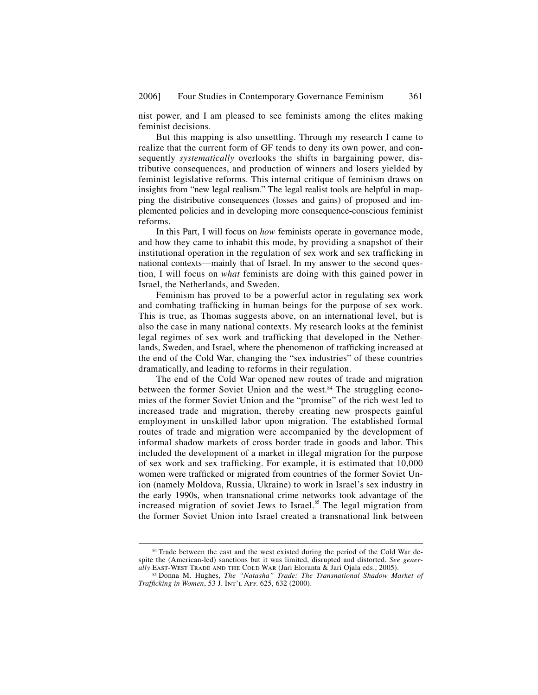nist power, and I am pleased to see feminists among the elites making feminist decisions.

But this mapping is also unsettling. Through my research I came to realize that the current form of GF tends to deny its own power, and consequently *systematically* overlooks the shifts in bargaining power, distributive consequences, and production of winners and losers yielded by feminist legislative reforms. This internal critique of feminism draws on insights from "new legal realism." The legal realist tools are helpful in mapping the distributive consequences (losses and gains) of proposed and implemented policies and in developing more consequence-conscious feminist reforms.

In this Part, I will focus on *how* feminists operate in governance mode, and how they came to inhabit this mode, by providing a snapshot of their institutional operation in the regulation of sex work and sex trafficking in national contexts—mainly that of Israel. In my answer to the second question, I will focus on *what* feminists are doing with this gained power in Israel, the Netherlands, and Sweden.

Feminism has proved to be a powerful actor in regulating sex work and combating trafficking in human beings for the purpose of sex work. This is true, as Thomas suggests above, on an international level, but is also the case in many national contexts. My research looks at the feminist legal regimes of sex work and trafficking that developed in the Netherlands, Sweden, and Israel, where the phenomenon of trafficking increased at the end of the Cold War, changing the "sex industries" of these countries dramatically, and leading to reforms in their regulation.

The end of the Cold War opened new routes of trade and migration between the former Soviet Union and the west.<sup>84</sup> The struggling economies of the former Soviet Union and the "promise" of the rich west led to increased trade and migration, thereby creating new prospects gainful employment in unskilled labor upon migration. The established formal routes of trade and migration were accompanied by the development of informal shadow markets of cross border trade in goods and labor. This included the development of a market in illegal migration for the purpose of sex work and sex trafficking. For example, it is estimated that  $10,000$ women were trafficked or migrated from countries of the former Soviet Union (namely Moldova, Russia, Ukraine) to work in Israel's sex industry in the early 1990s, when transnational crime networks took advantage of the increased migration of soviet Jews to Israel.<sup>85</sup> The legal migration from the former Soviet Union into Israel created a transnational link between

<sup>&</sup>lt;sup>84</sup> Trade between the east and the west existed during the period of the Cold War despite the (American-led) sanctions but it was limited, disrupted and distorted. *See gener-*

<sup>&</sup>lt;sup>85</sup> Donna M. Hughes, *The "Natasha" Trade: The Transnational Shadow Market of Trafficking in Women*, 53 J. INT'L AFF. 625, 632 (2000).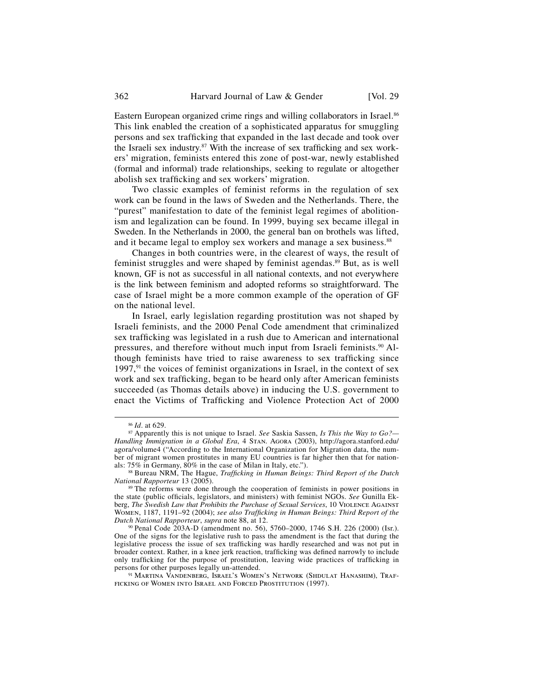Eastern European organized crime rings and willing collaborators in Israel.<sup>86</sup> This link enabled the creation of a sophisticated apparatus for smuggling persons and sex trafficking that expanded in the last decade and took over the Israeli sex industry. $87$  With the increase of sex trafficking and sex workers' migration, feminists entered this zone of post-war, newly established (formal and informal) trade relationships, seeking to regulate or altogether abolish sex trafficking and sex workers' migration.

Two classic examples of feminist reforms in the regulation of sex work can be found in the laws of Sweden and the Netherlands. There, the "purest" manifestation to date of the feminist legal regimes of abolitionism and legalization can be found. In 1999, buying sex became illegal in Sweden. In the Netherlands in 2000, the general ban on brothels was lifted, and it became legal to employ sex workers and manage a sex business.<sup>88</sup>

Changes in both countries were, in the clearest of ways, the result of feminist struggles and were shaped by feminist agendas.<sup>89</sup> But, as is well known, GF is not as successful in all national contexts, and not everywhere is the link between feminism and adopted reforms so straightforward. The case of Israel might be a more common example of the operation of GF on the national level.

In Israel, early legislation regarding prostitution was not shaped by Israeli feminists, and the 2000 Penal Code amendment that criminalized sex trafficking was legislated in a rush due to American and international pressures, and therefore without much input from Israeli feminists.<sup>90</sup> Although feminists have tried to raise awareness to sex trafficking since 1997, $91$  the voices of feminist organizations in Israel, in the context of sex work and sex trafficking, began to be heard only after American feminists succeeded (as Thomas details above) in inducing the U.S. government to enact the Victims of Trafficking and Violence Protection Act of 2000

<sup>86</sup> *Id*. at 629. 87 Apparently this is not unique to Israel. *See* Saskia Sassen, *Is This the Way to Go?— Handling Immigration in a Global Era*, 4 Stan. Agora (2003), http://agora.stanford.edu/ agora/volume4 ("According to the International Organization for Migration data, the number of migrant women prostitutes in many EU countries is far higher then that for nation-<br>als: 75% in Germany, 80% in the case of Milan in Italy, etc.").

<sup>&</sup>lt;sup>88</sup> Bureau NRM, The Hague, *Trafficking in Human Beings: Third Report of the Dutch National Rapporteur 13 (2005).* 

<sup>&</sup>lt;sup>89</sup> The reforms were done through the cooperation of feminists in power positions in the state (public officials, legislators, and ministers) with feminist NGOs. *See* Gunilla Ekberg, *The Swedish Law that Prohibits the Purchase of Sexual Services*, 10 Violence Against WOMEN, 1187, 1191–92 (2004); *see also Trafficking in Human Beings: Third Report of the Dutch National Rapporteur, supra* note 88, at 12.

<sup>&</sup>lt;sup>90</sup> Penal Code 203A-D (amendment no. 56), 5760–2000, 1746 S.H. 226 (2000) (Isr.). One of the signs for the legislative rush to pass the amendment is the fact that during the legislative process the issue of sex trafficking was hardly researched and was not put in broader context. Rather, in a knee jerk reaction, trafficking was defined narrowly to include only trafficking for the purpose of prostitution, leaving wide practices of trafficking in persons for other purposes legally un-attended.

<sup>&</sup>lt;sup>91</sup> Martina Vandenberg, Israel's Women's Network (Shdulat Hanashim), Traf-FICKING OF WOMEN INTO ISRAEL AND FORCED PROSTITUTION (1997).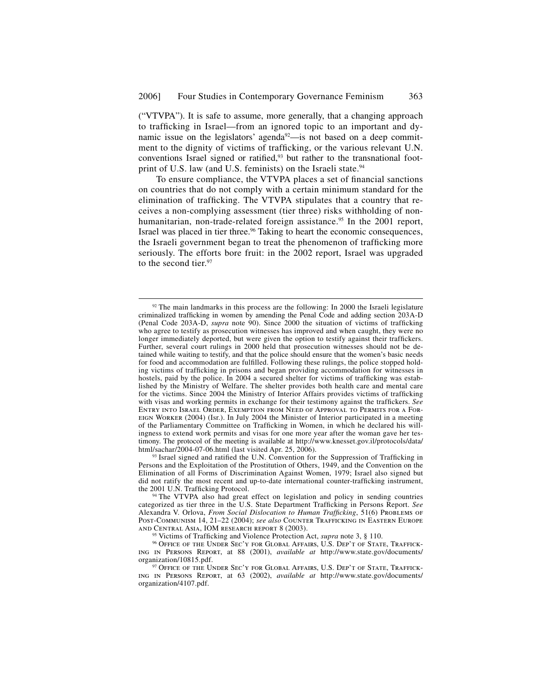("VTVPA"). It is safe to assume, more generally, that a changing approach to trafficking in Israel—from an ignored topic to an important and dynamic issue on the legislators' agenda<sup>92</sup>—is not based on a deep commitment to the dignity of victims of trafficking, or the various relevant U.N. conventions Israel signed or ratified, $93$  but rather to the transnational footprint of U.S. law (and U.S. feminists) on the Israeli state.<sup>94</sup>

To ensure compliance, the VTVPA places a set of financial sanctions on countries that do not comply with a certain minimum standard for the elimination of trafficking. The VTVPA stipulates that a country that receives a non-complying assessment (tier three) risks withholding of nonhumanitarian, non-trade-related foreign assistance.<sup>95</sup> In the 2001 report, Israel was placed in tier three.<sup>96</sup> Taking to heart the economic consequences, the Israeli government began to treat the phenomenon of trafficking more seriously. The efforts bore fruit: in the 2002 report, Israel was upgraded to the second tier.<sup>97</sup>

 $92$  The main landmarks in this process are the following: In 2000 the Israeli legislature criminalized trafficking in women by amending the Penal Code and adding section 203A-D (Penal Code 203A-D, *supra* note 90). Since 2000 the situation of victims of trafficking who agree to testify as prosecution witnesses has improved and when caught, they were no longer immediately deported, but were given the option to testify against their traffickers. Further, several court rulings in 2000 held that prosecution witnesses should not be detained while waiting to testify, and that the police should ensure that the women's basic needs for food and accommodation are fulfilled. Following these rulings, the police stopped holding victims of trafficking in prisons and began providing accommodation for witnesses in hostels, paid by the police. In 2004 a secured shelter for victims of trafficking was established by the Ministry of Welfare. The shelter provides both health care and mental care for the victims. Since 2004 the Ministry of Interior Affairs provides victims of trafficking with visas and working permits in exchange for their testimony against the traffickers. See Entry into Israel Order, Exemption from Need of Approval to Permits for a Foreign Worker (2004) (Isr.). In July 2004 the Minister of Interior participated in a meeting of the Parliamentary Committee on Trafficking in Women, in which he declared his willingness to extend work permits and visas for one more year after the woman gave her testimony. The protocol of the meeting is available at http://www.knesset.gov.il/protocols/data/<br>html/sachar/2004-07-06.html (last visited Apr. 25, 2006).

<sup>&</sup>lt;sup>93</sup> Israel signed and ratified the U.N. Convention for the Suppression of Trafficking in Persons and the Exploitation of the Prostitution of Others, 1949, and the Convention on the Elimination of all Forms of Discrimination Against Women, 1979; Israel also signed but did not ratify the most recent and up-to-date international counter-trafficking instrument, the 2001 U.N. Trafficking Protocol.

<sup>&</sup>lt;sup>94</sup> The VTVPA also had great effect on legislation and policy in sending countries categorized as tier three in the U.S. State Department Trafficking in Persons Report. See Alexandra V. Orlova, *From Social Dislocation to Human Trafficking*, 51(6) PROBLEMS OF Post-Communism 14, 21–22 (2004); *see also* Counter Trafficking in Eastern Europe and Central Asia, IOM research report 8 (2003).

<sup>&</sup>lt;sup>95</sup> Victims of Trafficking and Violence Protection Act, *supra* note 3, § 110.<br><sup>96</sup> Office of the Under Sec'y for Global Affairs, U.S. Dep't of State, Traffick-

ing in Persons Report, at 88 (2001), *available at* http://www.state.gov/documents/

<sup>&</sup>lt;sup>97</sup> Office of the Under Sec'y for Global Affairs, U.S. Dep't of State, Trafficking in Persons Report, at 63 (2002), *available at* http://www.state.gov/documents/ organization/4107.pdf.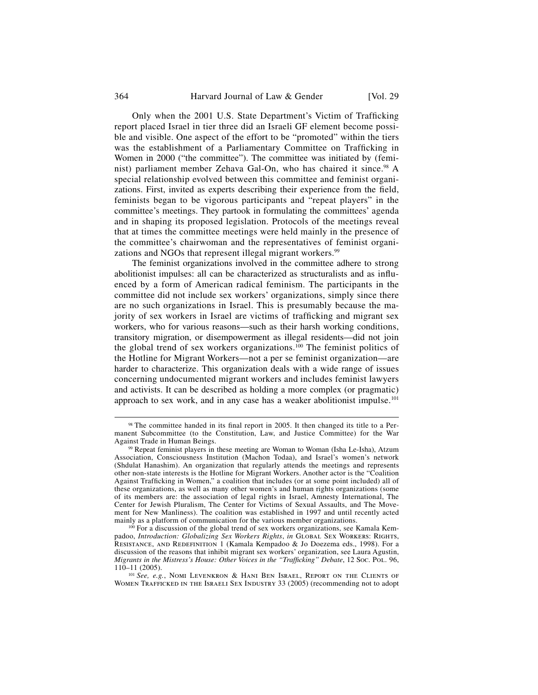#### 364 Harvard Journal of Law & Gender [Vol. 29]

Only when the 2001 U.S. State Department's Victim of Trafficking report placed Israel in tier three did an Israeli GF element become possible and visible. One aspect of the effort to be "promoted" within the tiers was the establishment of a Parliamentary Committee on Trafficking in Women in 2000 ("the committee"). The committee was initiated by (feminist) parliament member Zehava Gal-On, who has chaired it since.<sup>98</sup> A special relationship evolved between this committee and feminist organizations. First, invited as experts describing their experience from the field, feminists began to be vigorous participants and "repeat players" in the committee's meetings. They partook in formulating the committees' agenda and in shaping its proposed legislation. Protocols of the meetings reveal that at times the committee meetings were held mainly in the presence of the committee's chairwoman and the representatives of feminist organizations and NGOs that represent illegal migrant workers.<sup>99</sup>

The feminist organizations involved in the committee adhere to strong abolitionist impulses: all can be characterized as structuralists and as influenced by a form of American radical feminism. The participants in the committee did not include sex workers' organizations, simply since there are no such organizations in Israel. This is presumably because the majority of sex workers in Israel are victims of trafficking and migrant sex workers, who for various reasons—such as their harsh working conditions, transitory migration, or disempowerment as illegal residents—did not join the global trend of sex workers organizations.<sup>100</sup> The feminist politics of the Hotline for Migrant Workers—not a per se feminist organization—are harder to characterize. This organization deals with a wide range of issues concerning undocumented migrant workers and includes feminist lawyers and activists. It can be described as holding a more complex (or pragmatic) approach to sex work, and in any case has a weaker abolitionist impulse.<sup>101</sup>

 $98$  The committee handed in its final report in 2005. It then changed its title to a Permanent Subcommittee (to the Constitution, Law, and Justice Committee) for the War

<sup>&</sup>lt;sup>99</sup> Repeat feminist players in these meeting are Woman to Woman (Isha Le-Isha), Atzum Association, Consciousness Institution (Machon Todaa), and Israel's women's network (Shdulat Hanashim). An organization that regularly attends the meetings and represents other non-state interests is the Hotline for Migrant Workers. Another actor is the "Coalition Against Trafficking in Women," a coalition that includes (or at some point included) all of these organizations, as well as many other women's and human rights organizations (some of its members are: the association of legal rights in Israel, Amnesty International, The Center for Jewish Pluralism, The Center for Victims of Sexual Assaults, and The Movement for New Manliness). The coalition was established in 1997 and until recently acted mainly as a platform of communication for the various member organizations.

 $100$  For a discussion of the global trend of sex workers organizations, see Kamala Kempadoo, *Introduction: Globalizing Sex Workers Rights*, *in* Global Sex Workers: Rights, RESISTANCE, AND REDEFINITION 1 (Kamala Kempadoo & Jo Doezema eds., 1998). For a discussion of the reasons that inhibit migrant sex workers' organization, see Laura Agustin, *Migrants in the Mistress's House: Other Voices in the "Trafficking" Debate,* 12 Soc. Pol. 96, 110–11 (2005).

<sup>&</sup>lt;sup>101</sup> See, e.g., NOMI LEVENKRON & HANI BEN ISRAEL, REPORT ON THE CLIENTS OF WOMEN TRAFFICKED IN THE ISRAELI SEX INDUSTRY 33 (2005) (recommending not to adopt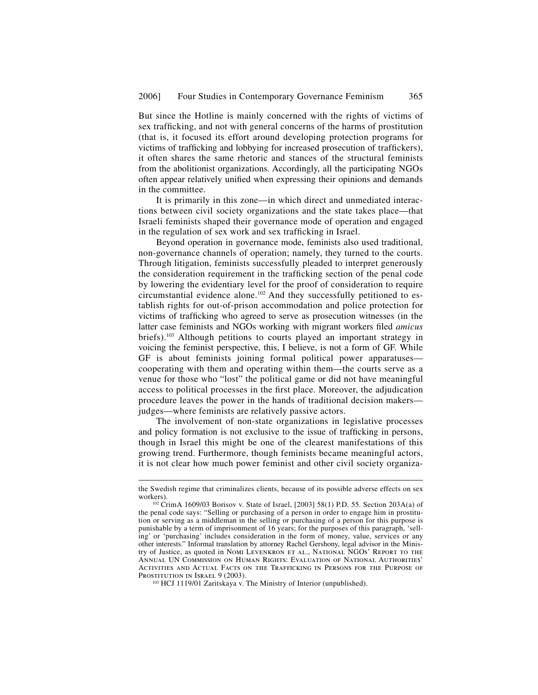But since the Hotline is mainly concerned with the rights of victims of sex trafficking, and not with general concerns of the harms of prostitution (that is, it focused its effort around developing protection programs for victims of trafficking and lobbying for increased prosecution of traffickers), it often shares the same rhetoric and stances of the structural feminists from the abolitionist organizations. Accordingly, all the participating NGOs often appear relatively unified when expressing their opinions and demands in the committee.

It is primarily in this zone—in which direct and unmediated interactions between civil society organizations and the state takes place—that Israeli feminists shaped their governance mode of operation and engaged in the regulation of sex work and sex trafficking in Israel.

Beyond operation in governance mode, feminists also used traditional, non-governance channels of operation; namely, they turned to the courts. Through litigation, feminists successfully pleaded to interpret generously the consideration requirement in the trafficking section of the penal code by lowering the evidentiary level for the proof of consideration to require circumstantial evidence alone.102 And they successfully petitioned to establish rights for out-of-prison accommodation and police protection for victims of trafficking who agreed to serve as prosecution witnesses (in the latter case feminists and NGOs working with migrant workers filed *amicus* briefs).<sup>103</sup> Although petitions to courts played an important strategy in voicing the feminist perspective, this, I believe, is not a form of GF. While GF is about feminists joining formal political power apparatuses cooperating with them and operating within them—the courts serve as a venue for those who "lost" the political game or did not have meaningful access to political processes in the first place. Moreover, the adjudication procedure leaves the power in the hands of traditional decision makers judges—where feminists are relatively passive actors.

The involvement of non-state organizations in legislative processes and policy formation is not exclusive to the issue of trafficking in persons, though in Israel this might be one of the clearest manifestations of this growing trend. Furthermore, though feminists became meaningful actors, it is not clear how much power feminist and other civil society organiza-

j

the Swedish regime that criminalizes clients, because of its possible adverse effects on sex

 $102$  CrimA 1609/03 Borisov v. State of Israel, [2003] 58(1) P.D. 55. Section 203A(a) of the penal code says: "Selling or purchasing of a person in order to engage him in prostitution or serving as a middleman in the selling or purchasing of a person for this purpose is punishable by a term of imprisonment of 16 years; for the purposes of this paragraph, 'selling' or 'purchasing' includes consideration in the form of money, value, services or any other interests." Informal translation by attorney Rachel Gershony, legal advisor in the Ministry of Justice, as quoted in Nomi Levenkron et al., National NGOs' Report to the Annual UN Commission on Human Rights: Evaluation of National Authorities' ACTIVITIES AND ACTUAL FACTS ON THE TRAFFICKING IN PERSONS FOR THE PURPOSE OF PROSTITUTION IN ISRAEL 9 (2003).<br><sup>103</sup> HCJ 1119/01 Zaritskaya v. The Ministry of Interior (unpublished).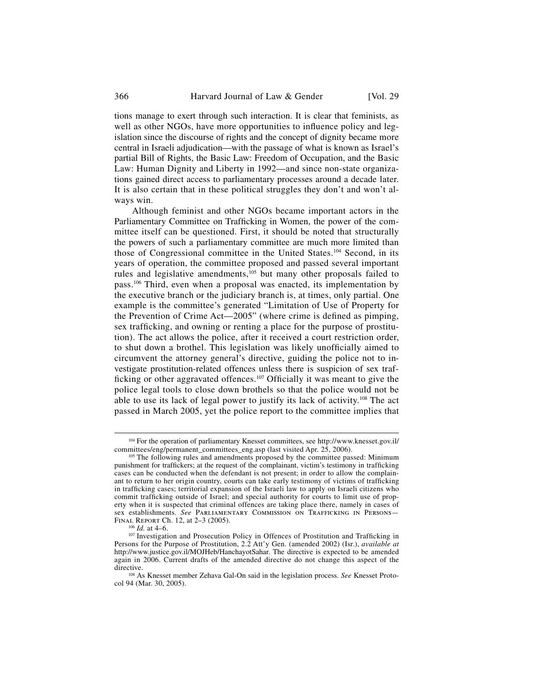tions manage to exert through such interaction. It is clear that feminists, as well as other NGOs, have more opportunities to influence policy and legislation since the discourse of rights and the concept of dignity became more central in Israeli adjudication—with the passage of what is known as Israel's partial Bill of Rights, the Basic Law: Freedom of Occupation, and the Basic Law: Human Dignity and Liberty in 1992—and since non-state organizations gained direct access to parliamentary processes around a decade later. It is also certain that in these political struggles they don't and won't always win.

Although feminist and other NGOs became important actors in the Parliamentary Committee on Trafficking in Women, the power of the committee itself can be questioned. First, it should be noted that structurally the powers of such a parliamentary committee are much more limited than those of Congressional committee in the United States.104 Second, in its years of operation, the committee proposed and passed several important rules and legislative amendments,<sup>105</sup> but many other proposals failed to pass.106 Third, even when a proposal was enacted, its implementation by the executive branch or the judiciary branch is, at times, only partial. One example is the committee's generated "Limitation of Use of Property for the Prevention of Crime Act—2005" (where crime is defined as pimping, sex trafficking, and owning or renting a place for the purpose of prostitution). The act allows the police, after it received a court restriction order, to shut down a brothel. This legislation was likely unofficially aimed to circumvent the attorney general's directive, guiding the police not to investigate prostitution-related offences unless there is suspicion of sex trafficking or other aggravated offences.<sup>107</sup> Officially it was meant to give the police legal tools to close down brothels so that the police would not be able to use its lack of legal power to justify its lack of activity.<sup>108</sup> The act passed in March 2005, yet the police report to the committee implies that

<sup>&</sup>lt;sup>104</sup> For the operation of parliamentary Knesset committees, see http://www.knesset.gov.il/ committees/eng/permanent\_committees\_eng.asp (last visited Apr. 25, 2006).

<sup>&</sup>lt;sup>105</sup> The following rules and amendments proposed by the committee passed: Minimum punishment for traffickers; at the request of the complainant, victim's testimony in trafficking cases can be conducted when the defendant is not present; in order to allow the complainant to return to her origin country, courts can take early testimony of victims of trafficking in trafficking cases; territorial expansion of the Israeli law to apply on Israeli citizens who commit trafficking outside of Israel; and special authority for courts to limit use of property when it is suspected that criminal offences are taking place there, namely in cases of sex establishments. *See* PARLIAMENTARY COMMISSION ON TRAFFICKING IN PERSONS—FINAL REPORT Ch. 12, at 2-3 (2005).

<sup>&</sup>lt;sup>106</sup> *Id.* at 4–6. 107 *Id.* at 4–6. 107 *Investigation* and Prosecution Policy in Offences of Prostitution and Trafficking in Persons for the Purpose of Prostitution, 2.2 Att'y Gen. (amended 2002) (Isr.), *available at*  http://www.justice.gov.il/MOJHeb/HanchayotSahar. The directive is expected to be amended again in 2006. Current drafts of the amended directive do not change this aspect of the directive

<sup>&</sup>lt;sup>108</sup> As Knesset member Zehava Gal-On said in the legislation process. See Knesset Protocol 94 (Mar. 30, 2005).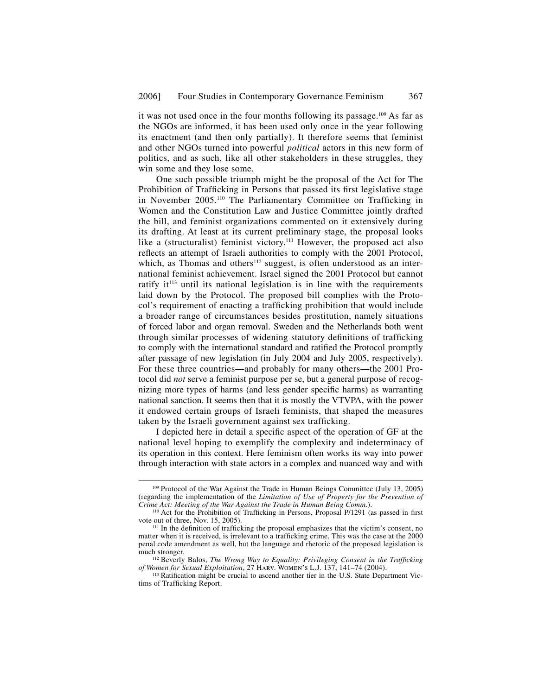it was not used once in the four months following its passage.<sup>109</sup> As far as the NGOs are informed, it has been used only once in the year following its enactment (and then only partially). It therefore seems that feminist and other NGOs turned into powerful *political* actors in this new form of politics, and as such, like all other stakeholders in these struggles, they win some and they lose some.

One such possible triumph might be the proposal of the Act for The Prohibition of Trafficking in Persons that passed its first legislative stage in November 2005.<sup>110</sup> The Parliamentary Committee on Trafficking in Women and the Constitution Law and Justice Committee jointly drafted the bill, and feminist organizations commented on it extensively during its drafting. At least at its current preliminary stage, the proposal looks like a (structuralist) feminist victory.<sup>111</sup> However, the proposed act also reflects an attempt of Israeli authorities to comply with the 2001 Protocol, which, as Thomas and others<sup>112</sup> suggest, is often understood as an international feminist achievement. Israel signed the 2001 Protocol but cannot ratify it<sup> $113$ </sup> until its national legislation is in line with the requirements laid down by the Protocol. The proposed bill complies with the Protocol's requirement of enacting a trafficking prohibition that would include a broader range of circumstances besides prostitution, namely situations of forced labor and organ removal. Sweden and the Netherlands both went through similar processes of widening statutory definitions of trafficking to comply with the international standard and ratified the Protocol promptly after passage of new legislation (in July 2004 and July 2005, respectively). For these three countries—and probably for many others—the 2001 Protocol did *not* serve a feminist purpose per se, but a general purpose of recognizing more types of harms (and less gender specific harms) as warranting national sanction. It seems then that it is mostly the VTVPA, with the power it endowed certain groups of Israeli feminists, that shaped the measures taken by the Israeli government against sex trafficking.

I depicted here in detail a specific aspect of the operation of GF at the national level hoping to exemplify the complexity and indeterminacy of its operation in this context. Here feminism often works its way into power through interaction with state actors in a complex and nuanced way and with

 <sup>109</sup> Protocol of the War Against the Trade in Human Beings Committee (July 13, 2005) (regarding the implementation of the *Limitation of Use of Property for the Prevention of* 

<sup>&</sup>lt;sup>110</sup> Act for the Prohibition of Trafficking in Persons, Proposal P/1291 (as passed in first vote out of three, Nov. 15, 2005).

 $<sup>111</sup>$  In the definition of trafficking the proposal emphasizes that the victim's consent, no</sup> matter when it is received, is irrelevant to a trafficking crime. This was the case at the 2000 penal code amendment as well, but the language and rhetoric of the proposed legislation is

<sup>&</sup>lt;sup>112</sup> Beverly Balos, *The Wrong Way to Equality: Privileging Consent in the Trafficking of Women for Sexual Exploitation, 27 HARV. WOMEN'S L.J. 137, 141–74 (2004).* 

<sup>&</sup>lt;sup>113</sup> Ratification might be crucial to ascend another tier in the U.S. State Department Victims of Trafficking Report.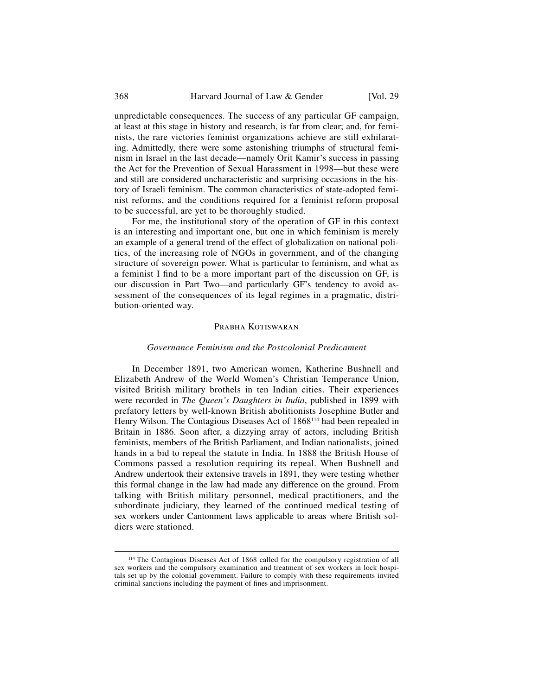unpredictable consequences. The success of any particular GF campaign, at least at this stage in history and research, is far from clear; and, for feminists, the rare victories feminist organizations achieve are still exhilarating. Admittedly, there were some astonishing triumphs of structural feminism in Israel in the last decade—namely Orit Kamir's success in passing the Act for the Prevention of Sexual Harassment in 1998—but these were and still are considered uncharacteristic and surprising occasions in the history of Israeli feminism. The common characteristics of state-adopted feminist reforms, and the conditions required for a feminist reform proposal to be successful, are yet to be thoroughly studied.

For me, the institutional story of the operation of GF in this context is an interesting and important one, but one in which feminism is merely an example of a general trend of the effect of globalization on national politics, of the increasing role of NGOs in government, and of the changing structure of sovereign power. What is particular to feminism, and what as a feminist I find to be a more important part of the discussion on GF, is our discussion in Part Two—and particularly GF's tendency to avoid assessment of the consequences of its legal regimes in a pragmatic, distribution-oriented way.

#### PRABHA KOTISWARAN

## *Governance Feminism and the Postcolonial Predicament*

In December 1891, two American women, Katherine Bushnell and Elizabeth Andrew of the World Women's Christian Temperance Union, visited British military brothels in ten Indian cities. Their experiences were recorded in *The Queen's Daughters in India*, published in 1899 with prefatory letters by well-known British abolitionists Josephine Butler and Henry Wilson. The Contagious Diseases Act of 1868<sup>114</sup> had been repealed in Britain in 1886. Soon after, a dizzying array of actors, including British feminists, members of the British Parliament, and Indian nationalists, joined hands in a bid to repeal the statute in India. In 1888 the British House of Commons passed a resolution requiring its repeal. When Bushnell and Andrew undertook their extensive travels in 1891, they were testing whether this formal change in the law had made any difference on the ground. From talking with British military personnel, medical practitioners, and the subordinate judiciary, they learned of the continued medical testing of sex workers under Cantonment laws applicable to areas where British soldiers were stationed.

 <sup>114</sup> The Contagious Diseases Act of 1868 called for the compulsory registration of all sex workers and the compulsory examination and treatment of sex workers in lock hospitals set up by the colonial government. Failure to comply with these requirements invited criminal sanctions including the payment of fines and imprisonment.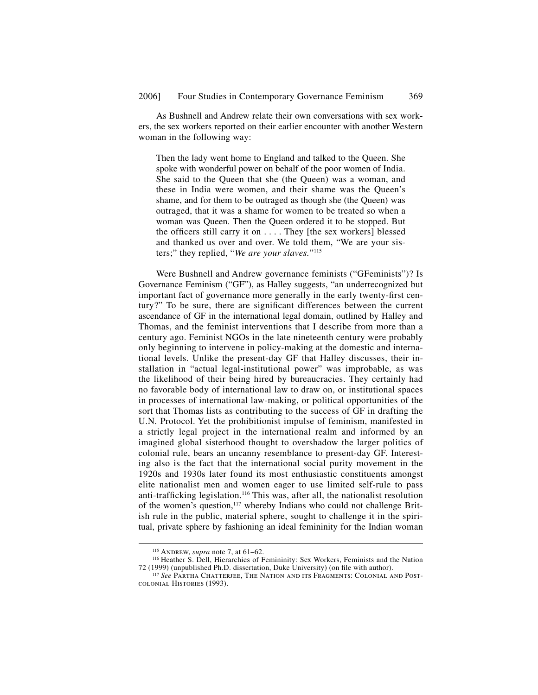As Bushnell and Andrew relate their own conversations with sex workers, the sex workers reported on their earlier encounter with another Western woman in the following way:

Then the lady went home to England and talked to the Queen. She spoke with wonderful power on behalf of the poor women of India. She said to the Queen that she (the Queen) was a woman, and these in India were women, and their shame was the Queen's shame, and for them to be outraged as though she (the Queen) was outraged, that it was a shame for women to be treated so when a woman was Queen. Then the Queen ordered it to be stopped. But the officers still carry it on  $\dots$ . They [the sex workers] blessed and thanked us over and over. We told them, "We are your sisters;" they replied, "*We are your slaves.*"115

Were Bushnell and Andrew governance feminists ("GFeminists")? Is Governance Feminism ("GF"), as Halley suggests, "an underrecognized but important fact of governance more generally in the early twenty-first century?" To be sure, there are significant differences between the current ascendance of GF in the international legal domain, outlined by Halley and Thomas, and the feminist interventions that I describe from more than a century ago. Feminist NGOs in the late nineteenth century were probably only beginning to intervene in policy-making at the domestic and international levels. Unlike the present-day GF that Halley discusses, their installation in "actual legal-institutional power" was improbable, as was the likelihood of their being hired by bureaucracies. They certainly had no favorable body of international law to draw on, or institutional spaces in processes of international law-making, or political opportunities of the sort that Thomas lists as contributing to the success of GF in drafting the U.N. Protocol. Yet the prohibitionist impulse of feminism, manifested in a strictly legal project in the international realm and informed by an imagined global sisterhood thought to overshadow the larger politics of colonial rule, bears an uncanny resemblance to present-day GF. Interesting also is the fact that the international social purity movement in the 1920s and 1930s later found its most enthusiastic constituents amongst elite nationalist men and women eager to use limited self-rule to pass anti-trafficking legislation.<sup>116</sup> This was, after all, the nationalist resolution of the women's question,<sup>117</sup> whereby Indians who could not challenge British rule in the public, material sphere, sought to challenge it in the spiritual, private sphere by fashioning an ideal femininity for the Indian woman

<sup>&</sup>lt;sup>115</sup> Andrew, *supra* note 7, at 61–62.<br><sup>116</sup> Heather S. Dell, Hierarchies of Femininity: Sex Workers, Feminists and the Nation 72 (1999) (unpublished Ph.D. dissertation, Duke University) (on file with author).

<sup>&</sup>lt;sup>117</sup> See Partha Chatterjee, The Nation and its Fragments: Colonial and Postcolonial Histories (1993).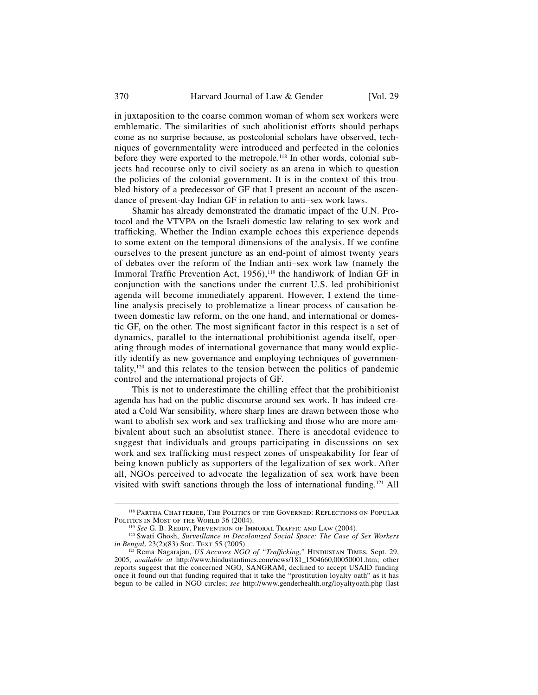in juxtaposition to the coarse common woman of whom sex workers were emblematic. The similarities of such abolitionist efforts should perhaps come as no surprise because, as postcolonial scholars have observed, techniques of governmentality were introduced and perfected in the colonies before they were exported to the metropole.<sup>118</sup> In other words, colonial subjects had recourse only to civil society as an arena in which to question the policies of the colonial government. It is in the context of this troubled history of a predecessor of GF that I present an account of the ascendance of present-day Indian GF in relation to anti–sex work laws.

Shamir has already demonstrated the dramatic impact of the U.N. Protocol and the VTVPA on the Israeli domestic law relating to sex work and trafficking. Whether the Indian example echoes this experience depends to some extent on the temporal dimensions of the analysis. If we confine ourselves to the present juncture as an end-point of almost twenty years of debates over the reform of the Indian anti–sex work law (namely the Immoral Traffic Prevention Act, 1956),<sup>119</sup> the handiwork of Indian GF in conjunction with the sanctions under the current U.S. led prohibitionist agenda will become immediately apparent. However, I extend the timeline analysis precisely to problematize a linear process of causation between domestic law reform, on the one hand, and international or domestic GF, on the other. The most significant factor in this respect is a set of dynamics, parallel to the international prohibitionist agenda itself, operating through modes of international governance that many would explicitly identify as new governance and employing techniques of governmentality,120 and this relates to the tension between the politics of pandemic control and the international projects of GF.

This is not to underestimate the chilling effect that the prohibitionist agenda has had on the public discourse around sex work. It has indeed created a Cold War sensibility, where sharp lines are drawn between those who want to abolish sex work and sex trafficking and those who are more ambivalent about such an absolutist stance. There is anecdotal evidence to suggest that individuals and groups participating in discussions on sex work and sex trafficking must respect zones of unspeakability for fear of being known publicly as supporters of the legalization of sex work. After all, NGOs perceived to advocate the legalization of sex work have been visited with swift sanctions through the loss of international funding.<sup>121</sup> All

<sup>&</sup>lt;sup>118</sup> PARTHA CHATTERJEE, THE POLITICS OF THE GOVERNED: REFLECTIONS ON POPULAR

POLITICS IN MOST OF THE WORLD 36 (2004).<br><sup>119</sup> *See* G. B. REDDY, PREVENTION OF IMMORAL TRAFFIC AND LAW (2004).<br><sup>120</sup> Swati Ghosh, *Surveillance in Decolonized Social Space: The Case of Sex Workers*<br>*in Bengal*, 23(2)(83) *in Bengal*, 23(2)(83) Soc. Text 55 (2005). <sup>121</sup> Rema Nagarajan, *US Accuses NGO of "Trafficking,"* HINDUSTAN TIMES, Sept. 29,

<sup>2005,</sup> *available at* http://www.hindustantimes.com/news/181\_1504660,00050001.htm; other reports suggest that the concerned NGO, SANGRAM, declined to accept USAID funding once it found out that funding required that it take the "prostitution loyalty oath" as it has begun to be called in NGO circles; *see* http://www.genderhealth.org/loyaltyoath.php (last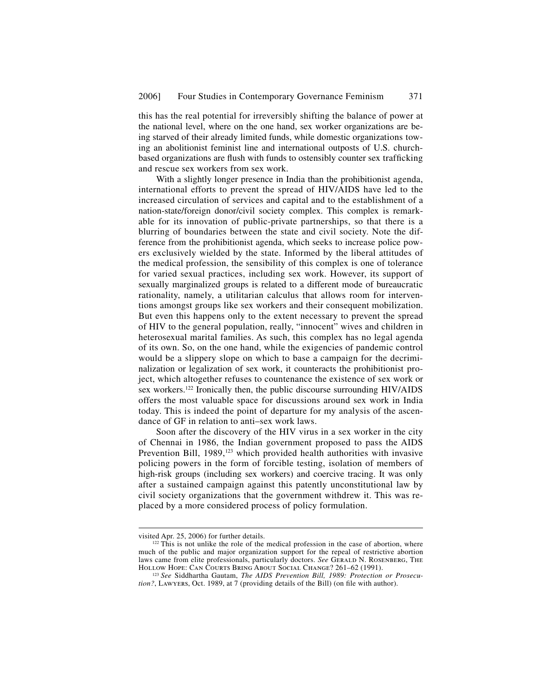this has the real potential for irreversibly shifting the balance of power at the national level, where on the one hand, sex worker organizations are being starved of their already limited funds, while domestic organizations towing an abolitionist feminist line and international outposts of U.S. churchbased organizations are flush with funds to ostensibly counter sex trafficking and rescue sex workers from sex work.

With a slightly longer presence in India than the prohibitionist agenda, international efforts to prevent the spread of HIV/AIDS have led to the increased circulation of services and capital and to the establishment of a nation-state/foreign donor/civil society complex. This complex is remarkable for its innovation of public-private partnerships, so that there is a blurring of boundaries between the state and civil society. Note the difference from the prohibitionist agenda, which seeks to increase police powers exclusively wielded by the state. Informed by the liberal attitudes of the medical profession, the sensibility of this complex is one of tolerance for varied sexual practices, including sex work. However, its support of sexually marginalized groups is related to a different mode of bureaucratic rationality, namely, a utilitarian calculus that allows room for interventions amongst groups like sex workers and their consequent mobilization. But even this happens only to the extent necessary to prevent the spread of HIV to the general population, really, "innocent" wives and children in heterosexual marital families. As such, this complex has no legal agenda of its own. So, on the one hand, while the exigencies of pandemic control would be a slippery slope on which to base a campaign for the decriminalization or legalization of sex work, it counteracts the prohibitionist project, which altogether refuses to countenance the existence of sex work or sex workers.<sup>122</sup> Ironically then, the public discourse surrounding HIV/AIDS offers the most valuable space for discussions around sex work in India today. This is indeed the point of departure for my analysis of the ascendance of GF in relation to anti–sex work laws.

Soon after the discovery of the HIV virus in a sex worker in the city of Chennai in 1986, the Indian government proposed to pass the AIDS Prevention Bill, 1989,<sup>123</sup> which provided health authorities with invasive policing powers in the form of forcible testing, isolation of members of high-risk groups (including sex workers) and coercive tracing. It was only after a sustained campaign against this patently unconstitutional law by civil society organizations that the government withdrew it. This was replaced by a more considered process of policy formulation.

visited Apr. 25, 2006) for further details.

 $^{122}$  This is not unlike the role of the medical profession in the case of abortion, where much of the public and major organization support for the repeal of restrictive abortion laws came from elite professionals, particularly doctors. *See* GERALD N. ROSENBERG, THE HOLLOW HOPE: CAN COURTS BRING ABOUT SOCIAL CHANGE? 261–62 (1991).

<sup>&</sup>lt;sup>123</sup> See Siddhartha Gautam, *The AIDS Prevention Bill, 1989: Protection or Prosecution?*, LAWYERS, Oct. 1989, at 7 (providing details of the Bill) (on file with author).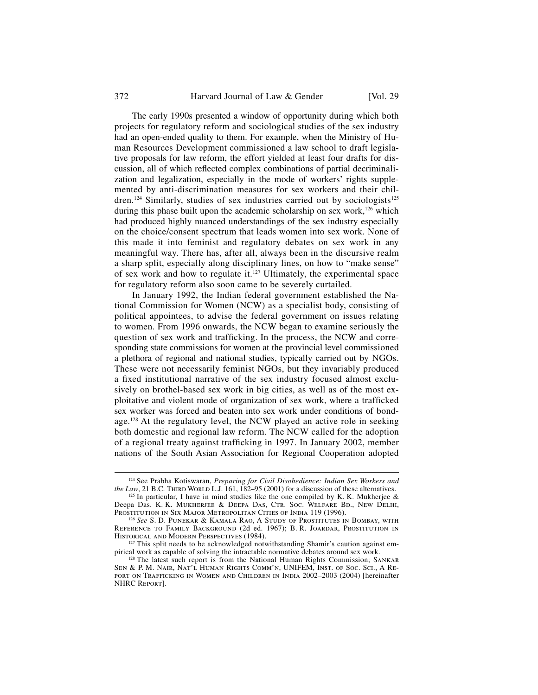#### 372 Harvard Journal of Law & Gender [Vol. 29]

The early 1990s presented a window of opportunity during which both projects for regulatory reform and sociological studies of the sex industry had an open-ended quality to them. For example, when the Ministry of Human Resources Development commissioned a law school to draft legislative proposals for law reform, the effort yielded at least four drafts for discussion, all of which reflected complex combinations of partial decriminalization and legalization, especially in the mode of workers' rights supplemented by anti-discrimination measures for sex workers and their children.<sup>124</sup> Similarly, studies of sex industries carried out by sociologists<sup>125</sup> during this phase built upon the academic scholarship on sex work, $126$  which had produced highly nuanced understandings of the sex industry especially on the choice/consent spectrum that leads women into sex work. None of this made it into feminist and regulatory debates on sex work in any meaningful way. There has, after all, always been in the discursive realm a sharp split, especially along disciplinary lines, on how to "make sense" of sex work and how to regulate it.<sup>127</sup> Ultimately, the experimental space for regulatory reform also soon came to be severely curtailed.

In January 1992, the Indian federal government established the National Commission for Women (NCW) as a specialist body, consisting of political appointees, to advise the federal government on issues relating to women. From 1996 onwards, the NCW began to examine seriously the question of sex work and trafficking. In the process, the NCW and corresponding state commissions for women at the provincial level commissioned a plethora of regional and national studies, typically carried out by NGOs. These were not necessarily feminist NGOs, but they invariably produced a fixed institutional narrative of the sex industry focused almost exclusively on brothel-based sex work in big cities, as well as of the most exploitative and violent mode of organization of sex work, where a trafficked sex worker was forced and beaten into sex work under conditions of bondage.<sup>128</sup> At the regulatory level, the NCW played an active role in seeking both domestic and regional law reform. The NCW called for the adoption of a regional treaty against trafficking in 1997. In January 2002, member nations of the South Asian Association for Regional Cooperation adopted

<sup>&</sup>lt;sup>124</sup> See Prabha Kotiswaran, *Preparing for Civil Disobedience: Indian Sex Workers and the Law*, 21 B.C. THIRD WORLD L.J. 161, 182–95 (2001) for a discussion of these alternatives.

<sup>&</sup>lt;sup>125</sup> In particular, I have in mind studies like the one compiled by K. K. Mukherjee  $\&$ Deepa Das. K. K. Mukherjee & Deepa Das, Ctr. Soc. Welfare Bd., New Delhi,<br>Prostitution in Six Major Metropolitan Cities of India 119 (1996).

<sup>&</sup>lt;sup>126</sup> See S. D. PUNEKAR & KAMALA RAO, A STUDY OF PROSTITUTES IN BOMBAY, WITH Reference to Family Background (2d ed. 1967); B. R. Joardar, Prostitution in Historical and Modern Perspectives (1984).

 $127$  This split needs to be acknowledged notwithstanding Shamir's caution against empirical work as capable of solving the intractable normative debates around sex work.

<sup>&</sup>lt;sup>128</sup> The latest such report is from the National Human Rights Commission; SANKAR Sen & P. M. Nair, Nat'l Human Rights Comm'n, UNIFEM, Inst. of Soc. Sci., A Report on Trafficking in Women and Children in India 2002–2003 (2004) [hereinafter NHRC Report].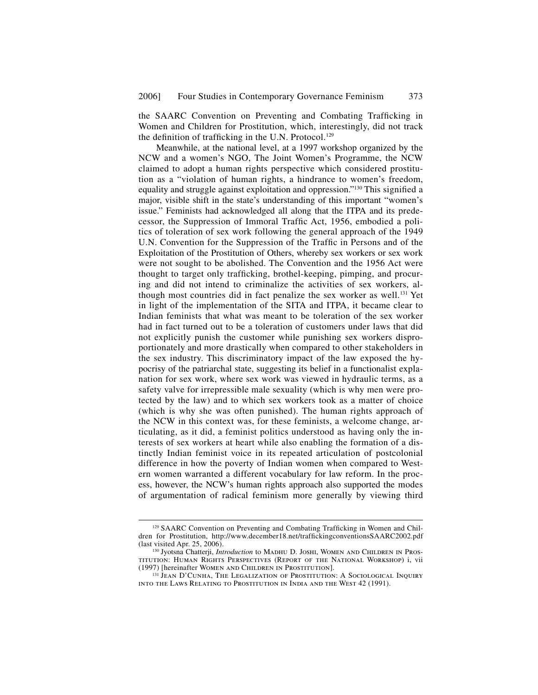the SAARC Convention on Preventing and Combating Trafficking in Women and Children for Prostitution, which, interestingly, did not track the definition of trafficking in the U.N. Protocol.<sup>129</sup>

Meanwhile, at the national level, at a 1997 workshop organized by the NCW and a women's NGO, The Joint Women's Programme, the NCW claimed to adopt a human rights perspective which considered prostitution as a "violation of human rights, a hindrance to women's freedom, equality and struggle against exploitation and oppression."<sup>130</sup> This signified a major, visible shift in the state's understanding of this important "women's issue." Feminists had acknowledged all along that the ITPA and its predecessor, the Suppression of Immoral Traffic Act, 1956, embodied a politics of toleration of sex work following the general approach of the 1949 U.N. Convention for the Suppression of the Traffic in Persons and of the Exploitation of the Prostitution of Others, whereby sex workers or sex work were not sought to be abolished. The Convention and the 1956 Act were thought to target only trafficking, brothel-keeping, pimping, and procuring and did not intend to criminalize the activities of sex workers, although most countries did in fact penalize the sex worker as well.131 Yet in light of the implementation of the SITA and ITPA, it became clear to Indian feminists that what was meant to be toleration of the sex worker had in fact turned out to be a toleration of customers under laws that did not explicitly punish the customer while punishing sex workers disproportionately and more drastically when compared to other stakeholders in the sex industry. This discriminatory impact of the law exposed the hypocrisy of the patriarchal state, suggesting its belief in a functionalist explanation for sex work, where sex work was viewed in hydraulic terms, as a safety valve for irrepressible male sexuality (which is why men were protected by the law) and to which sex workers took as a matter of choice (which is why she was often punished). The human rights approach of the NCW in this context was, for these feminists, a welcome change, articulating, as it did, a feminist politics understood as having only the interests of sex workers at heart while also enabling the formation of a distinctly Indian feminist voice in its repeated articulation of postcolonial difference in how the poverty of Indian women when compared to Western women warranted a different vocabulary for law reform. In the process, however, the NCW's human rights approach also supported the modes of argumentation of radical feminism more generally by viewing third

 $129$  SAARC Convention on Preventing and Combating Trafficking in Women and Children for Prostitution, http://www.december18.net/traffickingconventionsSAARC2002.pdf (last visited Apr. 25, 2006).

<sup>&</sup>lt;sup>130</sup> Jyotsna Chatterji, *Introduction* to MADHU D. JOSHI, WOMEN AND CHILDREN IN PROStitution: Human Rights Perspectives (Report of the National Workshop) i, vii

<sup>&</sup>lt;sup>131</sup> Jean D'Cunha, The Legalization of Prostitution: A Sociological Inquiry into the Laws Relating to Prostitution in India and the West 42 (1991).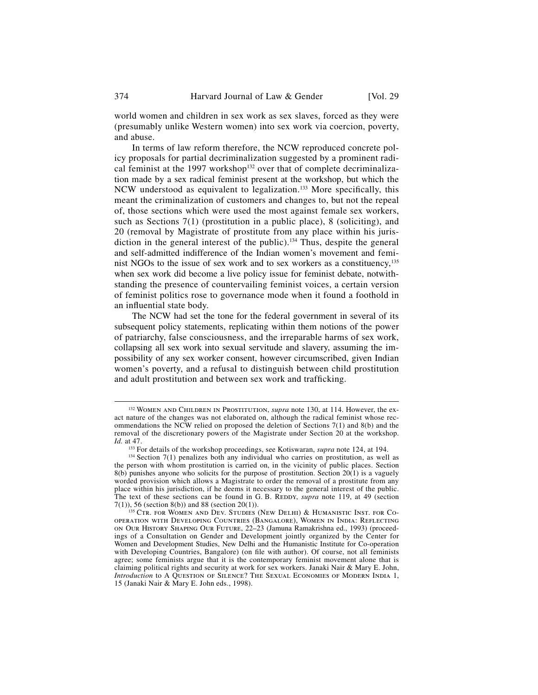world women and children in sex work as sex slaves, forced as they were (presumably unlike Western women) into sex work via coercion, poverty, and abuse.

In terms of law reform therefore, the NCW reproduced concrete policy proposals for partial decriminalization suggested by a prominent radical feminist at the 1997 workshop<sup>132</sup> over that of complete decriminalization made by a sex radical feminist present at the workshop, but which the NCW understood as equivalent to legalization.<sup>133</sup> More specifically, this meant the criminalization of customers and changes to, but not the repeal of, those sections which were used the most against female sex workers, such as Sections 7(1) (prostitution in a public place), 8 (soliciting), and 20 (removal by Magistrate of prostitute from any place within his jurisdiction in the general interest of the public).<sup>134</sup> Thus, despite the general and self-admitted indifference of the Indian women's movement and feminist NGOs to the issue of sex work and to sex workers as a constituency,<sup>135</sup> when sex work did become a live policy issue for feminist debate, notwithstanding the presence of countervailing feminist voices, a certain version of feminist politics rose to governance mode when it found a foothold in an influential state body.

The NCW had set the tone for the federal government in several of its subsequent policy statements, replicating within them notions of the power of patriarchy, false consciousness, and the irreparable harms of sex work, collapsing all sex work into sexual servitude and slavery, assuming the impossibility of any sex worker consent, however circumscribed, given Indian women's poverty, and a refusal to distinguish between child prostitution and adult prostitution and between sex work and trafficking.

 <sup>132</sup> Women and Children in Prostitution, *supra* note 130, at 114. However, the exact nature of the changes was not elaborated on, although the radical feminist whose recommendations the NCW relied on proposed the deletion of Sections 7(1) and 8(b) and the removal of the discretionary powers of the Magistrate under Section 20 at the workshop.

*Id.* at 47. <sup>133</sup> For details of the workshop proceedings, see Kotiswaran, *supra* note 124, at 194.

<sup>&</sup>lt;sup>134</sup> Section 7(1) penalizes both any individual who carries on prostitution, as well as the person with whom prostitution is carried on, in the vicinity of public places. Section  $8(b)$  punishes anyone who solicits for the purpose of prostitution. Section  $20(1)$  is a vaguely worded provision which allows a Magistrate to order the removal of a prostitute from any place within his jurisdiction, if he deems it necessary to the general interest of the public. The text of these sections can be found in G. B. REDDY, *supra* note 119, at 49 (section  $7(1)$ ), 56 (section 8(b)) and 88 (section 20(1)).

 $^{135}$  Ctr. for Women and Dev. Studies (New Delhi) & Humanistic Inst. for Cooperation with Developing Countries (Bangalore), Women in India: Reflecting on Our History Shaping Our Future, 22–23 (Jamuna Ramakrishna ed., 1993) (proceedings of a Consultation on Gender and Development jointly organized by the Center for Women and Development Studies, New Delhi and the Humanistic Institute for Co-operation with Developing Countries, Bangalore) (on file with author). Of course, not all feminists agree; some feminists argue that it is the contemporary feminist movement alone that is claiming political rights and security at work for sex workers. Janaki Nair & Mary E. John, *Introduction* to A QUESTION OF SILENCE? THE SEXUAL ECONOMIES OF MODERN INDIA 1, 15 (Janaki Nair & Mary E. John eds., 1998).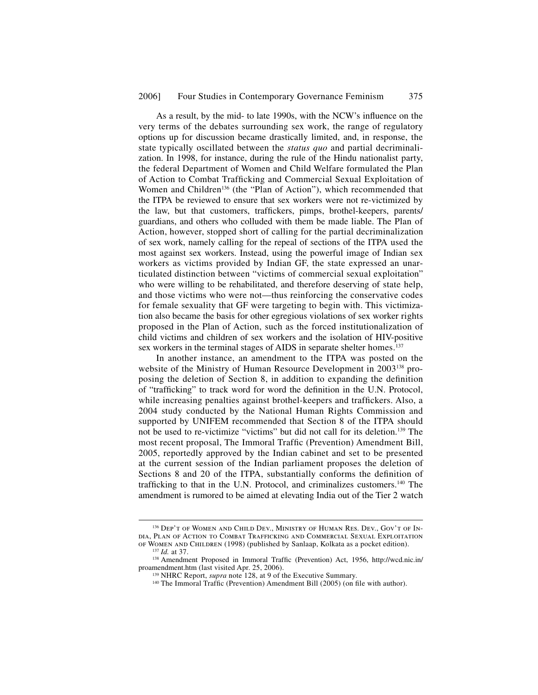As a result, by the mid- to late 1990s, with the NCW's influence on the very terms of the debates surrounding sex work, the range of regulatory options up for discussion became drastically limited, and, in response, the state typically oscillated between the *status quo* and partial decriminalization. In 1998, for instance, during the rule of the Hindu nationalist party, the federal Department of Women and Child Welfare formulated the Plan of Action to Combat Trafficking and Commercial Sexual Exploitation of Women and Children<sup>136</sup> (the "Plan of Action"), which recommended that the ITPA be reviewed to ensure that sex workers were not re-victimized by the law, but that customers, traffickers, pimps, brothel-keepers, parents/ guardians, and others who colluded with them be made liable. The Plan of Action, however, stopped short of calling for the partial decriminalization of sex work, namely calling for the repeal of sections of the ITPA used the most against sex workers. Instead, using the powerful image of Indian sex workers as victims provided by Indian GF, the state expressed an unarticulated distinction between "victims of commercial sexual exploitation" who were willing to be rehabilitated, and therefore deserving of state help, and those victims who were not—thus reinforcing the conservative codes for female sexuality that GF were targeting to begin with. This victimization also became the basis for other egregious violations of sex worker rights proposed in the Plan of Action, such as the forced institutionalization of child victims and children of sex workers and the isolation of HIV-positive sex workers in the terminal stages of AIDS in separate shelter homes.<sup>137</sup>

In another instance, an amendment to the ITPA was posted on the website of the Ministry of Human Resource Development in 2003<sup>138</sup> proposing the deletion of Section 8, in addition to expanding the definition of "trafficking" to track word for word the definition in the U.N. Protocol, while increasing penalties against brothel-keepers and traffickers. Also, a 2004 study conducted by the National Human Rights Commission and supported by UNIFEM recommended that Section 8 of the ITPA should not be used to re-victimize "victims" but did not call for its deletion.139 The most recent proposal, The Immoral Traffic (Prevention) Amendment Bill, 2005, reportedly approved by the Indian cabinet and set to be presented at the current session of the Indian parliament proposes the deletion of Sections 8 and 20 of the ITPA, substantially conforms the definition of trafficking to that in the U.N. Protocol, and criminalizes customers. $140$  The amendment is rumored to be aimed at elevating India out of the Tier 2 watch

 <sup>136</sup> Dep't of Women and Child Dev., Ministry of Human Res. Dev., Gov't of India, Plan of Action to Combat Trafficking and Commercial Sexual Exploitation

of Women and Children (1998) (published by Sanlaap, Kolkata as a pocket edition).<br><sup>137</sup> *Id.* at 37.<br><sup>138</sup> Amendment Proposed in Immoral Traffic (Prevention) Act, 1956, http://wcd.nic.in/<br>proamendment.htm (last visited Apr

<sup>&</sup>lt;sup>139</sup> NHRC Report, *supra* note 128, at 9 of the Executive Summary.<br><sup>140</sup> The Immoral Traffic (Prevention) Amendment Bill (2005) (on file with author).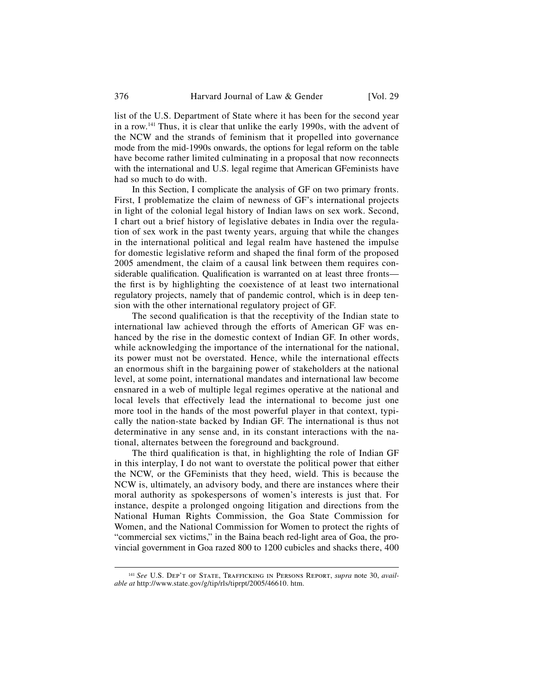list of the U.S. Department of State where it has been for the second year in a row.141 Thus, it is clear that unlike the early 1990s, with the advent of the NCW and the strands of feminism that it propelled into governance mode from the mid-1990s onwards, the options for legal reform on the table have become rather limited culminating in a proposal that now reconnects with the international and U.S. legal regime that American GFeminists have had so much to do with.

In this Section, I complicate the analysis of GF on two primary fronts. First, I problematize the claim of newness of GF's international projects in light of the colonial legal history of Indian laws on sex work. Second, I chart out a brief history of legislative debates in India over the regulation of sex work in the past twenty years, arguing that while the changes in the international political and legal realm have hastened the impulse for domestic legislative reform and shaped the final form of the proposed 2005 amendment, the claim of a causal link between them requires considerable qualification. Qualification is warranted on at least three fronts the first is by highlighting the coexistence of at least two international regulatory projects, namely that of pandemic control, which is in deep tension with the other international regulatory project of GF.

The second qualification is that the receptivity of the Indian state to international law achieved through the efforts of American GF was enhanced by the rise in the domestic context of Indian GF. In other words, while acknowledging the importance of the international for the national, its power must not be overstated. Hence, while the international effects an enormous shift in the bargaining power of stakeholders at the national level, at some point, international mandates and international law become ensnared in a web of multiple legal regimes operative at the national and local levels that effectively lead the international to become just one more tool in the hands of the most powerful player in that context, typically the nation-state backed by Indian GF. The international is thus not determinative in any sense and, in its constant interactions with the national, alternates between the foreground and background.

The third qualification is that, in highlighting the role of Indian GF in this interplay, I do not want to overstate the political power that either the NCW, or the GFeminists that they heed, wield. This is because the NCW is, ultimately, an advisory body, and there are instances where their moral authority as spokespersons of women's interests is just that. For instance, despite a prolonged ongoing litigation and directions from the National Human Rights Commission, the Goa State Commission for Women, and the National Commission for Women to protect the rights of "commercial sex victims," in the Baina beach red-light area of Goa, the provincial government in Goa razed 800 to 1200 cubicles and shacks there, 400

<sup>&</sup>lt;sup>141</sup> See U.S. DEP'T OF STATE, TRAFFICKING IN PERSONS REPORT, *supra* note 30, *available at* http://www.state.gov/g/tip/rls/tiprpt/2005/46610. htm.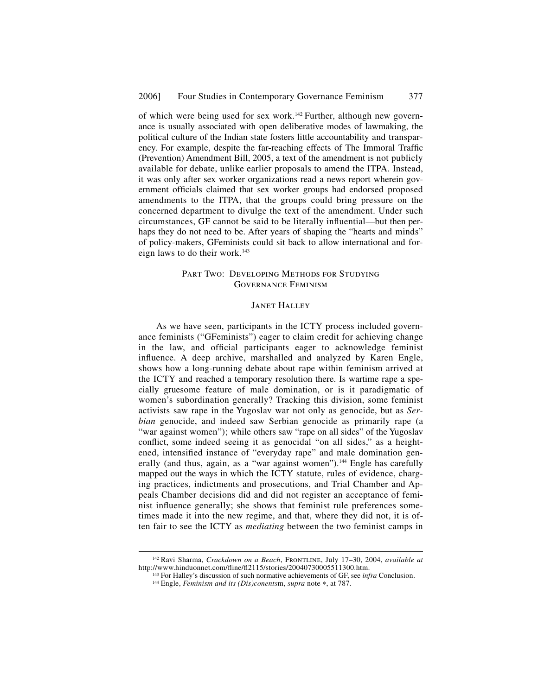of which were being used for sex work.<sup>142</sup> Further, although new governance is usually associated with open deliberative modes of lawmaking, the political culture of the Indian state fosters little accountability and transparency. For example, despite the far-reaching effects of The Immoral Traffic (Prevention) Amendment Bill, 2005, a text of the amendment is not publicly available for debate, unlike earlier proposals to amend the ITPA. Instead, it was only after sex worker organizations read a news report wherein government officials claimed that sex worker groups had endorsed proposed amendments to the ITPA, that the groups could bring pressure on the concerned department to divulge the text of the amendment. Under such circumstances, GF cannot be said to be literally influential—but then perhaps they do not need to be. After years of shaping the "hearts and minds" of policy-makers, GFeminists could sit back to allow international and foreign laws to do their work.<sup>143</sup>

# PART TWO: DEVELOPING METHODS FOR STUDYING Governance Feminism

#### Janet Halley

As we have seen, participants in the ICTY process included governance feminists ("GFeminists") eager to claim credit for achieving change in the law, and official participants eager to acknowledge feminist influence. A deep archive, marshalled and analyzed by Karen Engle, shows how a long-running debate about rape within feminism arrived at the ICTY and reached a temporary resolution there. Is wartime rape a specially gruesome feature of male domination, or is it paradigmatic of women's subordination generally? Tracking this division, some feminist activists saw rape in the Yugoslav war not only as genocide, but as *Serbian* genocide, and indeed saw Serbian genocide as primarily rape (a "war against women"); while others saw "rape on all sides" of the Yugoslav conflict, some indeed seeing it as genocidal "on all sides," as a heightened, intensified instance of "everyday rape" and male domination generally (and thus, again, as a "war against women").<sup>144</sup> Engle has carefully mapped out the ways in which the ICTY statute, rules of evidence, charging practices, indictments and prosecutions, and Trial Chamber and Appeals Chamber decisions did and did not register an acceptance of feminist influence generally; she shows that feminist rule preferences sometimes made it into the new regime, and that, where they did not, it is often fair to see the ICTY as *mediating* between the two feminist camps in

<sup>&</sup>lt;sup>142</sup> Ravi Sharma, *Crackdown on a Beach*, FRONTLINE, July 17–30, 2004, *available at* http://www.hinduonnet.com/fline/fl2115/stories/20040730005511300.htm.

<sup>&</sup>lt;sup>143</sup> For Halley's discussion of such normative achievements of GF, see *infra* Conclusion.<br><sup>144</sup> Engle, *Feminism and its (Dis)conentsm, supra* note  $*$ , at 787.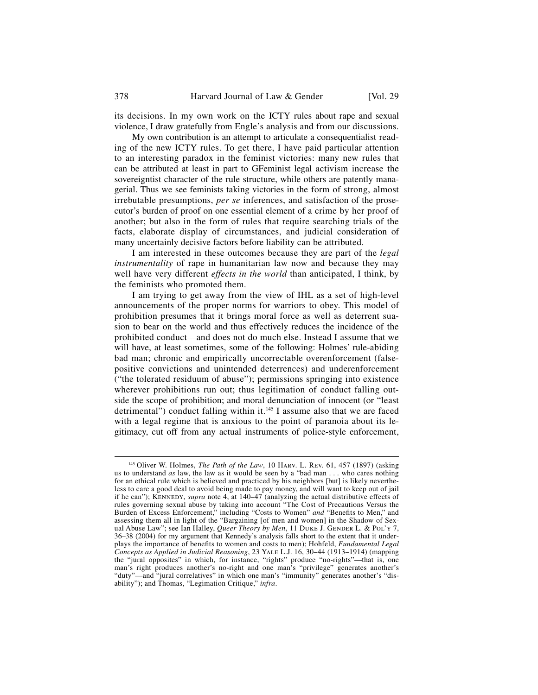its decisions. In my own work on the ICTY rules about rape and sexual violence, I draw gratefully from Engle's analysis and from our discussions.

My own contribution is an attempt to articulate a consequentialist reading of the new ICTY rules. To get there, I have paid particular attention to an interesting paradox in the feminist victories: many new rules that can be attributed at least in part to GFeminist legal activism increase the sovereigntist character of the rule structure, while others are patently managerial. Thus we see feminists taking victories in the form of strong, almost irrebutable presumptions, *per se* inferences, and satisfaction of the prosecutor's burden of proof on one essential element of a crime by her proof of another; but also in the form of rules that require searching trials of the facts, elaborate display of circumstances, and judicial consideration of many uncertainly decisive factors before liability can be attributed.

I am interested in these outcomes because they are part of the *legal instrumentality* of rape in humanitarian law now and because they may well have very different *effects in the world* than anticipated, I think, by the feminists who promoted them.

I am trying to get away from the view of IHL as a set of high-level announcements of the proper norms for warriors to obey. This model of prohibition presumes that it brings moral force as well as deterrent suasion to bear on the world and thus effectively reduces the incidence of the prohibited conduct—and does not do much else. Instead I assume that we will have, at least sometimes, some of the following: Holmes' rule-abiding bad man; chronic and empirically uncorrectable overenforcement (falsepositive convictions and unintended deterrences) and underenforcement ("the tolerated residuum of abuse"); permissions springing into existence wherever prohibitions run out; thus legitimation of conduct falling outside the scope of prohibition; and moral denunciation of innocent (or "least detrimental") conduct falling within it. $145$  I assume also that we are faced with a legal regime that is anxious to the point of paranoia about its legitimacy, cut off from any actual instruments of police-style enforcement,

 <sup>145</sup> Oliver W. Holmes, *The Path of the Law*, 10 Harv. L. Rev. 61, 457 (1897) (asking us to understand *as* law, the law as it would be seen by a "bad man . . . who cares nothing for an ethical rule which is believed and practiced by his neighbors [but] is likely nevertheless to care a good deal to avoid being made to pay money, and will want to keep out of jail if he can"); Kennedy, *supra* note 4, at 140–47 (analyzing the actual distributive effects of rules governing sexual abuse by taking into account "The Cost of Precautions Versus the Burden of Excess Enforcement," including "Costs to Women" *and* "Benefits to Men," and assessing them all in light of the "Bargaining [of men and women] in the Shadow of Sexual Abuse Law"; see Ian Halley, *Queer Theory by Men*, 11 DUKE J. GENDER L. & POL'Y 7, 36–38 (2004) for my argument that Kennedy's analysis falls short to the extent that it underplays the importance of benefits to women and costs to men); Hohfeld, *Fundamental Legal Concepts as Applied in Judicial Reasoning*, 23 Yale L.J. 16, 30–44 (1913–1914) (mapping the "jural opposites" in which, for instance, "rights" produce "no-rights"—that is, one man's right produces another's no-right and one man's "privilege" generates another's "duty"—and "jural correlatives" in which one man's "immunity" generates another's "disability"); and Thomas, "Legimation Critique," *infra*.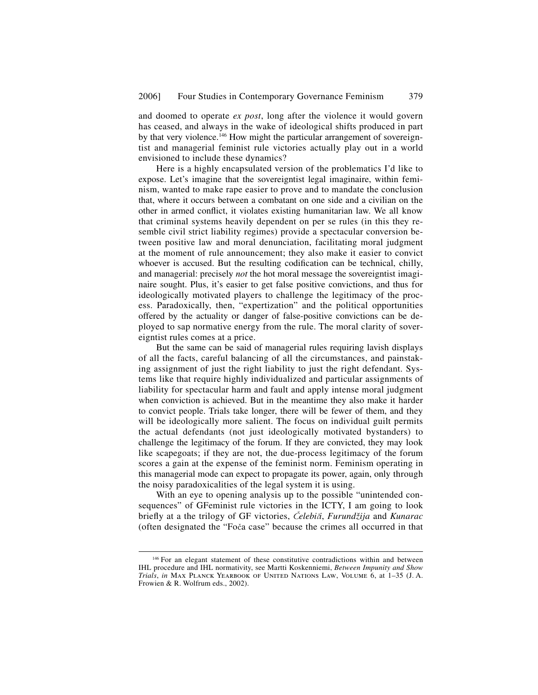and doomed to operate *ex post*, long after the violence it would govern has ceased, and always in the wake of ideological shifts produced in part by that very violence.<sup>146</sup> How might the particular arrangement of sovereigntist and managerial feminist rule victories actually play out in a world envisioned to include these dynamics?

Here is a highly encapsulated version of the problematics I'd like to expose. Let's imagine that the sovereigntist legal imaginaire, within feminism, wanted to make rape easier to prove and to mandate the conclusion that, where it occurs between a combatant on one side and a civilian on the other in armed conflict, it violates existing humanitarian law. We all know that criminal systems heavily dependent on per se rules (in this they resemble civil strict liability regimes) provide a spectacular conversion between positive law and moral denunciation, facilitating moral judgment at the moment of rule announcement; they also make it easier to convict whoever is accused. But the resulting codification can be technical, chilly, and managerial: precisely *not* the hot moral message the sovereigntist imaginaire sought. Plus, it's easier to get false positive convictions, and thus for ideologically motivated players to challenge the legitimacy of the process. Paradoxically, then, "expertization" and the political opportunities offered by the actuality or danger of false-positive convictions can be deployed to sap normative energy from the rule. The moral clarity of sovereigntist rules comes at a price.

But the same can be said of managerial rules requiring lavish displays of all the facts, careful balancing of all the circumstances, and painstaking assignment of just the right liability to just the right defendant. Systems like that require highly individualized and particular assignments of liability for spectacular harm and fault and apply intense moral judgment when conviction is achieved. But in the meantime they also make it harder to convict people. Trials take longer, there will be fewer of them, and they will be ideologically more salient. The focus on individual guilt permits the actual defendants (not just ideologically motivated bystanders) to challenge the legitimacy of the forum. If they are convicted, they may look like scapegoats; if they are not, the due-process legitimacy of the forum scores a gain at the expense of the feminist norm. Feminism operating in this managerial mode can expect to propagate its power, again, only through the noisy paradoxicalities of the legal system it is using.

With an eye to opening analysis up to the possible "unintended consequences" of GFeminist rule victories in the ICTY, I am going to look briefly at a the trilogy of GF victories, *Čelebiči*, *Furundžija* and *Kunarac* (often designated the "Foča case" because the crimes all occurred in that

<sup>&</sup>lt;sup>146</sup> For an elegant statement of these constitutive contradictions within and between IHL procedure and IHL normativity, see Martti Koskenniemi, *Between Impunity and Show Trials*, *in* Max Planck Yearbook of United Nations Law, Volume 6, at 1–35 (J. A. Frowien & R. Wolfrum eds., 2002).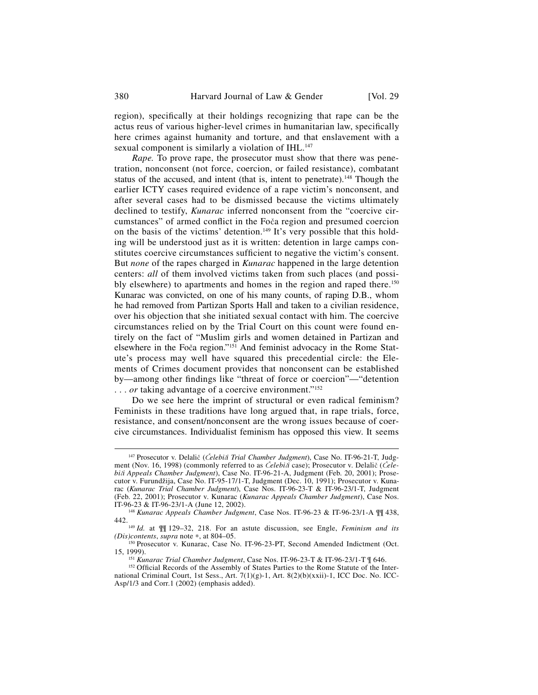region), specifically at their holdings recognizing that rape can be the actus reus of various higher-level crimes in humanitarian law, specifically here crimes against humanity and torture, and that enslavement with a sexual component is similarly a violation of IHL.<sup>147</sup>

*Rape.* To prove rape, the prosecutor must show that there was penetration, nonconsent (not force, coercion, or failed resistance), combatant status of the accused, and intent (that is, intent to penetrate).<sup>148</sup> Though the earlier ICTY cases required evidence of a rape victim's nonconsent, and after several cases had to be dismissed because the victims ultimately declined to testify, *Kunarac* inferred nonconsent from the "coercive circumstances" of armed conflict in the Foča region and presumed coercion on the basis of the victims' detention.<sup>149</sup> It's very possible that this holding will be understood just as it is written: detention in large camps constitutes coercive circumstances sufficient to negative the victim's consent. But *none* of the rapes charged in *Kunarac* happened in the large detention centers: *all* of them involved victims taken from such places (and possibly elsewhere) to apartments and homes in the region and raped there.<sup>150</sup> Kunarac was convicted, on one of his many counts, of raping D.B., whom he had removed from Partizan Sports Hall and taken to a civilian residence, over his objection that she initiated sexual contact with him. The coercive circumstances relied on by the Trial Court on this count were found entirely on the fact of "Muslim girls and women detained in Partizan and elsewhere in the Foča region."<sup>151</sup> And feminist advocacy in the Rome Statute's process may well have squared this precedential circle: the Elements of Crimes document provides that nonconsent can be established by—among other findings like "threat of force or coercion"—"detention ... *or* taking advantage of a coercive environment."<sup>152</sup>

Do we see here the imprint of structural or even radical feminism? Feminists in these traditions have long argued that, in rape trials, force, resistance, and consent/nonconsent are the wrong issues because of coercive circumstances. Individualist feminism has opposed this view. It seems

 <sup>147</sup> Prosecutor v. Delali<sup>č</sup> (Č*elebi*č*i Trial Chamber Judgment*), Case No. IT-96-21-T, Judgment (Nov. 16, 1998) (commonly referred to as Č*elebi*č*i* case); Prosecutor v. Delalič (Č*elebi*č*i Appeals Chamber Judgment*), Case No. IT-96-21-A, Judgment (Feb. 20, 2001); Prosecutor v. Furundžija, Case No. IT-95-17/1-T, Judgment (Dec. 10, 1991); Prosecutor v. Kunarac (*Kunarac Trial Chamber Judgment*), Case Nos. IT-96-23-T & IT-96-23/1-T, Judgment (Feb. 22, 2001); Prosecutor v. Kunarac (*Kunarac Appeals Chamber Judgment*), Case Nos.

<sup>&</sup>lt;sup>148</sup> *Kunarac Appeals Chamber Judgment*, Case Nos. IT-96-23 & IT-96-23/1-A  $\P$  $\P$  438, 442.

<sup>&</sup>lt;sup>149</sup> *Id.* at  $\P$ [129–32, 218. For an astute discussion, see Engle, *Feminism and its (Dis)contents, supra* note \*, at 804–05.

<sup>&</sup>lt;sup>150</sup> Prosecutor v. Kunarac, Case No. IT-96-23-PT, Second Amended Indictment (Oct. 15, 1999).

<sup>&</sup>lt;sup>151</sup> *Kunarac Trial Chamber Judgment*, Case Nos. IT-96-23-T & IT-96-23/1-T ¶ 646.<br><sup>152</sup> Official Records of the Assembly of States Parties to the Rome Statute of the Inter-

national Criminal Court, 1st Sess., Art. 7(1)(g)-1, Art. 8(2)(b)(xxii)-1, ICC Doc. No. ICC-Asp/1/3 and Corr.1 (2002) (emphasis added).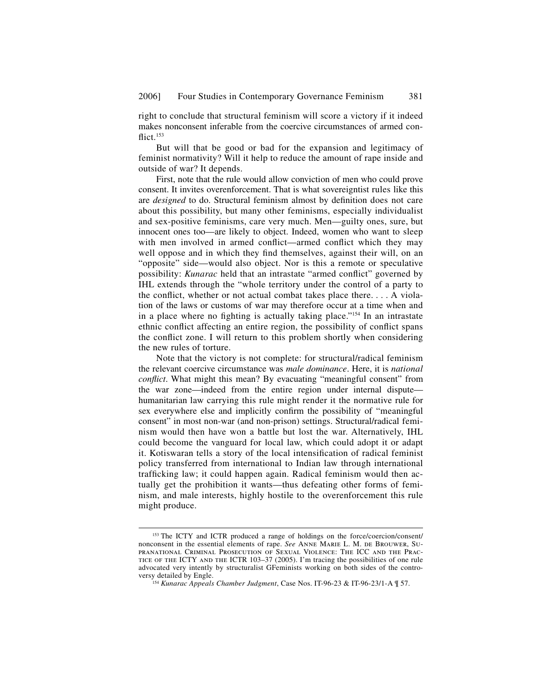right to conclude that structural feminism will score a victory if it indeed makes nonconsent inferable from the coercive circumstances of armed con $flict.<sup>153</sup>$ 

But will that be good or bad for the expansion and legitimacy of feminist normativity? Will it help to reduce the amount of rape inside and outside of war? It depends.

First, note that the rule would allow conviction of men who could prove consent. It invites overenforcement. That is what sovereigntist rules like this are *designed* to do. Structural feminism almost by definition does not care about this possibility, but many other feminisms, especially individualist and sex-positive feminisms, care very much. Men—guilty ones, sure, but innocent ones too—are likely to object. Indeed, women who want to sleep with men involved in armed conflict—armed conflict which they may well oppose and in which they find themselves, against their will, on an "opposite" side—would also object. Nor is this a remote or speculative possibility: *Kunarac* held that an intrastate "armed conflict" governed by IHL extends through the "whole territory under the control of a party to the conflict, whether or not actual combat takes place there.  $\ldots$  A violation of the laws or customs of war may therefore occur at a time when and in a place where no fighting is actually taking place."<sup>154</sup> In an intrastate ethnic conflict affecting an entire region, the possibility of conflict spans the conflict zone. I will return to this problem shortly when considering the new rules of torture.

Note that the victory is not complete: for structural/radical feminism the relevant coercive circumstance was *male dominance*. Here, it is *national conflict*. What might this mean? By evacuating "meaningful consent" from the war zone—indeed from the entire region under internal dispute humanitarian law carrying this rule might render it the normative rule for sex everywhere else and implicitly confirm the possibility of "meaningful" consent" in most non-war (and non-prison) settings. Structural/radical feminism would then have won a battle but lost the war. Alternatively, IHL could become the vanguard for local law, which could adopt it or adapt it. Kotiswaran tells a story of the local intensification of radical feminist policy transferred from international to Indian law through international trafficking law; it could happen again. Radical feminism would then actually get the prohibition it wants—thus defeating other forms of feminism, and male interests, highly hostile to the overenforcement this rule might produce.

<sup>&</sup>lt;sup>153</sup> The ICTY and ICTR produced a range of holdings on the force/coercion/consent/ nonconsent in the essential elements of rape. *See* Anne Marie L. M. de Brouwer, Supranational Criminal Prosecution of Sexual Violence: The ICC and the Prac-TICE OF THE ICTY AND THE ICTR 103-37 (2005). I'm tracing the possibilities of one rule advocated very intently by structuralist GFeminists working on both sides of the contro-

<sup>&</sup>lt;sup>154</sup> *Kunarac Appeals Chamber Judgment*, Case Nos. IT-96-23 & IT-96-23/1-A  $\parallel$  57.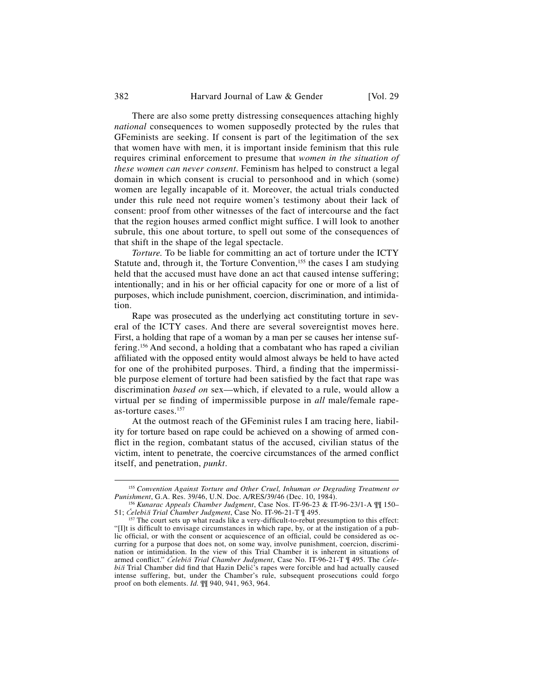There are also some pretty distressing consequences attaching highly *national* consequences to women supposedly protected by the rules that GFeminists are seeking. If consent is part of the legitimation of the sex that women have with men, it is important inside feminism that this rule requires criminal enforcement to presume that *women in the situation of these women can never consent*. Feminism has helped to construct a legal domain in which consent is crucial to personhood and in which (some) women are legally incapable of it. Moreover, the actual trials conducted under this rule need not require women's testimony about their lack of consent: proof from other witnesses of the fact of intercourse and the fact that the region houses armed conflict might suffice. I will look to another subrule, this one about torture, to spell out some of the consequences of that shift in the shape of the legal spectacle.

*Torture.* To be liable for committing an act of torture under the ICTY Statute and, through it, the Torture Convention,<sup>155</sup> the cases I am studying held that the accused must have done an act that caused intense suffering; intentionally; and in his or her official capacity for one or more of a list of purposes, which include punishment, coercion, discrimination, and intimidation.

Rape was prosecuted as the underlying act constituting torture in several of the ICTY cases. And there are several sovereigntist moves here. First, a holding that rape of a woman by a man per se causes her intense suffering.<sup>156</sup> And second, a holding that a combatant who has raped a civilian affiliated with the opposed entity would almost always be held to have acted for one of the prohibited purposes. Third, a finding that the impermissible purpose element of torture had been satisfied by the fact that rape was discrimination *based on* sex—which, if elevated to a rule, would allow a virtual per se finding of impermissible purpose in *all* male/female rapeas-torture cases.<sup>157</sup>

At the outmost reach of the GFeminist rules I am tracing here, liability for torture based on rape could be achieved on a showing of armed conflict in the region, combatant status of the accused, civilian status of the victim, intent to penetrate, the coercive circumstances of the armed conflict itself, and penetration, *punkt*.

<sup>&</sup>lt;sup>155</sup> Convention Against Torture and Other Cruel, Inhuman or Degrading Treatment or Punishment, G.A. Res. 39/46, U.N. Doc. A/RES/39/46 (Dec. 10, 1984).

<sup>&</sup>lt;sup>156</sup> *Kunarac Appeals Chamber Judgment*, Case Nos. IT-96-23 & IT-96-23/1-A  $\P$ [150–51; Čelebiči Trial Chamber Judgment, Case No. IT-96-21-T  $\P$  495.

<sup>&</sup>lt;sup>157</sup> The court sets up what reads like a very-difficult-to-rebut presumption to this effect: "[I]t is difficult to envisage circumstances in which rape, by, or at the instigation of a public official, or with the consent or acquiescence of an official, could be considered as occurring for a purpose that does not, on some way, involve punishment, coercion, discrimination or intimidation. In the view of this Trial Chamber it is inherent in situations of armed conflict." *Čelebiči Trial Chamber Judgment*, Case No. IT-96-21-T ¶ 495. The *Čelebi* $\tilde{a}$  Trial Chamber did find that Hazin Delič's rapes were forcible and had actually caused intense suffering, but, under the Chamber's rule, subsequent prosecutions could forgo proof on both elements. *Id.* ¶¶ 940, 941, 963, 964.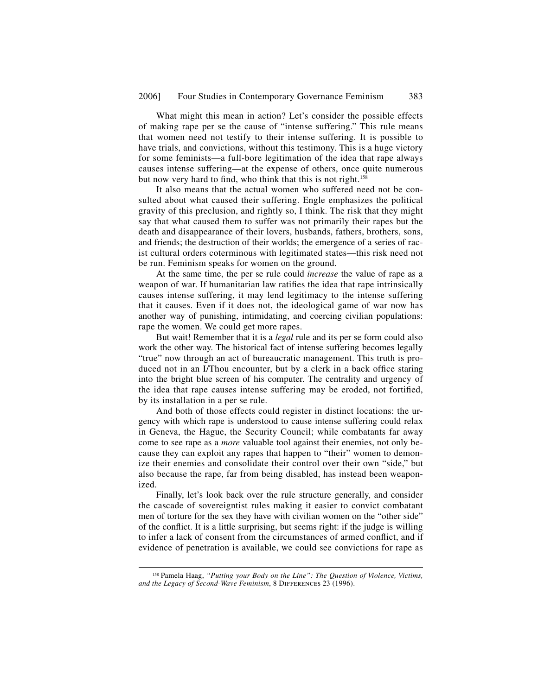What might this mean in action? Let's consider the possible effects of making rape per se the cause of "intense suffering." This rule means that women need not testify to their intense suffering. It is possible to have trials, and convictions, without this testimony. This is a huge victory for some feminists—a full-bore legitimation of the idea that rape always causes intense suffering—at the expense of others, once quite numerous but now very hard to find, who think that this is not right.<sup>158</sup>

It also means that the actual women who suffered need not be consulted about what caused their suffering. Engle emphasizes the political gravity of this preclusion, and rightly so, I think. The risk that they might say that what caused them to suffer was not primarily their rapes but the death and disappearance of their lovers, husbands, fathers, brothers, sons, and friends; the destruction of their worlds; the emergence of a series of racist cultural orders coterminous with legitimated states—this risk need not be run. Feminism speaks for women on the ground.

At the same time, the per se rule could *increase* the value of rape as a weapon of war. If humanitarian law ratifies the idea that rape intrinsically causes intense suffering, it may lend legitimacy to the intense suffering that it causes. Even if it does not, the ideological game of war now has another way of punishing, intimidating, and coercing civilian populations: rape the women. We could get more rapes.

But wait! Remember that it is a *legal* rule and its per se form could also work the other way. The historical fact of intense suffering becomes legally "true" now through an act of bureaucratic management. This truth is produced not in an I/Thou encounter, but by a clerk in a back office staring into the bright blue screen of his computer. The centrality and urgency of the idea that rape causes intense suffering may be eroded, not fortified, by its installation in a per se rule.

And both of those effects could register in distinct locations: the urgency with which rape is understood to cause intense suffering could relax in Geneva, the Hague, the Security Council; while combatants far away come to see rape as a *more* valuable tool against their enemies, not only because they can exploit any rapes that happen to "their" women to demonize their enemies and consolidate their control over their own "side," but also because the rape, far from being disabled, has instead been weaponized.

Finally, let's look back over the rule structure generally, and consider the cascade of sovereigntist rules making it easier to convict combatant men of torture for the sex they have with civilian women on the "other side" of the conflict. It is a little surprising, but seems right: if the judge is willing to infer a lack of consent from the circumstances of armed conflict, and if evidence of penetration is available, we could see convictions for rape as

 <sup>158</sup> Pamela Haag, *"Putting your Body on the Line": The Question of Violence, Victims,*  and the Legacy of Second-Wave Feminism, 8 DIFFERENCES 23 (1996).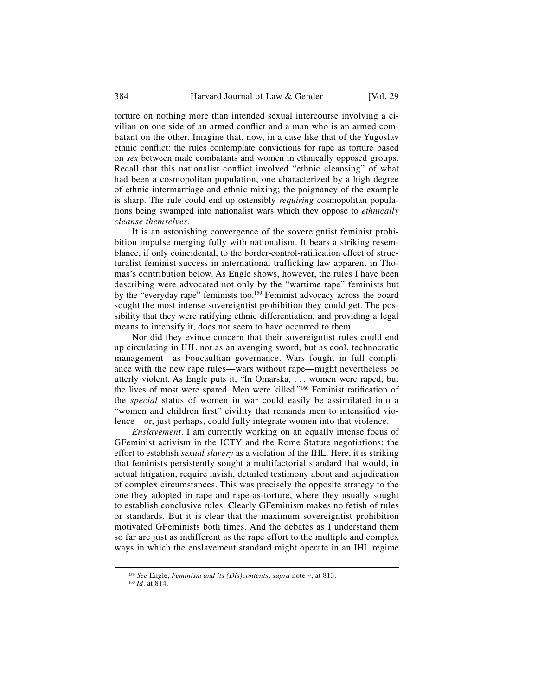torture on nothing more than intended sexual intercourse involving a civilian on one side of an armed conflict and a man who is an armed combatant on the other. Imagine that, now, in a case like that of the Yugoslav ethnic conflict: the rules contemplate convictions for rape as torture based on *sex* between male combatants and women in ethnically opposed groups. Recall that this nationalist conflict involved "ethnic cleansing" of what had been a cosmopolitan population, one characterized by a high degree of ethnic intermarriage and ethnic mixing; the poignancy of the example is sharp. The rule could end up ostensibly *requiring* cosmopolitan populations being swamped into nationalist wars which they oppose to *ethnically cleanse themselves.*

It is an astonishing convergence of the sovereigntist feminist prohibition impulse merging fully with nationalism. It bears a striking resemblance, if only coincidental, to the border-control-ratification effect of structuralist feminist success in international trafficking law apparent in Thomas's contribution below. As Engle shows, however, the rules I have been describing were advocated not only by the "wartime rape" feminists but by the "everyday rape" feminists too.<sup>159</sup> Feminist advocacy across the board sought the most intense sovereigntist prohibition they could get. The possibility that they were ratifying ethnic differentiation, and providing a legal means to intensify it, does not seem to have occurred to them.

Nor did they evince concern that their sovereigntist rules could end up circulating in IHL not as an avenging sword, but as cool, technocratic management—as Foucaultian governance. Wars fought in full compliance with the new rape rules—wars without rape—might nevertheless be utterly violent. As Engle puts it, "In Omarska, . . . women were raped, but the lives of most were spared. Men were killed."<sup>160</sup> Feminist ratification of the *special* status of women in war could easily be assimilated into a "women and children first" civility that remands men to intensified violence—or, just perhaps, could fully integrate women into that violence.

*Enslavement*. I am currently working on an equally intense focus of GFeminist activism in the ICTY and the Rome Statute negotiations: the effort to establish *sexual slavery* as a violation of the IHL. Here, it is striking that feminists persistently sought a multifactorial standard that would, in actual litigation, require lavish, detailed testimony about and adjudication of complex circumstances. This was precisely the opposite strategy to the one they adopted in rape and rape-as-torture, where they usually sought to establish conclusive rules. Clearly GFeminism makes no fetish of rules or standards. But it is clear that the maximum sovereigntist prohibition motivated GFeminists both times. And the debates as I understand them so far are just as indifferent as the rape effort to the multiple and complex ways in which the enslavement standard might operate in an IHL regime

<sup>159</sup> *See* Engle, *Feminism and its (Dis)contents*, *supra* note <sup>∗</sup>, at 813. 160 *Id*. at 814.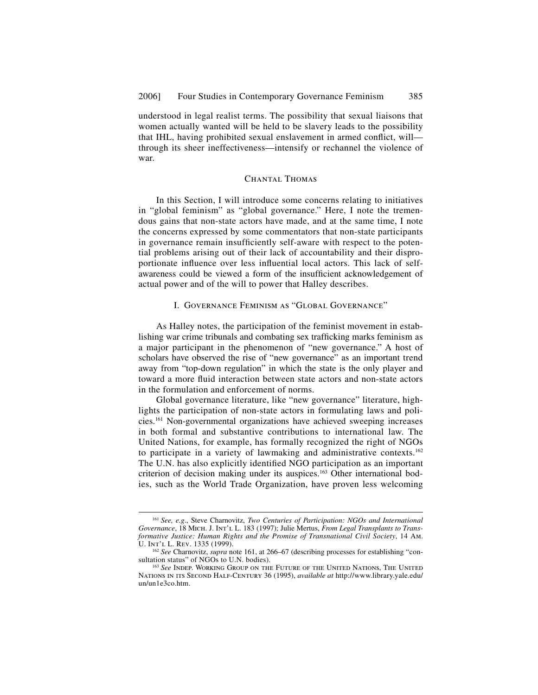understood in legal realist terms. The possibility that sexual liaisons that women actually wanted will be held to be slavery leads to the possibility that IHL, having prohibited sexual enslavement in armed conflict, will through its sheer ineffectiveness—intensify or rechannel the violence of war.

### Chantal Thomas

In this Section, I will introduce some concerns relating to initiatives in "global feminism" as "global governance." Here, I note the tremendous gains that non-state actors have made, and at the same time, I note the concerns expressed by some commentators that non-state participants in governance remain insufficiently self-aware with respect to the potential problems arising out of their lack of accountability and their disproportionate influence over less influential local actors. This lack of selfawareness could be viewed a form of the insufficient acknowledgement of actual power and of the will to power that Halley describes.

## I. Governance Feminism as "Global Governance"

As Halley notes, the participation of the feminist movement in establishing war crime tribunals and combating sex trafficking marks feminism as a major participant in the phenomenon of "new governance." A host of scholars have observed the rise of "new governance" as an important trend away from "top-down regulation" in which the state is the only player and toward a more fluid interaction between state actors and non-state actors in the formulation and enforcement of norms.

Global governance literature, like "new governance" literature, highlights the participation of non-state actors in formulating laws and policies.161 Non-governmental organizations have achieved sweeping increases in both formal and substantive contributions to international law. The United Nations, for example, has formally recognized the right of NGOs to participate in a variety of lawmaking and administrative contexts.162 The U.N. has also explicitly identified NGO participation as an important criterion of decision making under its auspices.<sup>163</sup> Other international bodies, such as the World Trade Organization, have proven less welcoming

 <sup>161</sup> *See, e.g*., Steve Charnovitz, *Two Centuries of Participation: NGOs and International Governance*, 18 Mich. J. Int'l L. 183 (1997); Julie Mertus, *From Legal Transplants to Transformative Justice: Human Rights and the Promise of Transnational Civil Society*, 14 Am.

<sup>&</sup>lt;sup>162</sup> See Charnovitz, *supra* note 161, at 266–67 (describing processes for establishing "con-<br>sultation status" of NGOs to U.N. bodies).

<sup>&</sup>lt;sup>163</sup> See Indep. Working Group on the Future of the United Nations, The United Nations in its Second Half-Century 36 (1995), *available at* http://www.library.yale.edu/ un/un1e3co.htm.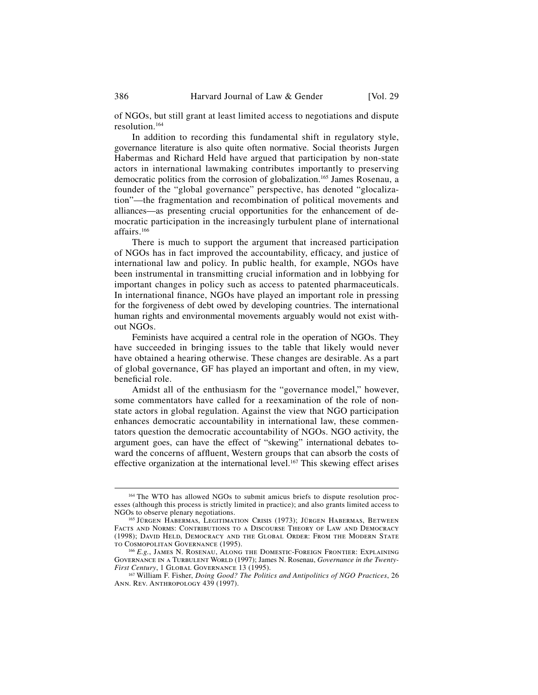of NGOs, but still grant at least limited access to negotiations and dispute resolution.164

In addition to recording this fundamental shift in regulatory style, governance literature is also quite often normative. Social theorists Jurgen Habermas and Richard Held have argued that participation by non-state actors in international lawmaking contributes importantly to preserving democratic politics from the corrosion of globalization.165 James Rosenau, a founder of the "global governance" perspective, has denoted "glocalization"—the fragmentation and recombination of political movements and alliances—as presenting crucial opportunities for the enhancement of democratic participation in the increasingly turbulent plane of international affairs.166

There is much to support the argument that increased participation of NGOs has in fact improved the accountability, efficacy, and justice of international law and policy. In public health, for example, NGOs have been instrumental in transmitting crucial information and in lobbying for important changes in policy such as access to patented pharmaceuticals. In international finance, NGOs have played an important role in pressing for the forgiveness of debt owed by developing countries. The international human rights and environmental movements arguably would not exist without NGOs.

Feminists have acquired a central role in the operation of NGOs. They have succeeded in bringing issues to the table that likely would never have obtained a hearing otherwise. These changes are desirable. As a part of global governance, GF has played an important and often, in my view, beneficial role.

Amidst all of the enthusiasm for the "governance model," however, some commentators have called for a reexamination of the role of nonstate actors in global regulation. Against the view that NGO participation enhances democratic accountability in international law, these commentators question the democratic accountability of NGOs. NGO activity, the argument goes, can have the effect of "skewing" international debates toward the concerns of affluent, Western groups that can absorb the costs of effective organization at the international level.<sup>167</sup> This skewing effect arises

 <sup>164</sup> The WTO has allowed NGOs to submit amicus briefs to dispute resolution processes (although this process is strictly limited in practice); and also grants limited access to NGOs to observe plenary negotiations.

<sup>&</sup>lt;sup>165</sup> Jürgen Habermas, Legitimation Crisis (1973); Jürgen Habermas, Between Facts and Norms: Contributions to a Discourse Theory of Law and Democracy (1998); David Held, Democracy and the Global Order: From the Modern State to Cosmopolitan Governance (1995). 166 *E.g.*, James N. Rosenau, Along the Domestic-Foreign Frontier: Explaining

GOVERNANCE IN A TURBULENT WORLD (1997); James N. Rosenau, *Governance in the Twenty-First Century*, 1 GLOBAL GOVERNANCE 13 (1995).

<sup>&</sup>lt;sup>167</sup> William F. Fisher, *Doing Good? The Politics and Antipolitics of NGO Practices*, 26 Ann. Rev. Anthropology 439 (1997).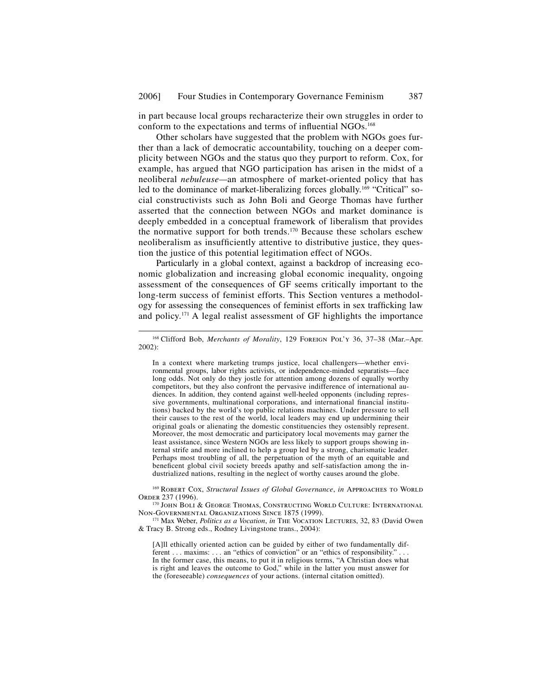in part because local groups recharacterize their own struggles in order to conform to the expectations and terms of influential NGOs.<sup>168</sup>

Other scholars have suggested that the problem with NGOs goes further than a lack of democratic accountability, touching on a deeper complicity between NGOs and the status quo they purport to reform. Cox, for example, has argued that NGO participation has arisen in the midst of a neoliberal *nebuleuse—*an atmosphere of market-oriented policy that has led to the dominance of market-liberalizing forces globally.<sup>169</sup> "Critical" social constructivists such as John Boli and George Thomas have further asserted that the connection between NGOs and market dominance is deeply embedded in a conceptual framework of liberalism that provides the normative support for both trends.170 Because these scholars eschew neoliberalism as insufficiently attentive to distributive justice, they question the justice of this potential legitimation effect of NGOs.

Particularly in a global context, against a backdrop of increasing economic globalization and increasing global economic inequality, ongoing assessment of the consequences of GF seems critically important to the long-term success of feminist efforts. This Section ventures a methodology for assessing the consequences of feminist efforts in sex trafficking law and policy.171 A legal realist assessment of GF highlights the importance

In a context where marketing trumps justice, local challengers—whether environmental groups, labor rights activists, or independence-minded separatists—face long odds. Not only do they jostle for attention among dozens of equally worthy competitors, but they also confront the pervasive indifference of international audiences. In addition, they contend against well-heeled opponents (including repressive governments, multinational corporations, and international financial institutions) backed by the world's top public relations machines. Under pressure to sell their causes to the rest of the world, local leaders may end up undermining their original goals or alienating the domestic constituencies they ostensibly represent. Moreover, the most democratic and participatory local movements may garner the least assistance, since Western NGOs are less likely to support groups showing internal strife and more inclined to help a group led by a strong, charismatic leader. Perhaps most troubling of all, the perpetuation of the myth of an equitable and beneficent global civil society breeds apathy and self-satisfaction among the industrialized nations, resulting in the neglect of worthy causes around the globe.

<sup>169</sup> ROBERT COX, *Structural Issues of Global Governance*, *in* APPROACHES TO WORLD Order 237 (1996).<br><sup>170</sup> John Boli & George Thomas, Constructing World Culture: International

Non-Governmental Organizations Since 1875 (1999).

171 Max Weber, *Politics as a Vocation*, *in* THE VOCATION LECTURES, 32, 83 (David Owen & Tracy B. Strong eds., Rodney Livingstone trans., 2004):

[A]ll ethically oriented action can be guided by either of two fundamentally different . . . maxims: . . . an "ethics of conviction" or an "ethics of responsibility." . . . In the former case, this means, to put it in religious terms, "A Christian does what is right and leaves the outcome to God," while in the latter you must answer for the (foreseeable) *consequences* of your actions. (internal citation omitted).

 <sup>168</sup> Clifford Bob, *Merchants of Morality*, 129 Foreign Pol'y 36, 37–38 (Mar.–Apr. 2002):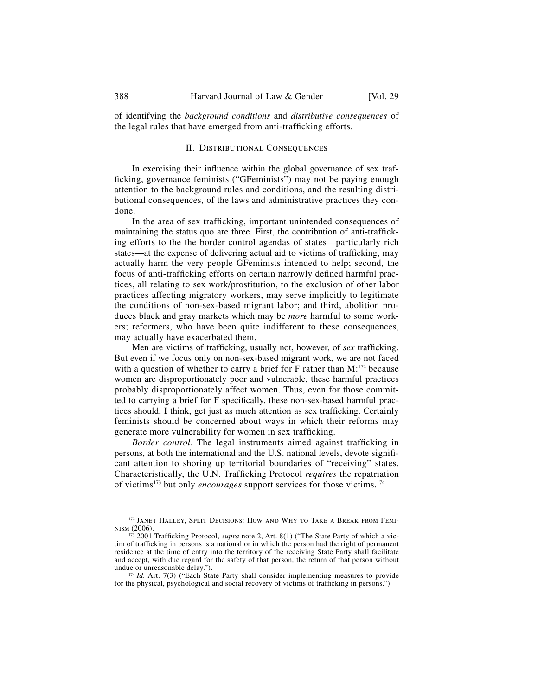of identifying the *background conditions* and *distributive consequences* of the legal rules that have emerged from anti-trafficking efforts.

#### II. Distributional Consequences

In exercising their influence within the global governance of sex trafficking, governance feminists ("GFeminists") may not be paying enough attention to the background rules and conditions, and the resulting distributional consequences, of the laws and administrative practices they condone.

In the area of sex trafficking, important unintended consequences of maintaining the status quo are three. First, the contribution of anti-trafficking efforts to the the border control agendas of states—particularly rich states—at the expense of delivering actual aid to victims of trafficking, may actually harm the very people GFeminists intended to help; second, the focus of anti-trafficking efforts on certain narrowly defined harmful practices, all relating to sex work/prostitution, to the exclusion of other labor practices affecting migratory workers, may serve implicitly to legitimate the conditions of non-sex-based migrant labor; and third, abolition produces black and gray markets which may be *more* harmful to some workers; reformers, who have been quite indifferent to these consequences, may actually have exacerbated them.

Men are victims of trafficking, usually not, however, of *sex* trafficking. But even if we focus only on non-sex-based migrant work, we are not faced with a question of whether to carry a brief for  $F$  rather than  $M$ :<sup>172</sup> because women are disproportionately poor and vulnerable, these harmful practices probably disproportionately affect women. Thus, even for those committed to carrying a brief for F specifically, these non-sex-based harmful practices should, I think, get just as much attention as sex trafficking. Certainly feminists should be concerned about ways in which their reforms may generate more vulnerability for women in sex trafficking.

*Border control*. The legal instruments aimed against trafficking in persons, at both the international and the U.S. national levels, devote significant attention to shoring up territorial boundaries of "receiving" states. Characteristically, the U.N. Trafficking Protocol *requires* the repatriation of victims173 but only *encourages* support services for those victims.174

<sup>&</sup>lt;sup>172</sup> JANET HALLEY, SPLIT DECISIONS: HOW AND WHY TO TAKE A BREAK FROM FEMInism (2006).

<sup>&</sup>lt;sup>173</sup> 2001 Trafficking Protocol, *supra* note 2, Art. 8(1) ("The State Party of which a victim of trafficking in persons is a national or in which the person had the right of permanent residence at the time of entry into the territory of the receiving State Party shall facilitate and accept, with due regard for the safety of that person, the return of that person without undue or unreasonable delay.").

 $174$  *Id.* Art. 7(3) ("Each State Party shall consider implementing measures to provide for the physical, psychological and social recovery of victims of trafficking in persons.").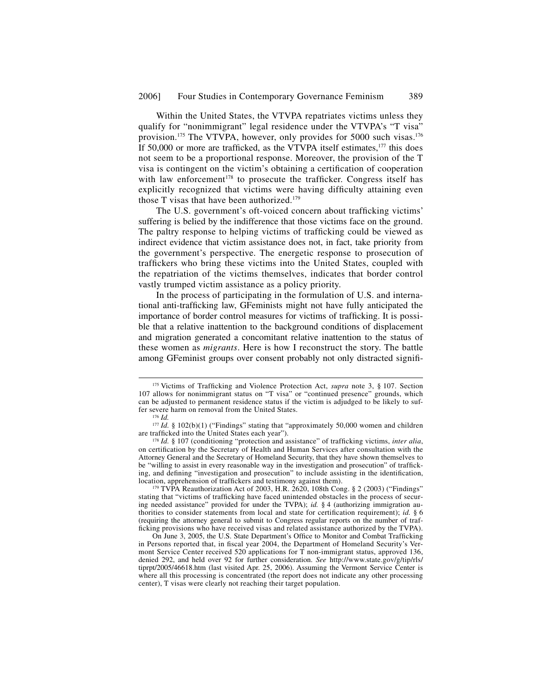Within the United States, the VTVPA repatriates victims unless they qualify for "nonimmigrant" legal residence under the VTVPA's "T visa" provision.175 The VTVPA, however, only provides for 5000 such visas.176 If 50,000 or more are trafficked, as the VTVPA itself estimates, $177$  this does not seem to be a proportional response. Moreover, the provision of the T visa is contingent on the victim's obtaining a certification of cooperation with law enforcement<sup>178</sup> to prosecute the trafficker. Congress itself has explicitly recognized that victims were having difficulty attaining even those T visas that have been authorized.<sup>179</sup>

The U.S. government's oft-voiced concern about trafficking victims' suffering is belied by the indifference that those victims face on the ground. The paltry response to helping victims of trafficking could be viewed as indirect evidence that victim assistance does not, in fact, take priority from the government's perspective. The energetic response to prosecution of traffickers who bring these victims into the United States, coupled with the repatriation of the victims themselves, indicates that border control vastly trumped victim assistance as a policy priority.

In the process of participating in the formulation of U.S. and international anti-trafficking law, GFeminists might not have fully anticipated the importance of border control measures for victims of trafficking. It is possible that a relative inattention to the background conditions of displacement and migration generated a concomitant relative inattention to the status of these women as *migrants*. Here is how I reconstruct the story. The battle among GFeminist groups over consent probably not only distracted signifi-

<sup>179</sup> TVPA Reauthorization Act of 2003, H.R. 2620, 108th Cong. § 2 (2003) ("Findings" stating that "victims of trafficking have faced unintended obstacles in the process of securing needed assistance" provided for under the TVPA); *id.* § 4 (authorizing immigration authorities to consider statements from local and state for certification requirement); *id.* § 6 (requiring the attorney general to submit to Congress regular reports on the number of trafficking provisions who have received visas and related assistance authorized by the TVPA).

<sup>&</sup>lt;sup>175</sup> Victims of Trafficking and Violence Protection Act, *supra* note 3, § 107. Section 107 allows for nonimmigrant status on "T visa" or "continued presence" grounds, which can be adjusted to permanent residence status if the victim is adjudged to be likely to suffer severe harm on removal from the United States. 176 *Id.*

<sup>&</sup>lt;sup>177</sup> *Id.* § 102(b)(1) ("Findings" stating that "approximately 50,000 women and children are trafficked into the United States each year").

<sup>&</sup>lt;sup>178</sup> Id. § 107 (conditioning "protection and assistance" of trafficking victims, *inter alia*, on certification by the Secretary of Health and Human Services after consultation with the Attorney General and the Secretary of Homeland Security, that they have shown themselves to be "willing to assist in every reasonable way in the investigation and prosecution" of trafficking, and defining "investigation and prosecution" to include assisting in the identification, location, apprehension of traffickers and testimony against them).

On June 3, 2005, the U.S. State Department's Office to Monitor and Combat Trafficking in Persons reported that, in fiscal year 2004, the Department of Homeland Security's Vermont Service Center received 520 applications for T non-immigrant status, approved 136, denied 292, and held over 92 for further consideration. *See* http://www.state.gov/g/tip/rls/ tiprpt/2005/46618.htm (last visited Apr. 25, 2006). Assuming the Vermont Service Center is where all this processing is concentrated (the report does not indicate any other processing center), T visas were clearly not reaching their target population.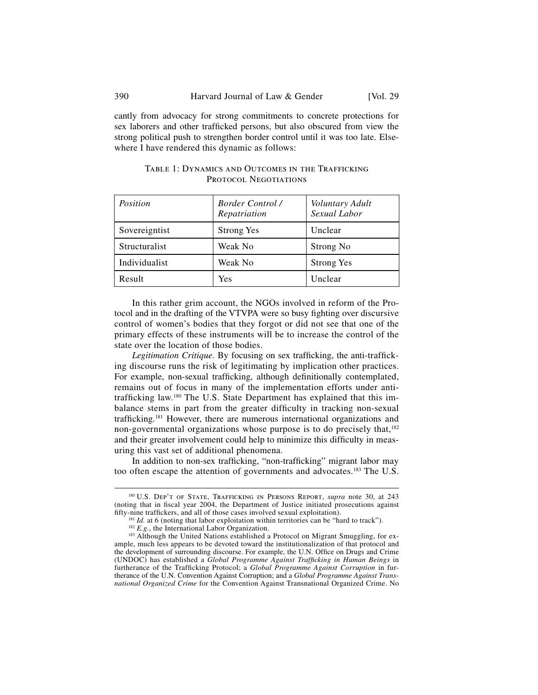cantly from advocacy for strong commitments to concrete protections for sex laborers and other trafficked persons, but also obscured from view the strong political push to strengthen border control until it was too late. Elsewhere I have rendered this dynamic as follows:

| Position      | <b>Border Control /</b><br>Repatriation | <i>Voluntary Adult</i><br>Sexual Labor |
|---------------|-----------------------------------------|----------------------------------------|
| Sovereigntist | <b>Strong Yes</b>                       | Unclear                                |
| Structuralist | Weak No                                 | Strong No                              |
| Individualist | Weak No                                 | <b>Strong Yes</b>                      |
| Result        | Yes                                     | Unclear                                |

TABLE 1: DYNAMICS AND OUTCOMES IN THE TRAFFICKING PROTOCOL NEGOTIATIONS

In this rather grim account, the NGOs involved in reform of the Protocol and in the drafting of the VTVPA were so busy fighting over discursive control of women's bodies that they forgot or did not see that one of the primary effects of these instruments will be to increase the control of the state over the location of those bodies.

*Legitimation Critique*. By focusing on sex trafficking, the anti-trafficking discourse runs the risk of legitimating by implication other practices. For example, non-sexual trafficking, although definitionally contemplated, remains out of focus in many of the implementation efforts under antitrafficking law.<sup>180</sup> The U.S. State Department has explained that this imbalance stems in part from the greater difficulty in tracking non-sexual trafficking.<sup>181</sup> However, there are numerous international organizations and non-governmental organizations whose purpose is to do precisely that,<sup>182</sup> and their greater involvement could help to minimize this difficulty in measuring this vast set of additional phenomena.

In addition to non-sex trafficking, "non-trafficking" migrant labor may too often escape the attention of governments and advocates.<sup>183</sup> The U.S.

<sup>&</sup>lt;sup>180</sup> U.S. DEP'T OF STATE, TRAFFICKING IN PERSONS REPORT, *supra* note 30, at 243 (noting that in fiscal year 2004, the Department of Justice initiated prosecutions against fifty-nine traffickers, and all of those cases involved sexual exploitation).

<sup>&</sup>lt;sup>181</sup> *Id.* at 6 (noting that labor exploitation within territories can be "hard to track").<br><sup>182</sup> *E.g.*, the International Labor Organization.<br><sup>183</sup> Although the United Nations established a Protocol on Migrant Smugglin

ample, much less appears to be devoted toward the institutionalization of that protocol and

the development of surrounding discourse. For example, the U.N. Office on Drugs and Crime (UNDOC) has established a *Global Programme Against Trafficking in Human Beings* in furtherance of the Trafficking Protocol; a *Global Programme Against Corruption* in furtherance of the U.N. Convention Against Corruption; and a *Global Programme Against Transnational Organized Crime* for the Convention Against Transnational Organized Crime. No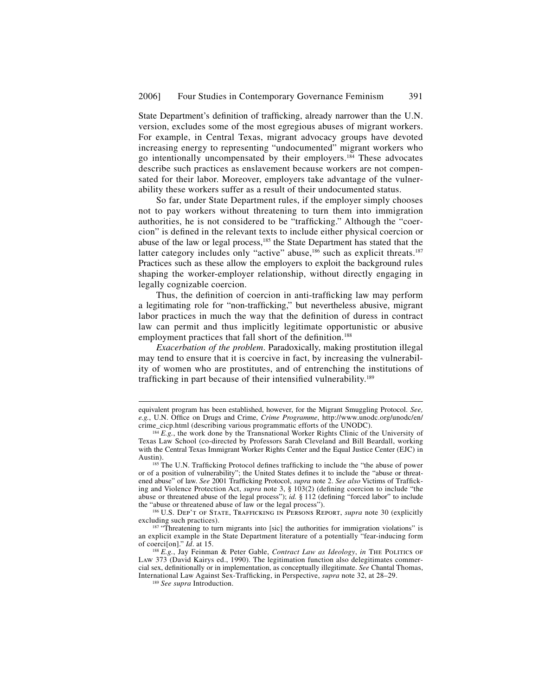State Department's definition of trafficking, already narrower than the U.N. version, excludes some of the most egregious abuses of migrant workers. For example, in Central Texas, migrant advocacy groups have devoted increasing energy to representing "undocumented" migrant workers who go intentionally uncompensated by their employers.184 These advocates describe such practices as enslavement because workers are not compensated for their labor. Moreover, employers take advantage of the vulnerability these workers suffer as a result of their undocumented status.

So far, under State Department rules, if the employer simply chooses not to pay workers without threatening to turn them into immigration authorities, he is not considered to be "trafficking." Although the "coercion" is defined in the relevant texts to include either physical coercion or abuse of the law or legal process,185 the State Department has stated that the latter category includes only "active" abuse,<sup>186</sup> such as explicit threats.<sup>187</sup> Practices such as these allow the employers to exploit the background rules shaping the worker-employer relationship, without directly engaging in legally cognizable coercion.

Thus, the definition of coercion in anti-trafficking law may perform a legitimating role for "non-trafficking," but nevertheless abusive, migrant labor practices in much the way that the definition of duress in contract law can permit and thus implicitly legitimate opportunistic or abusive employment practices that fall short of the definition.<sup>188</sup>

*Exacerbation of the problem*. Paradoxically, making prostitution illegal may tend to ensure that it is coercive in fact, by increasing the vulnerability of women who are prostitutes, and of entrenching the institutions of trafficking in part because of their intensified vulnerability.<sup>189</sup>

<sup>186</sup> U.S. DEP'T OF STATE, TRAFFICKING IN PERSONS REPORT, *supra* note 30 (explicitly excluding such practices).

j

equivalent program has been established, however, for the Migrant Smuggling Protocol. *See, e.g.*, U.N. Office on Drugs and Crime, *Crime Programme*, http://www.unodc.org/unodc/en/<br>crime\_cicp.html (describing various programmatic efforts of the UNODC).

 $c_1^{184}E.g.,$  the work done by the Transnational Worker Rights Clinic of the University of Texas Law School (co-directed by Professors Sarah Cleveland and Bill Beardall, working with the Central Texas Immigrant Worker Rights Center and the Equal Justice Center (EJC) in Austin).

 $185$  The U.N. Trafficking Protocol defines trafficking to include the "the abuse of power or of a position of vulnerability"; the United States defines it to include the "abuse or threatened abuse" of law. See 2001 Trafficking Protocol, *supra* note 2. See also Victims of Trafficking and Violence Protection Act, *supra* note 3, § 103(2) (defining coercion to include "the abuse or threatened abuse of the legal process");  $id.$  § 112 (defining "forced labor" to include the "abuse or threatened abuse of law or the legal process").

 $187$  "Threatening to turn migrants into [sic] the authorities for immigration violations" is an explicit example in the State Department literature of a potentially "fear-inducing form of coercison]." *Id.* at 15.

<sup>&</sup>lt;sup>188</sup> E.g., Jay Feinman & Peter Gable, *Contract Law as Ideology*, *in* The Politics of Law 373 (David Kairys ed., 1990). The legitimation function also delegitimates commercial sex, definitionally or in implementation, as conceptually illegitimate. *See* Chantal Thomas, International Law Against Sex-Trafficking, in Perspective, *supra* note 32, at 28–29. <sup>189</sup> *See supra* Introduction.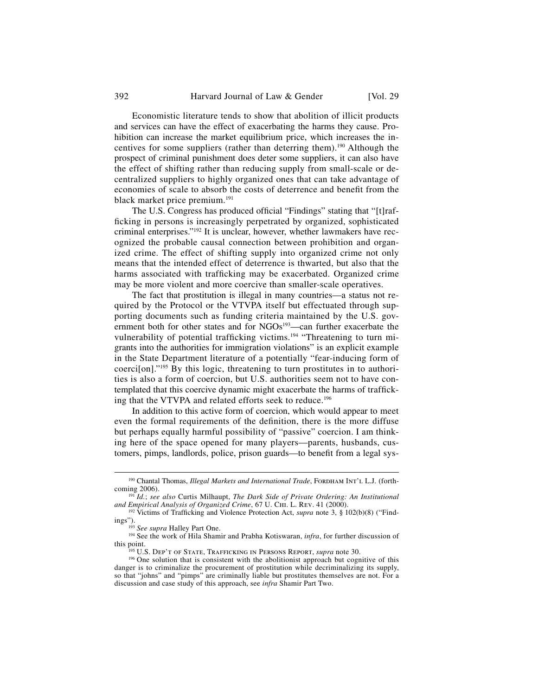Economistic literature tends to show that abolition of illicit products and services can have the effect of exacerbating the harms they cause. Prohibition can increase the market equilibrium price, which increases the incentives for some suppliers (rather than deterring them).190 Although the prospect of criminal punishment does deter some suppliers, it can also have the effect of shifting rather than reducing supply from small-scale or decentralized suppliers to highly organized ones that can take advantage of economies of scale to absorb the costs of deterrence and benefit from the black market price premium.191

The U.S. Congress has produced official "Findings" stating that "[t]rafficking in persons is increasingly perpetrated by organized, sophisticated criminal enterprises."192 It is unclear, however, whether lawmakers have recognized the probable causal connection between prohibition and organized crime. The effect of shifting supply into organized crime not only means that the intended effect of deterrence is thwarted, but also that the harms associated with trafficking may be exacerbated. Organized crime may be more violent and more coercive than smaller-scale operatives.

The fact that prostitution is illegal in many countries—a status not required by the Protocol or the VTVPA itself but effectuated through supporting documents such as funding criteria maintained by the U.S. government both for other states and for NGOs<sup>193</sup>—can further exacerbate the vulnerability of potential trafficking victims.<sup>194</sup> "Threatening to turn migrants into the authorities for immigration violations" is an explicit example in the State Department literature of a potentially "fear-inducing form of coerci[on]."195 By this logic, threatening to turn prostitutes in to authorities is also a form of coercion, but U.S. authorities seem not to have contemplated that this coercive dynamic might exacerbate the harms of trafficking that the VTVPA and related efforts seek to reduce.<sup>196</sup>

In addition to this active form of coercion, which would appear to meet even the formal requirements of the definition, there is the more diffuse but perhaps equally harmful possibility of "passive" coercion. I am thinking here of the space opened for many players—parents, husbands, customers, pimps, landlords, police, prison guards—to benefit from a legal sys-

<sup>&</sup>lt;sup>190</sup> Chantal Thomas, *Illegal Markets and International Trade*, FORDHAM INT'L L.J. (forth-coming 2006).

<sup>&</sup>lt;sup>191</sup> Id.; *see also* Curtis Milhaupt, *The Dark Side of Private Ordering: An Institutional and Empirical Analysis of Organized Crime, 67 U. CHI. L. REV. 41 (2000).* 

<sup>&</sup>lt;sup>192</sup> Victims of Trafficking and Violence Protection Act, *supra* note 3, § 102(b)(8) ("Find-<br>ings").

<sup>&</sup>lt;sup>193</sup> See supra Halley Part One.<br><sup>194</sup> See the work of Hila Shamir and Prabha Kotiswaran, *infra*, for further discussion of this point.

<sup>&</sup>lt;sup>195</sup> U.S. Dep't of State, Trafficking in Persons Report, *supra* note 30. <sup>196</sup> One solution that is consistent with the abolitionist approach but cognitive of this danger is to criminalize the procurement of prostitution while decriminalizing its supply, so that "johns" and "pimps" are criminally liable but prostitutes themselves are not. For a discussion and case study of this approach, see *infra* Shamir Part Two.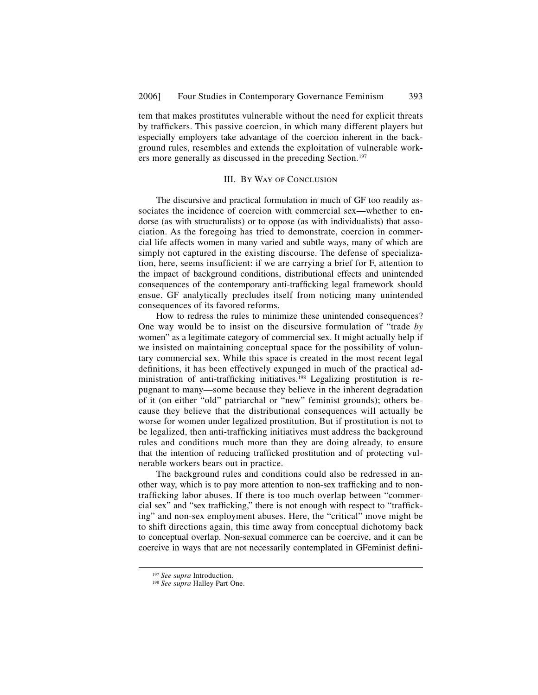tem that makes prostitutes vulnerable without the need for explicit threats by traffickers. This passive coercion, in which many different players but especially employers take advantage of the coercion inherent in the background rules, resembles and extends the exploitation of vulnerable workers more generally as discussed in the preceding Section.<sup>197</sup>

### III. By Way of Conclusion

The discursive and practical formulation in much of GF too readily associates the incidence of coercion with commercial sex—whether to endorse (as with structuralists) or to oppose (as with individualists) that association. As the foregoing has tried to demonstrate, coercion in commercial life affects women in many varied and subtle ways, many of which are simply not captured in the existing discourse. The defense of specialization, here, seems insufficient: if we are carrying a brief for F, attention to the impact of background conditions, distributional effects and unintended consequences of the contemporary anti-trafficking legal framework should ensue. GF analytically precludes itself from noticing many unintended consequences of its favored reforms.

How to redress the rules to minimize these unintended consequences? One way would be to insist on the discursive formulation of "trade *by* women" as a legitimate category of commercial sex. It might actually help if we insisted on maintaining conceptual space for the possibility of voluntary commercial sex. While this space is created in the most recent legal definitions, it has been effectively expunged in much of the practical administration of anti-trafficking initiatives.<sup>198</sup> Legalizing prostitution is repugnant to many—some because they believe in the inherent degradation of it (on either "old" patriarchal or "new" feminist grounds); others because they believe that the distributional consequences will actually be worse for women under legalized prostitution. But if prostitution is not to be legalized, then anti-trafficking initiatives must address the background rules and conditions much more than they are doing already, to ensure that the intention of reducing trafficked prostitution and of protecting vulnerable workers bears out in practice.

The background rules and conditions could also be redressed in another way, which is to pay more attention to non-sex trafficking and to nontrafficking labor abuses. If there is too much overlap between "commercial sex" and "sex trafficking," there is not enough with respect to "trafficking" and non-sex employment abuses. Here, the "critical" move might be to shift directions again, this time away from conceptual dichotomy back to conceptual overlap. Non-sexual commerce can be coercive, and it can be coercive in ways that are not necessarily contemplated in GFeminist defini-

<sup>197</sup> *See supra* Introduction. 198 *See supra* Halley Part One.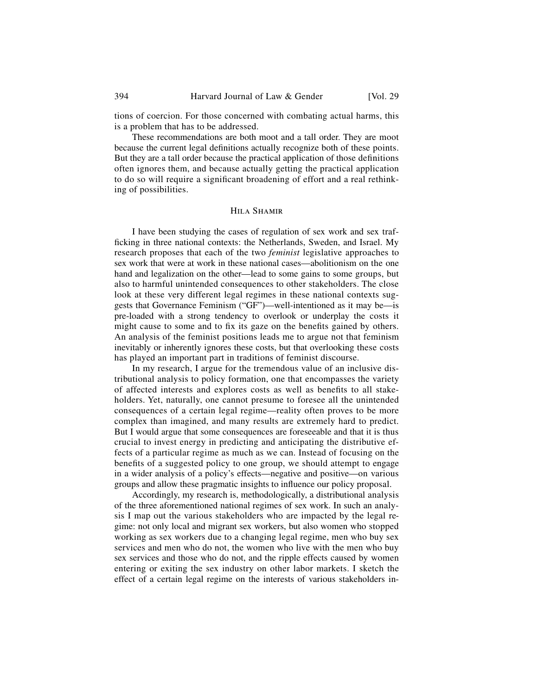tions of coercion. For those concerned with combating actual harms, this is a problem that has to be addressed.

These recommendations are both moot and a tall order. They are moot because the current legal definitions actually recognize both of these points. But they are a tall order because the practical application of those definitions often ignores them, and because actually getting the practical application to do so will require a significant broadening of effort and a real rethinking of possibilities.

#### Hila Shamir

I have been studying the cases of regulation of sex work and sex trafficking in three national contexts: the Netherlands, Sweden, and Israel. My research proposes that each of the two *feminist* legislative approaches to sex work that were at work in these national cases—abolitionism on the one hand and legalization on the other—lead to some gains to some groups, but also to harmful unintended consequences to other stakeholders. The close look at these very different legal regimes in these national contexts suggests that Governance Feminism ("GF")—well-intentioned as it may be—is pre-loaded with a strong tendency to overlook or underplay the costs it might cause to some and to fix its gaze on the benefits gained by others. An analysis of the feminist positions leads me to argue not that feminism inevitably or inherently ignores these costs, but that overlooking these costs has played an important part in traditions of feminist discourse.

In my research, I argue for the tremendous value of an inclusive distributional analysis to policy formation, one that encompasses the variety of affected interests and explores costs as well as benefits to all stakeholders. Yet, naturally, one cannot presume to foresee all the unintended consequences of a certain legal regime—reality often proves to be more complex than imagined, and many results are extremely hard to predict. But I would argue that some consequences are foreseeable and that it is thus crucial to invest energy in predicting and anticipating the distributive effects of a particular regime as much as we can. Instead of focusing on the benefits of a suggested policy to one group, we should attempt to engage in a wider analysis of a policy's effects—negative and positive—on various groups and allow these pragmatic insights to influence our policy proposal.

Accordingly, my research is, methodologically, a distributional analysis of the three aforementioned national regimes of sex work. In such an analysis I map out the various stakeholders who are impacted by the legal regime: not only local and migrant sex workers, but also women who stopped working as sex workers due to a changing legal regime, men who buy sex services and men who do not, the women who live with the men who buy sex services and those who do not, and the ripple effects caused by women entering or exiting the sex industry on other labor markets. I sketch the effect of a certain legal regime on the interests of various stakeholders in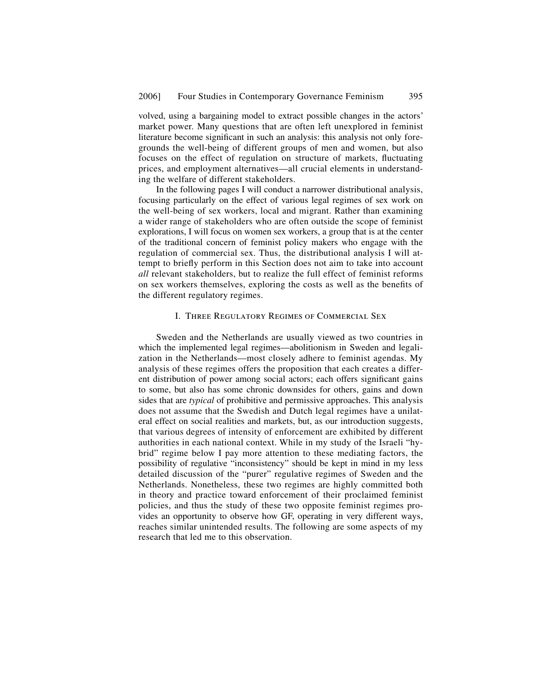volved, using a bargaining model to extract possible changes in the actors' market power. Many questions that are often left unexplored in feminist literature become significant in such an analysis: this analysis not only foregrounds the well-being of different groups of men and women, but also focuses on the effect of regulation on structure of markets, fluctuating prices, and employment alternatives—all crucial elements in understanding the welfare of different stakeholders.

In the following pages I will conduct a narrower distributional analysis, focusing particularly on the effect of various legal regimes of sex work on the well-being of sex workers, local and migrant. Rather than examining a wider range of stakeholders who are often outside the scope of feminist explorations, I will focus on women sex workers, a group that is at the center of the traditional concern of feminist policy makers who engage with the regulation of commercial sex. Thus, the distributional analysis I will attempt to briefly perform in this Section does not aim to take into account *all* relevant stakeholders, but to realize the full effect of feminist reforms on sex workers themselves, exploring the costs as well as the benefits of the different regulatory regimes.

## I. Three Regulatory Regimes of Commercial Sex

Sweden and the Netherlands are usually viewed as two countries in which the implemented legal regimes—abolitionism in Sweden and legalization in the Netherlands—most closely adhere to feminist agendas. My analysis of these regimes offers the proposition that each creates a different distribution of power among social actors; each offers significant gains to some, but also has some chronic downsides for others, gains and down sides that are *typical* of prohibitive and permissive approaches. This analysis does not assume that the Swedish and Dutch legal regimes have a unilateral effect on social realities and markets, but, as our introduction suggests, that various degrees of intensity of enforcement are exhibited by different authorities in each national context. While in my study of the Israeli "hybrid" regime below I pay more attention to these mediating factors, the possibility of regulative "inconsistency" should be kept in mind in my less detailed discussion of the "purer" regulative regimes of Sweden and the Netherlands. Nonetheless, these two regimes are highly committed both in theory and practice toward enforcement of their proclaimed feminist policies, and thus the study of these two opposite feminist regimes provides an opportunity to observe how GF, operating in very different ways, reaches similar unintended results. The following are some aspects of my research that led me to this observation.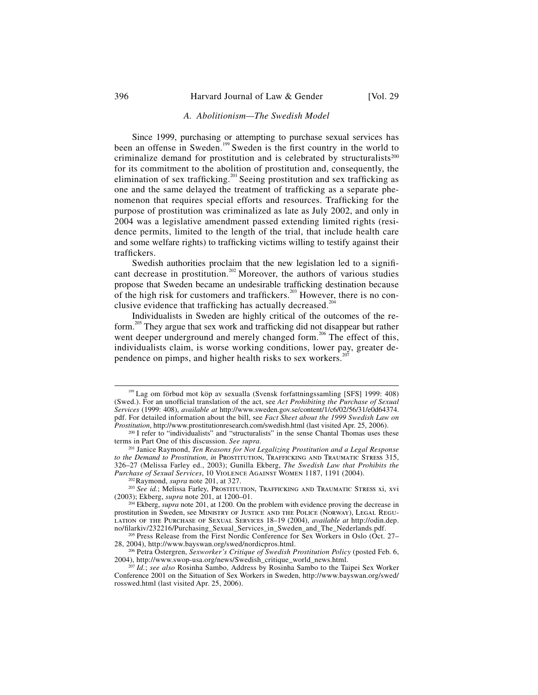### *A. Abolitionism—The Swedish Model*

Since 1999, purchasing or attempting to purchase sexual services has been an offense in Sweden.<sup>199</sup> Sweden is the first country in the world to criminalize demand for prostitution and is celebrated by structuralists<sup>200</sup> for its commitment to the abolition of prostitution and, consequently, the elimination of sex trafficking.<sup>201</sup> Seeing prostitution and sex trafficking as one and the same delayed the treatment of trafficking as a separate phenomenon that requires special efforts and resources. Trafficking for the purpose of prostitution was criminalized as late as July 2002, and only in 2004 was a legislative amendment passed extending limited rights (residence permits, limited to the length of the trial, that include health care and some welfare rights) to trafficking victims willing to testify against their traffickers.

Swedish authorities proclaim that the new legislation led to a significant decrease in prostitution.<sup>202</sup> Moreover, the authors of various studies propose that Sweden became an undesirable trafficking destination because of the high risk for customers and traffickers.<sup>203</sup> However, there is no conclusive evidence that trafficking has actually decreased.<sup>20</sup>

Individualists in Sweden are highly critical of the outcomes of the reform.<sup>205</sup> They argue that sex work and trafficking did not disappear but rather went deeper underground and merely changed form.<sup>206</sup> The effect of this, individualists claim, is worse working conditions, lower pay, greater dependence on pimps, and higher health risks to sex workers.<sup>2</sup>

<sup>&</sup>lt;sup>199</sup> Lag om förbud mot köp av sexualla (Svensk forfattningssamling [SFS] 1999: 408) (Swed.). For an unofficial translation of the act, see Act Prohibiting the Purchase of Sexual *Services* (1999: 408), *available at* http://www.sweden.gov.se/content/1/c6/02/56/31/e0d64374. pdf. For detailed information about the bill, see *Fact Sheet about the 1999 Swedish Law on Prostitution*, http://www.prostitutionresearch.com/swedish.html (last visited Apr. 25, 2006).

<sup>&</sup>lt;sup>200</sup> I refer to "individualists" and "structuralists" in the sense Chantal Thomas uses these terms in Part One of this discussion. *See supra*.

<sup>&</sup>lt;sup>201</sup> Janice Raymond, *Ten Reasons for Not Legalizing Prostitution and a Legal Response* to the Demand to Prostitution, in PROSTITUTION, TRAFFICKING AND TRAUMATIC STRESS 315, 326–27 (Melissa Farley ed., 2003); Gunilla Ekberg, *The Swedish Law that Prohibits the Purchase of Sexual Services*, 10 Violence Against Women 1187, 1191 (2004). 202Raymond, *supra* note 201, at 327.

<sup>&</sup>lt;sup>203</sup> See id.; Melissa Farley, Prostitution, Trafficking and Traumatic Stress xi, xvi (2003); Ekberg, *supra* note 201, at 1200–01.

<sup>204</sup> Ekberg, *supra* note 201, at 1200. On the problem with evidence proving the decrease in prostitution in Sweden, see Ministry of Justice and the Police (Norway), Legal Regulation of the Purchase of Sexual Services 18–19 (2004), *available at* http://odin.dep. no/filarkiv/232216/Purchasing Sexual Services in Sweden and The Nederlands.pdf.

<sup>&</sup>lt;sup>205</sup> Press Release from the First Nordic Conference for Sex Workers in Oslo (Oct. 27– 28, 2004), http://www.bayswan.org/swed/nordicpros.html.

<sup>206</sup> Petra Ostergren, *Sexworker's Critique of Swedish Prostitution Policy* (posted Feb. 6, 2004), http://www.swop-usa.org/news/Swedish\_critique\_world\_news.html.

<sup>207</sup> *Id.*; *see also* Rosinha Sambo, Address by Rosinha Sambo to the Taipei Sex Worker Conference 2001 on the Situation of Sex Workers in Sweden, http://www.bayswan.org/swed/ rosswed.html (last visited Apr. 25, 2006).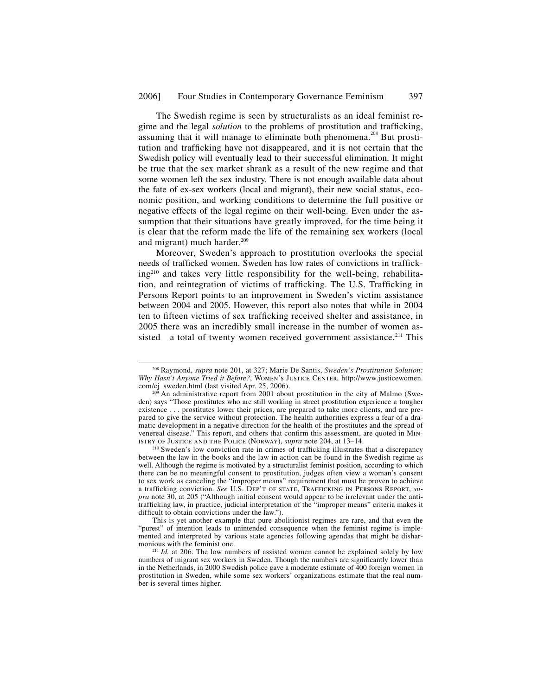The Swedish regime is seen by structuralists as an ideal feminist regime and the legal *solution* to the problems of prostitution and trafficking, assuming that it will manage to eliminate both phenomena.<sup>208</sup> But prostitution and trafficking have not disappeared, and it is not certain that the Swedish policy will eventually lead to their successful elimination. It might be true that the sex market shrank as a result of the new regime and that some women left the sex industry. There is not enough available data about the fate of ex-sex workers (local and migrant), their new social status, economic position, and working conditions to determine the full positive or negative effects of the legal regime on their well-being. Even under the assumption that their situations have greatly improved, for the time being it is clear that the reform made the life of the remaining sex workers (local and migrant) much harder.<sup>209</sup>

Moreover, Sweden's approach to prostitution overlooks the special needs of trafficked women. Sweden has low rates of convictions in trafficking210 and takes very little responsibility for the well-being, rehabilitation, and reintegration of victims of trafficking. The U.S. Trafficking in Persons Report points to an improvement in Sweden's victim assistance between 2004 and 2005. However, this report also notes that while in 2004 ten to fifteen victims of sex trafficking received shelter and assistance, in 2005 there was an incredibly small increase in the number of women assisted—a total of twenty women received government assistance.<sup>211</sup> This

<sup>210</sup> Sweden's low conviction rate in crimes of trafficking illustrates that a discrepancy between the law in the books and the law in action can be found in the Swedish regime as well. Although the regime is motivated by a structuralist feminist position, according to which there can be no meaningful consent to prostitution, judges often view a woman's consent to sex work as canceling the "improper means" requirement that must be proven to achieve a trafficking conviction. See U.S. DEP'T OF STATE, TRAFFICKING IN PERSONS REPORT, *supra* note 30, at 205 ("Although initial consent would appear to be irrelevant under the antitrafficking law, in practice, judicial interpretation of the "improper means" criteria makes it difficult to obtain convictions under the  $\overline{law}$ .").

This is yet another example that pure abolitionist regimes are rare, and that even the "purest" of intention leads to unintended consequence when the feminist regime is implemented and interpreted by various state agencies following agendas that might be dishar-monious with the feminist one.

 <sup>208</sup> Raymond, *supra* note 201, at 327; Marie De Santis, *Sweden's Prostitution Solution: Why Hasn't Anyone Tried it Before?*, Women's Justice Center, http://www.justicewomen. com/cj\_sweden.html (last visited Apr. 25, 2006).

 $^{209}$  An administrative report from 2001 about prostitution in the city of Malmo (Sweden) says "Those prostitutes who are still working in street prostitution experience a tougher existence . . . prostitutes lower their prices, are prepared to take more clients, and are prepared to give the service without protection. The health authorities express a fear of a dramatic development in a negative direction for the health of the prostitutes and the spread of venereal disease." This report, and others that confirm this assessment, are quoted in MIN-ISTRY OF JUSTICE AND THE POLICE (NORWAY), *supra* note 204, at  $13-14$ .

 $^{211}$  *Id.* at 206. The low numbers of assisted women cannot be explained solely by low numbers of migrant sex workers in Sweden. Though the numbers are significantly lower than in the Netherlands, in 2000 Swedish police gave a moderate estimate of 400 foreign women in prostitution in Sweden, while some sex workers' organizations estimate that the real number is several times higher.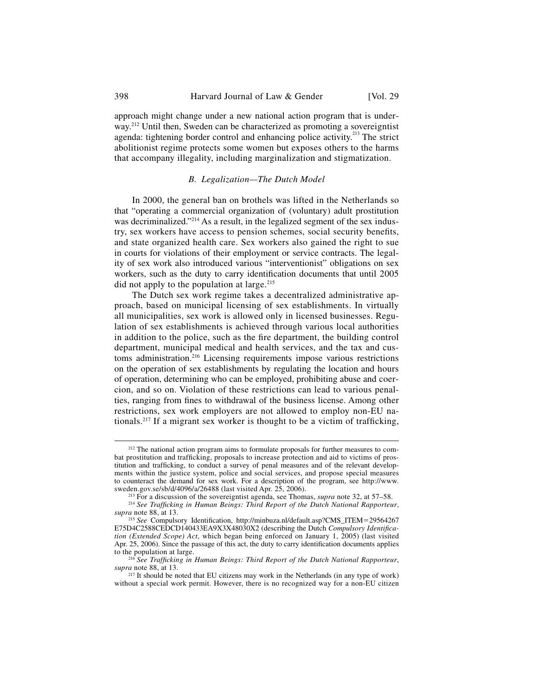398 Harvard Journal of Law & Gender [Vol. 29]

approach might change under a new national action program that is underway.<sup>212</sup> Until then, Sweden can be characterized as promoting a sovereigntist agenda: tightening border control and enhancing police activity.<sup>213</sup> The strict abolitionist regime protects some women but exposes others to the harms that accompany illegality, including marginalization and stigmatization.

### *B. Legalization—The Dutch Model*

In 2000, the general ban on brothels was lifted in the Netherlands so that "operating a commercial organization of (voluntary) adult prostitution was decriminalized."<sup>214</sup> As a result, in the legalized segment of the sex industry, sex workers have access to pension schemes, social security benefits, and state organized health care. Sex workers also gained the right to sue in courts for violations of their employment or service contracts. The legality of sex work also introduced various "interventionist" obligations on sex workers, such as the duty to carry identification documents that until 2005 did not apply to the population at large.<sup>215</sup>

The Dutch sex work regime takes a decentralized administrative approach, based on municipal licensing of sex establishments. In virtually all municipalities, sex work is allowed only in licensed businesses. Regulation of sex establishments is achieved through various local authorities in addition to the police, such as the fire department, the building control department, municipal medical and health services, and the tax and customs administration.<sup>216</sup> Licensing requirements impose various restrictions on the operation of sex establishments by regulating the location and hours of operation, determining who can be employed, prohibiting abuse and coercion, and so on. Violation of these restrictions can lead to various penalties, ranging from fines to withdrawal of the business license. Among other restrictions, sex work employers are not allowed to employ non-EU nationals.<sup>217</sup> If a migrant sex worker is thought to be a victim of trafficking,

<sup>&</sup>lt;sup>212</sup> The national action program aims to formulate proposals for further measures to combat prostitution and trafficking, proposals to increase protection and aid to victims of prostitution and trafficking, to conduct a survey of penal measures and of the relevant developments within the justice system, police and social services, and propose special measures to counteract the demand for sex work. For a description of the program, see http://www.<br>sweden.gov.se/sb/d/4096/a/26488 (last visited Apr. 25, 2006).

<sup>&</sup>lt;sup>213</sup> For a discussion of the sovereigntist agenda, see Thomas, *supra* note 32, at 57–58.

<sup>&</sup>lt;sup>214</sup> See Trafficking in Human Beings: Third Report of the Dutch National Rapporteur, *supra* note 88, at 13.

<sup>&</sup>lt;sup>215</sup> See Compulsory Identification, http://minbuza.nl/default.asp?CMS\_ITEM=29564267 E75D4C2588CEDCD140433EA9X3X48030X2 (describing the Dutch *Compulsory Identification (Extended Scope) Act*, which began being enforced on January 1, 2005) (last visited Apr.  $25$ , 2006). Since the passage of this act, the duty to carry identification documents applies to the population at large.

<sup>&</sup>lt;sup>216</sup> See Trafficking in Human Beings: Third Report of the Dutch National Rapporteur, *supra* note 88, at 13.

<sup>217</sup> It should be noted that EU citizens may work in the Netherlands (in any type of work) without a special work permit. However, there is no recognized way for a non-EU citizen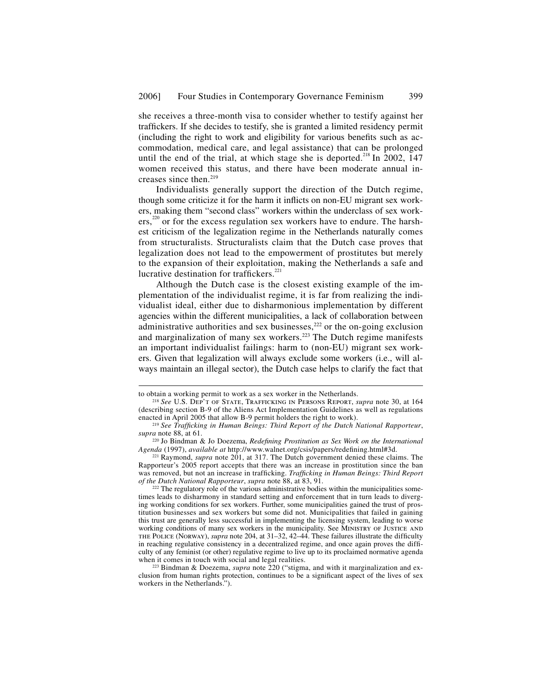she receives a three-month visa to consider whether to testify against her traffickers. If she decides to testify, she is granted a limited residency permit (including the right to work and eligibility for various benefits such as accommodation, medical care, and legal assistance) that can be prolonged until the end of the trial, at which stage she is deported.<sup>218</sup> In 2002, 147 women received this status, and there have been moderate annual increases since then.<sup>219</sup>

Individualists generally support the direction of the Dutch regime, though some criticize it for the harm it inflicts on non-EU migrant sex workers, making them "second class" workers within the underclass of sex workers,<sup>220</sup> or for the excess regulation sex workers have to endure. The harshest criticism of the legalization regime in the Netherlands naturally comes from structuralists. Structuralists claim that the Dutch case proves that legalization does not lead to the empowerment of prostitutes but merely to the expansion of their exploitation, making the Netherlands a safe and lucrative destination for traffickers.<sup>221</sup>

Although the Dutch case is the closest existing example of the implementation of the individualist regime, it is far from realizing the individualist ideal, either due to disharmonious implementation by different agencies within the different municipalities, a lack of collaboration between administrative authorities and sex businesses, $222$  or the on-going exclusion and marginalization of many sex workers.<sup>223</sup> The Dutch regime manifests an important individualist failings: harm to (non-EU) migrant sex workers. Given that legalization will always exclude some workers (i.e., will always maintain an illegal sector), the Dutch case helps to clarify the fact that

j

to obtain a working permit to work as a sex worker in the Netherlands.<br><sup>218</sup> *See* U.S. Dep't of State, Trafficking in Persons Report, *supra* note 30, at 164 (describing section B-9 of the Aliens Act Implementation Guidelines as well as regulations enacted in April 2005 that allow B-9 permit holders the right to work).

<sup>&</sup>lt;sup>219</sup> See Trafficking in Human Beings: Third Report of the Dutch National Rapporteur, *supra* note 88, at 61.

<sup>&</sup>lt;sup>220</sup> Jo Bindman & Jo Doezema, *Redefining Prostitution as Sex Work on the International Agenda* (1997), *available at http://www.walnet.org/csis/papers/redefining.html#3d.* 

<sup>221</sup> Raymond, *supra* note 201, at 317. The Dutch government denied these claims. The Rapporteur's 2005 report accepts that there was an increase in prostitution since the ban was removed, but not an increase in trafficking. *Trafficking in Human Beings: Third Report of the Dutch National Rapporteur*, *supra* note 88, at 83, 91.

 $222$  The regulatory role of the various administrative bodies within the municipalities sometimes leads to disharmony in standard setting and enforcement that in turn leads to diverging working conditions for sex workers. Further, some municipalities gained the trust of prostitution businesses and sex workers but some did not. Municipalities that failed in gaining this trust are generally less successful in implementing the licensing system, leading to worse working conditions of many sex workers in the municipality. See MINISTRY OF JUSTICE AND THE POLICE (NORWAY), *supra* note 204, at 31–32, 42–44. These failures illustrate the difficulty in reaching regulative consistency in a decentralized regime, and once again proves the difficulty of any feminist (or other) regulative regime to live up to its proclaimed normative agenda when it comes in touch with social and legal realities.

<sup>&</sup>lt;sup>223</sup> Bindman & Doezema, *supra* note 220 ("stigma, and with it marginalization and exclusion from human rights protection, continues to be a significant aspect of the lives of sex workers in the Netherlands.").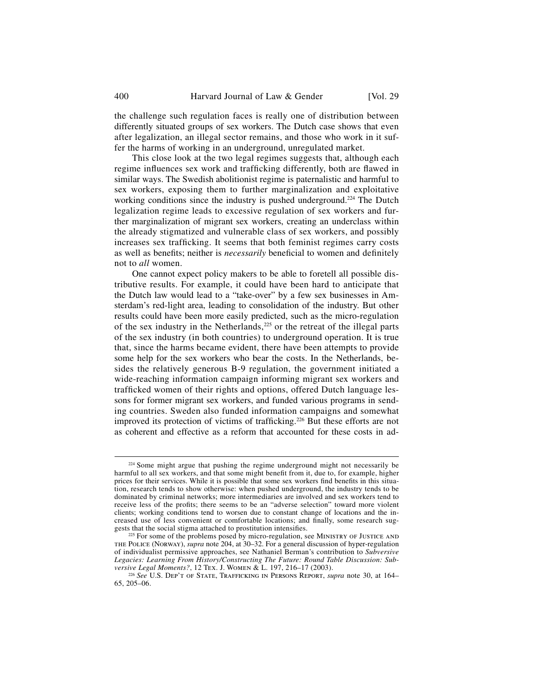the challenge such regulation faces is really one of distribution between differently situated groups of sex workers. The Dutch case shows that even after legalization, an illegal sector remains, and those who work in it suffer the harms of working in an underground, unregulated market.

This close look at the two legal regimes suggests that, although each regime influences sex work and trafficking differently, both are flawed in similar ways. The Swedish abolitionist regime is paternalistic and harmful to sex workers, exposing them to further marginalization and exploitative working conditions since the industry is pushed underground.<sup>224</sup> The Dutch legalization regime leads to excessive regulation of sex workers and further marginalization of migrant sex workers, creating an underclass within the already stigmatized and vulnerable class of sex workers, and possibly increases sex trafficking. It seems that both feminist regimes carry costs as well as benefits; neither is *necessarily* beneficial to women and definitely not to *all* women.

One cannot expect policy makers to be able to foretell all possible distributive results. For example, it could have been hard to anticipate that the Dutch law would lead to a "take-over" by a few sex businesses in Amsterdam's red-light area, leading to consolidation of the industry. But other results could have been more easily predicted, such as the micro-regulation of the sex industry in the Netherlands, $225$  or the retreat of the illegal parts of the sex industry (in both countries) to underground operation. It is true that, since the harms became evident, there have been attempts to provide some help for the sex workers who bear the costs. In the Netherlands, besides the relatively generous B-9 regulation, the government initiated a wide-reaching information campaign informing migrant sex workers and trafficked women of their rights and options, offered Dutch language lessons for former migrant sex workers, and funded various programs in sending countries. Sweden also funded information campaigns and somewhat improved its protection of victims of trafficking.<sup>226</sup> But these efforts are not as coherent and effective as a reform that accounted for these costs in ad-

 $224$  Some might argue that pushing the regime underground might not necessarily be harmful to all sex workers, and that some might benefit from it, due to, for example, higher prices for their services. While it is possible that some sex workers find benefits in this situation, research tends to show otherwise: when pushed underground, the industry tends to be dominated by criminal networks; more intermediaries are involved and sex workers tend to receive less of the profits; there seems to be an "adverse selection" toward more violent clients; working conditions tend to worsen due to constant change of locations and the increased use of less convenient or comfortable locations; and finally, some research suggests that the social stigma attached to prostitution intensifies.

<sup>&</sup>lt;sup>225</sup> For some of the problems posed by micro-regulation, see MINISTRY OF JUSTICE AND the Police (Norway), *supra* note 204, at 30–32. For a general discussion of hyper-regulation of individualist permissive approaches, see Nathaniel Berman's contribution to *Subversive Legacies: Learning From History/Constructing The Future: Round Table Discussion: Sub-*

<sup>&</sup>lt;sup>226</sup> See U.S. DEP'T OF STATE, TRAFFICKING IN PERSONS REPORT, *supra* note 30, at 164– 65, 205–06.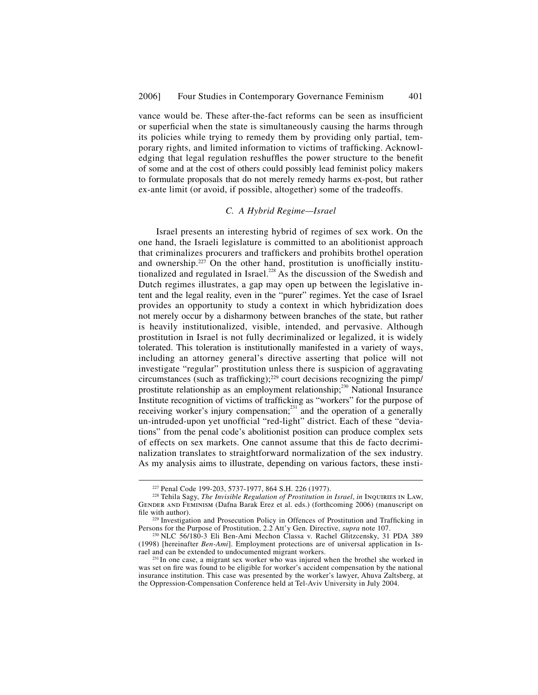vance would be. These after-the-fact reforms can be seen as insufficient or superficial when the state is simultaneously causing the harms through its policies while trying to remedy them by providing only partial, temporary rights, and limited information to victims of trafficking. Acknowledging that legal regulation reshuffles the power structure to the benefit of some and at the cost of others could possibly lead feminist policy makers to formulate proposals that do not merely remedy harms ex-post, but rather ex-ante limit (or avoid, if possible, altogether) some of the tradeoffs.

#### *C. A Hybrid Regime—Israel*

Israel presents an interesting hybrid of regimes of sex work. On the one hand, the Israeli legislature is committed to an abolitionist approach that criminalizes procurers and traffickers and prohibits brothel operation and ownership.<sup>227</sup> On the other hand, prostitution is unofficially institutionalized and regulated in Israel.<sup>228</sup> As the discussion of the Swedish and Dutch regimes illustrates, a gap may open up between the legislative intent and the legal reality, even in the "purer" regimes. Yet the case of Israel provides an opportunity to study a context in which hybridization does not merely occur by a disharmony between branches of the state, but rather is heavily institutionalized, visible, intended, and pervasive. Although prostitution in Israel is not fully decriminalized or legalized, it is widely tolerated. This toleration is institutionally manifested in a variety of ways, including an attorney general's directive asserting that police will not investigate "regular" prostitution unless there is suspicion of aggravating circumstances (such as trafficking);<sup>229</sup> court decisions recognizing the pimp/ prostitute relationship as an employment relationship;<sup>230</sup> National Insurance Institute recognition of victims of trafficking as "workers" for the purpose of receiving worker's injury compensation;<sup>231</sup> and the operation of a generally un-intruded-upon yet unofficial "red-light" district. Each of these "deviations" from the penal code's abolitionist position can produce complex sets of effects on sex markets. One cannot assume that this de facto decriminalization translates to straightforward normalization of the sex industry. As my analysis aims to illustrate, depending on various factors, these insti-

<sup>227</sup> Penal Code 199-203, 5737-1977, 864 S.H. 226 (1977). 228 Tehila Sagy, *The Invisible Regulation of Prostitution in Israel*, *in* Inquiries in Law, Gender and Feminism (Dafna Barak Erez et al. eds.) (forthcoming 2006) (manuscript on file with author).

<sup>&</sup>lt;sup>229</sup> Investigation and Prosecution Policy in Offences of Prostitution and Trafficking in Persons for the Purpose of Prostitution, 2.2 Att'y Gen. Directive, *supra* note 107.

<sup>&</sup>lt;sup>230</sup> NLC 56/180-3 Eli Ben-Ami Mechon Classa v. Rachel Glitzcensky, 31 PDA 389 (1998) [hereinafter *Ben-Ami*]. Employment protections are of universal application in Israel and can be extended to undocumented migrant workers.

<sup>&</sup>lt;sup>231</sup> In one case, a migrant sex worker who was injured when the brothel she worked in was set on fire was found to be eligible for worker's accident compensation by the national insurance institution. This case was presented by the worker's lawyer, Ahuva Zaltsberg, at the Oppression-Compensation Conference held at Tel-Aviv University in July 2004.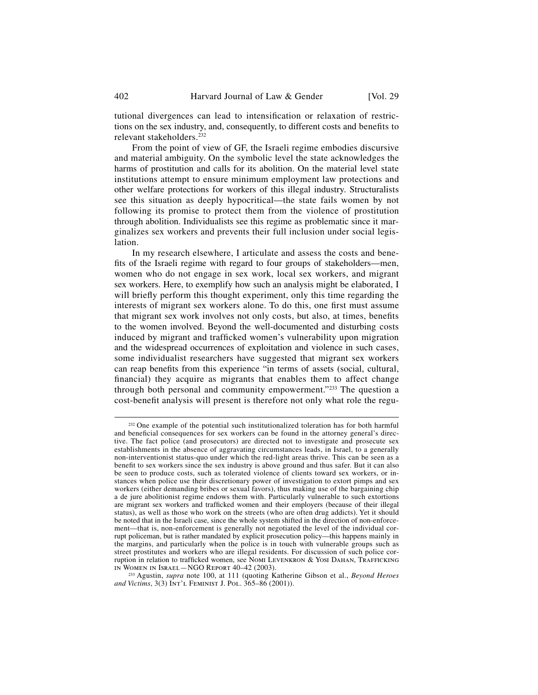tutional divergences can lead to intensification or relaxation of restrictions on the sex industry, and, consequently, to different costs and benefits to relevant stakeholders.232

From the point of view of GF, the Israeli regime embodies discursive and material ambiguity. On the symbolic level the state acknowledges the harms of prostitution and calls for its abolition. On the material level state institutions attempt to ensure minimum employment law protections and other welfare protections for workers of this illegal industry. Structuralists see this situation as deeply hypocritical—the state fails women by not following its promise to protect them from the violence of prostitution through abolition. Individualists see this regime as problematic since it marginalizes sex workers and prevents their full inclusion under social legislation.

In my research elsewhere, I articulate and assess the costs and benefits of the Israeli regime with regard to four groups of stakeholders—men, women who do not engage in sex work, local sex workers, and migrant sex workers. Here, to exemplify how such an analysis might be elaborated, I will briefly perform this thought experiment, only this time regarding the interests of migrant sex workers alone. To do this, one first must assume that migrant sex work involves not only costs, but also, at times, benefits to the women involved. Beyond the well-documented and disturbing costs induced by migrant and trafficked women's vulnerability upon migration and the widespread occurrences of exploitation and violence in such cases, some individualist researchers have suggested that migrant sex workers can reap benefits from this experience "in terms of assets (social, cultural, financial) they acquire as migrants that enables them to affect change through both personal and community empowerment."<sup>233</sup> The question a cost-benefit analysis will present is therefore not only what role the regu-

<sup>&</sup>lt;sup>232</sup> One example of the potential such institutionalized toleration has for both harmful and beneficial consequences for sex workers can be found in the attorney general's directive. The fact police (and prosecutors) are directed not to investigate and prosecute sex establishments in the absence of aggravating circumstances leads, in Israel, to a generally non-interventionist status-quo under which the red-light areas thrive. This can be seen as a benefit to sex workers since the sex industry is above ground and thus safer. But it can also be seen to produce costs, such as tolerated violence of clients toward sex workers, or instances when police use their discretionary power of investigation to extort pimps and sex workers (either demanding bribes or sexual favors), thus making use of the bargaining chip a de jure abolitionist regime endows them with. Particularly vulnerable to such extortions are migrant sex workers and trafficked women and their employers (because of their illegal status), as well as those who work on the streets (who are often drug addicts). Yet it should be noted that in the Israeli case, since the whole system shifted in the direction of non-enforcement—that is, non-enforcement is generally not negotiated the level of the individual corrupt policeman, but is rather mandated by explicit prosecution policy—this happens mainly in the margins, and particularly when the police is in touch with vulnerable groups such as street prostitutes and workers who are illegal residents. For discussion of such police corruption in relation to trafficked women, see Nomi Levenkron & Yosi Dahan, Trafficking<br>In Women in Israel – NGO Report 40–42 (2003).

<sup>&</sup>lt;sup>233</sup> Agustin, *supra* note 100, at 111 (quoting Katherine Gibson et al., *Beyond Heroes and Victims*, 3(3) Int'l Feminist J. Pol. 365–86 (2001)).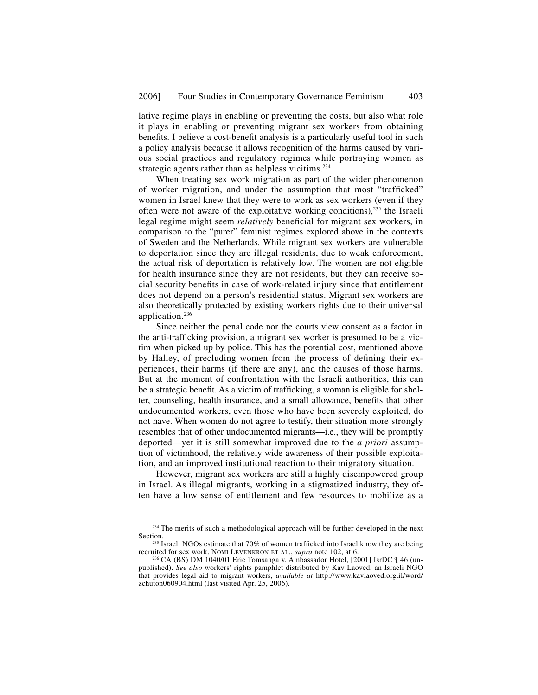lative regime plays in enabling or preventing the costs, but also what role it plays in enabling or preventing migrant sex workers from obtaining benefits. I believe a cost-benefit analysis is a particularly useful tool in such a policy analysis because it allows recognition of the harms caused by various social practices and regulatory regimes while portraying women as strategic agents rather than as helpless vicitims.<sup>234</sup>

When treating sex work migration as part of the wider phenomenon of worker migration, and under the assumption that most "trafficked" women in Israel knew that they were to work as sex workers (even if they often were not aware of the exploitative working conditions),<sup>235</sup> the Israeli legal regime might seem *relatively* beneficial for migrant sex workers, in comparison to the "purer" feminist regimes explored above in the contexts of Sweden and the Netherlands. While migrant sex workers are vulnerable to deportation since they are illegal residents, due to weak enforcement, the actual risk of deportation is relatively low. The women are not eligible for health insurance since they are not residents, but they can receive social security benefits in case of work-related injury since that entitlement does not depend on a person's residential status. Migrant sex workers are also theoretically protected by existing workers rights due to their universal application.<sup>236</sup>

Since neither the penal code nor the courts view consent as a factor in the anti-trafficking provision, a migrant sex worker is presumed to be a victim when picked up by police. This has the potential cost, mentioned above by Halley, of precluding women from the process of defining their experiences, their harms (if there are any), and the causes of those harms. But at the moment of confrontation with the Israeli authorities, this can be a strategic benefit. As a victim of trafficking, a woman is eligible for shelter, counseling, health insurance, and a small allowance, benefits that other undocumented workers, even those who have been severely exploited, do not have. When women do not agree to testify, their situation more strongly resembles that of other undocumented migrants—i.e., they will be promptly deported—yet it is still somewhat improved due to the *a priori* assumption of victimhood, the relatively wide awareness of their possible exploitation, and an improved institutional reaction to their migratory situation.

However, migrant sex workers are still a highly disempowered group in Israel. As illegal migrants, working in a stigmatized industry, they often have a low sense of entitlement and few resources to mobilize as a

<sup>&</sup>lt;sup>234</sup> The merits of such a methodological approach will be further developed in the next Section.

<sup>&</sup>lt;sup>235</sup> Israeli NGOs estimate that 70% of women trafficked into Israel know they are being recruited for sex work. NomILEVENKRON ET AL., *supra* note 102, at 6.

<sup>&</sup>lt;sup>236</sup> CA (BS) DM 1040/01 Eric Tomsanga v. Ambassador Hotel, [2001] IsrDC ¶ 46 (unpublished). *See also* workers' rights pamphlet distributed by Kav Laoved, an Israeli NGO that provides legal aid to migrant workers, *available at* http://www.kavlaoved.org.il/word/ zchuton060904.html (last visited Apr. 25, 2006).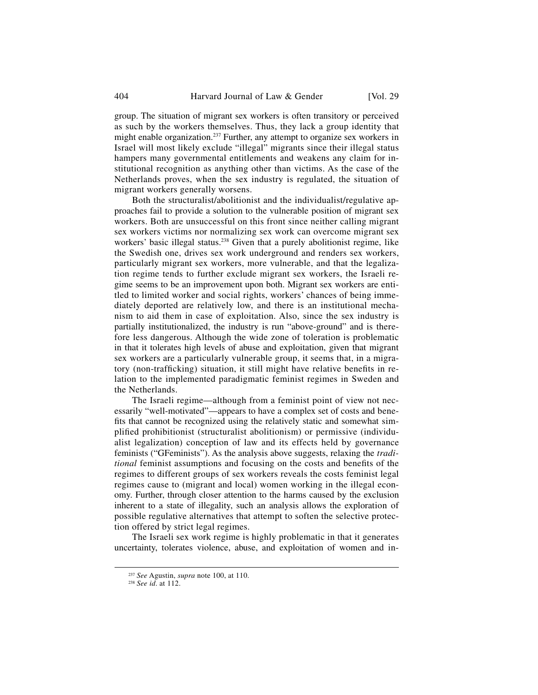group. The situation of migrant sex workers is often transitory or perceived as such by the workers themselves. Thus, they lack a group identity that might enable organization.<sup>237</sup> Further, any attempt to organize sex workers in Israel will most likely exclude "illegal" migrants since their illegal status hampers many governmental entitlements and weakens any claim for institutional recognition as anything other than victims. As the case of the Netherlands proves, when the sex industry is regulated, the situation of migrant workers generally worsens.

Both the structuralist/abolitionist and the individualist/regulative approaches fail to provide a solution to the vulnerable position of migrant sex workers. Both are unsuccessful on this front since neither calling migrant sex workers victims nor normalizing sex work can overcome migrant sex workers' basic illegal status.<sup>238</sup> Given that a purely abolitionist regime, like the Swedish one, drives sex work underground and renders sex workers, particularly migrant sex workers, more vulnerable, and that the legalization regime tends to further exclude migrant sex workers, the Israeli regime seems to be an improvement upon both. Migrant sex workers are entitled to limited worker and social rights, workers' chances of being immediately deported are relatively low, and there is an institutional mechanism to aid them in case of exploitation. Also, since the sex industry is partially institutionalized, the industry is run "above-ground" and is therefore less dangerous. Although the wide zone of toleration is problematic in that it tolerates high levels of abuse and exploitation, given that migrant sex workers are a particularly vulnerable group, it seems that, in a migratory (non-trafficking) situation, it still might have relative benefits in relation to the implemented paradigmatic feminist regimes in Sweden and the Netherlands.

The Israeli regime—although from a feminist point of view not necessarily "well-motivated"—appears to have a complex set of costs and benefits that cannot be recognized using the relatively static and somewhat simplified prohibitionist (structuralist abolitionism) or permissive (individualist legalization) conception of law and its effects held by governance feminists ("GFeminists"). As the analysis above suggests, relaxing the *traditional* feminist assumptions and focusing on the costs and benefits of the regimes to different groups of sex workers reveals the costs feminist legal regimes cause to (migrant and local) women working in the illegal economy. Further, through closer attention to the harms caused by the exclusion inherent to a state of illegality, such an analysis allows the exploration of possible regulative alternatives that attempt to soften the selective protection offered by strict legal regimes.

The Israeli sex work regime is highly problematic in that it generates uncertainty, tolerates violence, abuse, and exploitation of women and in-

<sup>237</sup> *See* Agustin, *supra* note 100, at 110. 238 *See id*. at 112.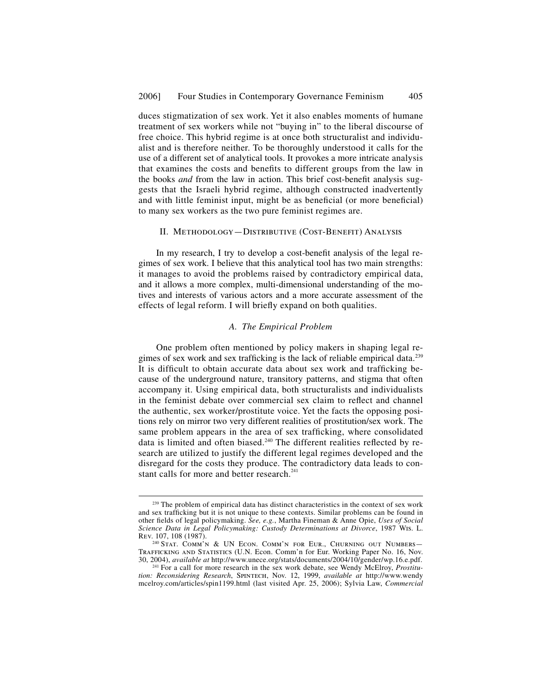duces stigmatization of sex work. Yet it also enables moments of humane treatment of sex workers while not "buying in" to the liberal discourse of free choice. This hybrid regime is at once both structuralist and individualist and is therefore neither. To be thoroughly understood it calls for the use of a different set of analytical tools. It provokes a more intricate analysis that examines the costs and benefits to different groups from the law in the books *and* from the law in action. This brief cost-benefit analysis suggests that the Israeli hybrid regime, although constructed inadvertently and with little feminist input, might be as beneficial (or more beneficial) to many sex workers as the two pure feminist regimes are.

### II. METHODOLOGY-DISTRIBUTIVE (COST-BENEFIT) ANALYSIS

In my research, I try to develop a cost-benefit analysis of the legal regimes of sex work. I believe that this analytical tool has two main strengths: it manages to avoid the problems raised by contradictory empirical data, and it allows a more complex, multi-dimensional understanding of the motives and interests of various actors and a more accurate assessment of the effects of legal reform. I will briefly expand on both qualities.

#### *A. The Empirical Problem*

One problem often mentioned by policy makers in shaping legal regimes of sex work and sex trafficking is the lack of reliable empirical data.<sup>239</sup> It is difficult to obtain accurate data about sex work and trafficking because of the underground nature, transitory patterns, and stigma that often accompany it. Using empirical data, both structuralists and individualists in the feminist debate over commercial sex claim to reflect and channel the authentic, sex worker/prostitute voice. Yet the facts the opposing positions rely on mirror two very different realities of prostitution/sex work. The same problem appears in the area of sex trafficking, where consolidated data is limited and often biased.<sup>240</sup> The different realities reflected by research are utilized to justify the different legal regimes developed and the disregard for the costs they produce. The contradictory data leads to constant calls for more and better research.<sup>2</sup>

 $239$  The problem of empirical data has distinct characteristics in the context of sex work and sex trafficking but it is not unique to these contexts. Similar problems can be found in other fields of legal policymaking. *See, e.g.*, Martha Fineman & Anne Opie, *Uses of Social Science Data in Legal Policymaking: Custody Determinations at Divorce*, 1987 Wis. L. Rev. 107, 108 (1987).

<sup>&</sup>lt;sup>240</sup> Stat. COMM'N & UN ECON. COMM'N FOR EUR., CHURNING OUT NUMBERS-TRAFFICKING AND STATISTICS (U.N. Econ. Comm'n for Eur. Working Paper No. 16, Nov. 30, 2004), *available at* http://www.unece.org/stats/documents/2004/10/gender/wp.16.e.pdf. 241 For a call for more research in the sex work debate, see Wendy McElroy, *Prostitu-*

*tion: Reconsidering Research*, Spintech, Nov. 12, 1999, *available at* http://www.wendy mcelroy.com/articles/spin1199.html (last visited Apr. 25, 2006); Sylvia Law, *Commercial*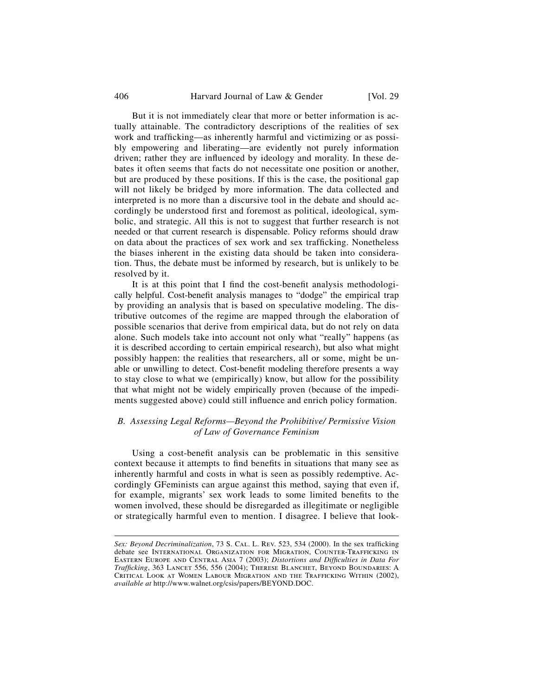#### 406 Harvard Journal of Law & Gender [Vol. 29]

But it is not immediately clear that more or better information is actually attainable. The contradictory descriptions of the realities of sex work and trafficking—as inherently harmful and victimizing or as possibly empowering and liberating—are evidently not purely information driven; rather they are influenced by ideology and morality. In these debates it often seems that facts do not necessitate one position or another, but are produced by these positions. If this is the case, the positional gap will not likely be bridged by more information. The data collected and interpreted is no more than a discursive tool in the debate and should accordingly be understood first and foremost as political, ideological, symbolic, and strategic. All this is not to suggest that further research is not needed or that current research is dispensable. Policy reforms should draw on data about the practices of sex work and sex trafficking. Nonetheless the biases inherent in the existing data should be taken into consideration. Thus, the debate must be informed by research, but is unlikely to be resolved by it.

It is at this point that I find the cost-benefit analysis methodologically helpful. Cost-benefit analysis manages to "dodge" the empirical trap by providing an analysis that is based on speculative modeling. The distributive outcomes of the regime are mapped through the elaboration of possible scenarios that derive from empirical data, but do not rely on data alone. Such models take into account not only what "really" happens (as it is described according to certain empirical research), but also what might possibly happen: the realities that researchers, all or some, might be unable or unwilling to detect. Cost-benefit modeling therefore presents a way to stay close to what we (empirically) know, but allow for the possibility that what might not be widely empirically proven (because of the impediments suggested above) could still influence and enrich policy formation.

## *B. Assessing Legal Reforms—Beyond the Prohibitive/ Permissive Vision of Law of Governance Feminism*

Using a cost-benefit analysis can be problematic in this sensitive context because it attempts to find benefits in situations that many see as inherently harmful and costs in what is seen as possibly redemptive. Accordingly GFeminists can argue against this method, saying that even if, for example, migrants' sex work leads to some limited benefits to the women involved, these should be disregarded as illegitimate or negligible or strategically harmful even to mention. I disagree. I believe that look-

j

*Sex: Beyond Decriminalization*, 73 S. CAL. L. REV. 523, 534 (2000). In the sex trafficking debate see International Organization for Migration, Counter-Trafficking in EASTERN EUROPE AND CENTRAL ASIA 7 (2003); *Distortions and Difficulties in Data For Trafficking*, 363 LANCET 556, 556 (2004); THERESE BLANCHET, BEYOND BOUNDARIES: A CRITICAL LOOK AT WOMEN LABOUR MIGRATION AND THE TRAFFICKING WITHIN (2002), *available at* http://www.walnet.org/csis/papers/BEYOND.DOC.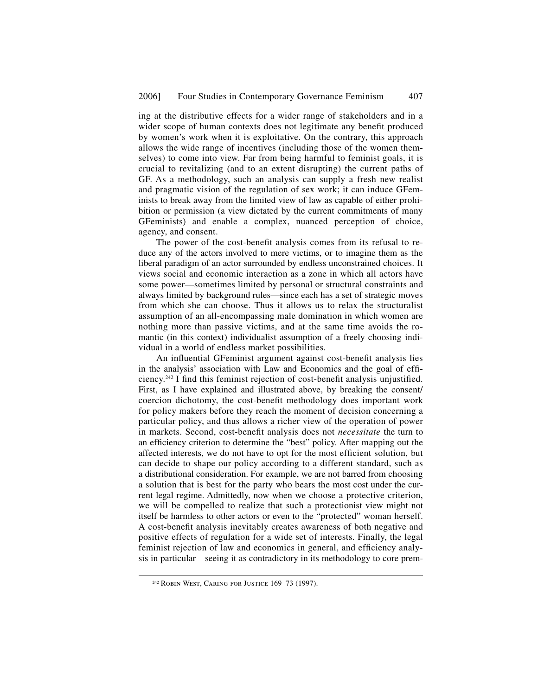ing at the distributive effects for a wider range of stakeholders and in a wider scope of human contexts does not legitimate any benefit produced by women's work when it is exploitative. On the contrary, this approach allows the wide range of incentives (including those of the women themselves) to come into view. Far from being harmful to feminist goals, it is crucial to revitalizing (and to an extent disrupting) the current paths of GF. As a methodology, such an analysis can supply a fresh new realist and pragmatic vision of the regulation of sex work; it can induce GFeminists to break away from the limited view of law as capable of either prohibition or permission (a view dictated by the current commitments of many GFeminists) and enable a complex, nuanced perception of choice, agency, and consent.

The power of the cost-benefit analysis comes from its refusal to reduce any of the actors involved to mere victims, or to imagine them as the liberal paradigm of an actor surrounded by endless unconstrained choices. It views social and economic interaction as a zone in which all actors have some power—sometimes limited by personal or structural constraints and always limited by background rules—since each has a set of strategic moves from which she can choose. Thus it allows us to relax the structuralist assumption of an all-encompassing male domination in which women are nothing more than passive victims, and at the same time avoids the romantic (in this context) individualist assumption of a freely choosing individual in a world of endless market possibilities.

An influential GFeminist argument against cost-benefit analysis lies in the analysis' association with Law and Economics and the goal of efficiency.<sup>242</sup> I find this feminist rejection of cost-benefit analysis unjustified. First, as I have explained and illustrated above, by breaking the consent/ coercion dichotomy, the cost-benefit methodology does important work for policy makers before they reach the moment of decision concerning a particular policy, and thus allows a richer view of the operation of power in markets. Second, cost-benefit analysis does not *necessitate* the turn to an efficiency criterion to determine the "best" policy. After mapping out the affected interests, we do not have to opt for the most efficient solution, but can decide to shape our policy according to a different standard, such as a distributional consideration. For example, we are not barred from choosing a solution that is best for the party who bears the most cost under the current legal regime. Admittedly, now when we choose a protective criterion, we will be compelled to realize that such a protectionist view might not itself be harmless to other actors or even to the "protected" woman herself. A cost-benefit analysis inevitably creates awareness of both negative and positive effects of regulation for a wide set of interests. Finally, the legal feminist rejection of law and economics in general, and efficiency analysis in particular—seeing it as contradictory in its methodology to core prem-

 <sup>242</sup> Robin West, Caring for Justice 169–73 (1997).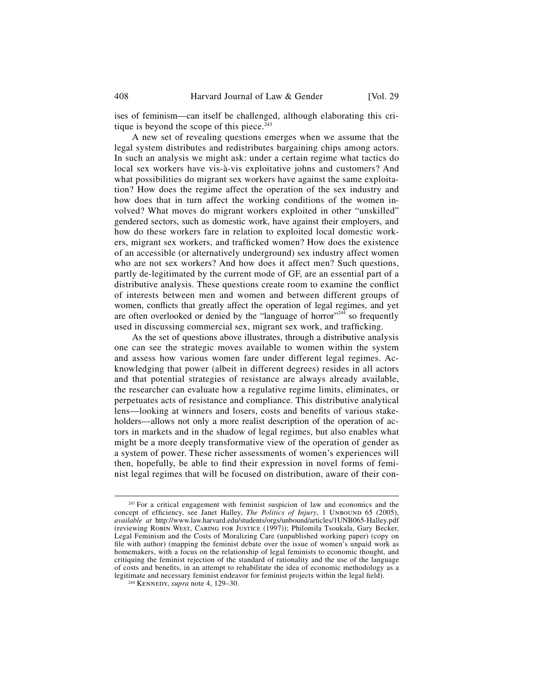ises of feminism—can itself be challenged, although elaborating this critique is beyond the scope of this piece. $243$ 

A new set of revealing questions emerges when we assume that the legal system distributes and redistributes bargaining chips among actors. In such an analysis we might ask: under a certain regime what tactics do local sex workers have vis-à-vis exploitative johns and customers? And what possibilities do migrant sex workers have against the same exploitation? How does the regime affect the operation of the sex industry and how does that in turn affect the working conditions of the women involved? What moves do migrant workers exploited in other "unskilled" gendered sectors, such as domestic work, have against their employers, and how do these workers fare in relation to exploited local domestic workers, migrant sex workers, and trafficked women? How does the existence of an accessible (or alternatively underground) sex industry affect women who are not sex workers? And how does it affect men? Such questions, partly de-legitimated by the current mode of GF, are an essential part of a distributive analysis. These questions create room to examine the conflict of interests between men and women and between different groups of women, conflicts that greatly affect the operation of legal regimes, and yet are often overlooked or denied by the "language of horror"<sup>244</sup> so frequently used in discussing commercial sex, migrant sex work, and trafficking.

As the set of questions above illustrates, through a distributive analysis one can see the strategic moves available to women within the system and assess how various women fare under different legal regimes. Acknowledging that power (albeit in different degrees) resides in all actors and that potential strategies of resistance are always already available, the researcher can evaluate how a regulative regime limits, eliminates, or perpetuates acts of resistance and compliance. This distributive analytical lens—looking at winners and losers, costs and benefits of various stakeholders—allows not only a more realist description of the operation of actors in markets and in the shadow of legal regimes, but also enables what might be a more deeply transformative view of the operation of gender as a system of power. These richer assessments of women's experiences will then, hopefully, be able to find their expression in novel forms of feminist legal regimes that will be focused on distribution, aware of their con-

<sup>&</sup>lt;sup>243</sup> For a critical engagement with feminist suspicion of law and economics and the concept of efficiency, see Janet Halley, *The Politics of Injury*, 1 UNBOUND 65 (2005), *available at* http://www.law.harvard.edu/students/orgs/unbound/articles/1UNB065-Halley.pdf (reviewing Robin West, Caring for Justice (1997)); Philomila Tsoukala, Gary Becker, Legal Feminism and the Costs of Moralizing Care (unpublished working paper) (copy on file with author) (mapping the feminist debate over the issue of women's unpaid work as homemakers, with a focus on the relationship of legal feminists to economic thought, and critiquing the feminist rejection of the standard of rationality and the use of the language of costs and benefits, in an attempt to rehabilitate the idea of economic methodology as a legitimate and necessary feminist endeavor for feminist projects within the legal field). <sup>244</sup> KENNEDY, *supra* note 4, 129–30.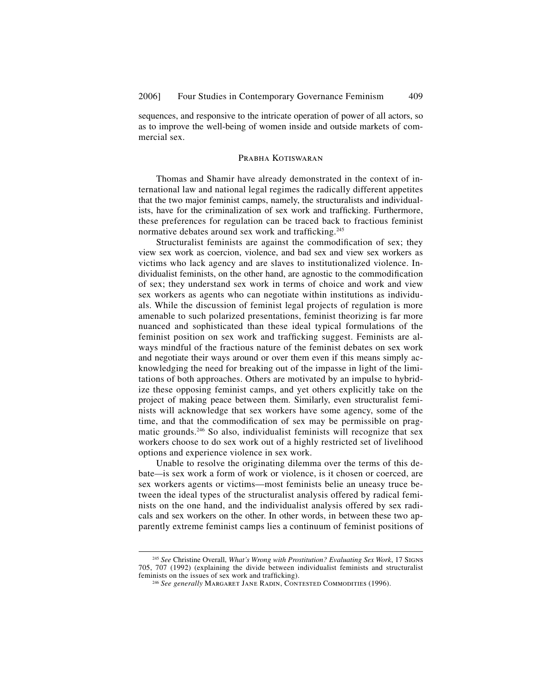sequences, and responsive to the intricate operation of power of all actors, so as to improve the well-being of women inside and outside markets of commercial sex.

# PRABHA KOTISWARAN

Thomas and Shamir have already demonstrated in the context of international law and national legal regimes the radically different appetites that the two major feminist camps, namely, the structuralists and individualists, have for the criminalization of sex work and trafficking. Furthermore, these preferences for regulation can be traced back to fractious feminist normative debates around sex work and trafficking.<sup>245</sup>

Structuralist feminists are against the commodification of sex; they view sex work as coercion, violence, and bad sex and view sex workers as victims who lack agency and are slaves to institutionalized violence. Individualist feminists, on the other hand, are agnostic to the commodification of sex; they understand sex work in terms of choice and work and view sex workers as agents who can negotiate within institutions as individuals. While the discussion of feminist legal projects of regulation is more amenable to such polarized presentations, feminist theorizing is far more nuanced and sophisticated than these ideal typical formulations of the feminist position on sex work and trafficking suggest. Feminists are always mindful of the fractious nature of the feminist debates on sex work and negotiate their ways around or over them even if this means simply acknowledging the need for breaking out of the impasse in light of the limitations of both approaches. Others are motivated by an impulse to hybridize these opposing feminist camps, and yet others explicitly take on the project of making peace between them. Similarly, even structuralist feminists will acknowledge that sex workers have some agency, some of the time, and that the commodification of sex may be permissible on pragmatic grounds.246 So also, individualist feminists will recognize that sex workers choose to do sex work out of a highly restricted set of livelihood options and experience violence in sex work.

Unable to resolve the originating dilemma over the terms of this debate*—*is sex work a form of work or violence, is it chosen or coerced, are sex workers agents or victims—most feminists belie an uneasy truce between the ideal types of the structuralist analysis offered by radical feminists on the one hand, and the individualist analysis offered by sex radicals and sex workers on the other. In other words, in between these two apparently extreme feminist camps lies a continuum of feminist positions of

 <sup>245</sup> *See* Christine Overall, *What's Wrong with Prostitution? Evaluating Sex Work*, 17 Signs 705, 707 (1992) (explaining the divide between individualist feminists and structuralist

<sup>&</sup>lt;sup>246</sup> See generally MARGARET JANE RADIN, CONTESTED COMMODITIES (1996).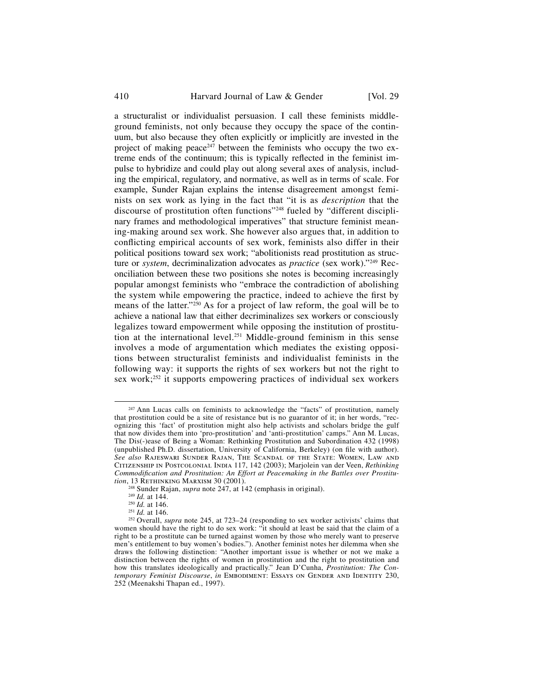410 Harvard Journal of Law & Gender [Vol. 29]

a structuralist or individualist persuasion. I call these feminists middleground feminists, not only because they occupy the space of the continuum, but also because they often explicitly or implicitly are invested in the project of making peace<sup>247</sup> between the feminists who occupy the two extreme ends of the continuum; this is typically reflected in the feminist impulse to hybridize and could play out along several axes of analysis, including the empirical, regulatory, and normative, as well as in terms of scale. For example, Sunder Rajan explains the intense disagreement amongst feminists on sex work as lying in the fact that "it is as *description* that the discourse of prostitution often functions"248 fueled by "different disciplinary frames and methodological imperatives" that structure feminist meaning-making around sex work. She however also argues that, in addition to conflicting empirical accounts of sex work, feminists also differ in their political positions toward sex work; "abolitionists read prostitution as structure or *system*, decriminalization advocates as *practice* (sex work)."249 Reconciliation between these two positions she notes is becoming increasingly popular amongst feminists who "embrace the contradiction of abolishing the system while empowering the practice, indeed to achieve the first by means of the latter."<sup>250</sup> As for a project of law reform, the goal will be to achieve a national law that either decriminalizes sex workers or consciously legalizes toward empowerment while opposing the institution of prostitution at the international level.<sup>251</sup> Middle-ground feminism in this sense involves a mode of argumentation which mediates the existing oppositions between structuralist feminists and individualist feminists in the following way: it supports the rights of sex workers but not the right to sex work;<sup>252</sup> it supports empowering practices of individual sex workers

<sup>&</sup>lt;sup>247</sup> Ann Lucas calls on feminists to acknowledge the "facts" of prostitution, namely that prostitution could be a site of resistance but is no guarantor of it; in her words, "recognizing this 'fact' of prostitution might also help activists and scholars bridge the gulf that now divides them into 'pro-prostitution' and 'anti-prostitution' camps." Ann M. Lucas, The Dis(-)ease of Being a Woman: Rethinking Prostitution and Subordination 432 (1998) (unpublished Ph.D. dissertation, University of California, Berkeley) (on file with author). *See also* Rajeswari Sunder Rajan, The Scandal of the State: Women, Law and Citizenship in Postcolonial India 117, 142 (2003); Marjolein van der Veen, *Rethinking Commodification and Prostitution: An Effort at Peacemaking in the Battles over Prostitution, 13 RETHINKING MARXISM 30 (2001).* 

<sup>&</sup>lt;sup>248</sup> Sunder Rajan, *supra* note 247, at 142 (emphasis in original).<br><sup>249</sup> *Id.* at 144.<br><sup>250</sup> *Id.* at 146.<br><sup>251</sup> *Id.* at 146.<br><sup>251</sup> *Id.* at 146.<br><sup>252</sup> Overall, *supra* note 245, at 723–24 (responding to sex worker act women should have the right to do sex work: "it should at least be said that the claim of a right to be a prostitute can be turned against women by those who merely want to preserve men's entitlement to buy women's bodies."). Another feminist notes her dilemma when she draws the following distinction: "Another important issue is whether or not we make a distinction between the rights of women in prostitution and the right to prostitution and the right. how this translates ideologically and practically." Jean D'Cunha, *Prostitution: The Contemporary Feminist Discourse*, *in* EMBODIMENT: ESSAYS ON GENDER AND IDENTITY 230, 252 (Meenakshi Thapan ed., 1997).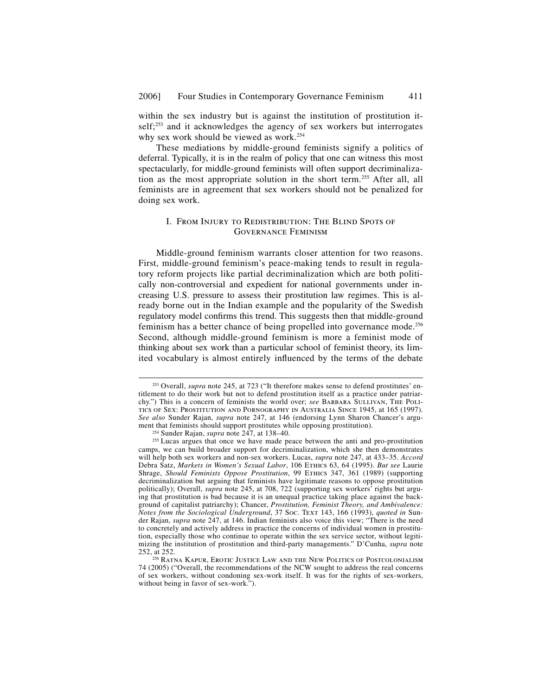within the sex industry but is against the institution of prostitution itself;<sup>253</sup> and it acknowledges the agency of sex workers but interrogates why sex work should be viewed as work.<sup>254</sup>

These mediations by middle-ground feminists signify a politics of deferral. Typically, it is in the realm of policy that one can witness this most spectacularly, for middle-ground feminists will often support decriminalization as the most appropriate solution in the short term.255 After all, all feminists are in agreement that sex workers should not be penalized for doing sex work.

# I. From Injury to Redistribution: The Blind Spots of Governance Feminism

Middle-ground feminism warrants closer attention for two reasons. First, middle-ground feminism's peace-making tends to result in regulatory reform projects like partial decriminalization which are both politically non-controversial and expedient for national governments under increasing U.S. pressure to assess their prostitution law regimes. This is already borne out in the Indian example and the popularity of the Swedish regulatory model confirms this trend. This suggests then that middle-ground feminism has a better chance of being propelled into governance mode.256 Second, although middle-ground feminism is more a feminist mode of thinking about sex work than a particular school of feminist theory, its limited vocabulary is almost entirely influenced by the terms of the debate

 <sup>253</sup> Overall, *supra* note 245, at 723 ("It therefore makes sense to defend prostitutes' entitlement to do their work but not to defend prostitution itself as a practice under patriarchy.") This is a concern of feminists the world over; *see* BARBARA SULLIVAN, THE POLItics of Sex: Prostitution and Pornography in Australia Since 1945, at 165 (1997). *See also* Sunder Rajan, *supra* note 247, at 146 (endorsing Lynn Sharon Chancer's argu-

<sup>&</sup>lt;sup>254</sup> Sunder Rajan, *supra* note 247, at 138–40. <sup>255</sup> Lucas argues that once we have made peace between the anti and pro-prostitution camps, we can build broader support for decriminalization, which she then demonstrates will help both sex workers and non-sex workers. Lucas, *supra* note 247, at 433–35. *Accord* Debra Satz, *Markets in Women's Sexual Labor*, 106 Ethics 63, 64 (1995). *But see* Laurie Shrage, *Should Feminists Oppose Prostitution*, 99 Ethics 347, 361 (1989) (supporting decriminalization but arguing that feminists have legitimate reasons to oppose prostitution politically); Overall, *supra* note 245, at 708, 722 (supporting sex workers<sup>†</sup> rights but arguing that prostitution is bad because it is an unequal practice taking place against the background of capitalist patriarchy); Chancer, *Prostitution, Feminist Theory, and Ambivalence: Notes from the Sociological Underground*, 37 Soc. Text 143, 166 (1993), *quoted in* Sunder Rajan, *supra* note 247, at 146. Indian feminists also voice this view; "There is the need to concretely and actively address in practice the concerns of individual women in prostitution, especially those who continue to operate within the sex service sector, without legitimizing the institution of prostitution and third-party managements." D'Cunha, *supra* note

<sup>&</sup>lt;sup>256</sup> RATNA KAPUR, EROTIC JUSTICE LAW AND THE NEW POLITICS OF POSTCOLONIALISM 74 (2005) ("Overall, the recommendations of the NCW sought to address the real concerns of sex workers, without condoning sex-work itself. It was for the rights of sex-workers, without being in favor of sex-work.").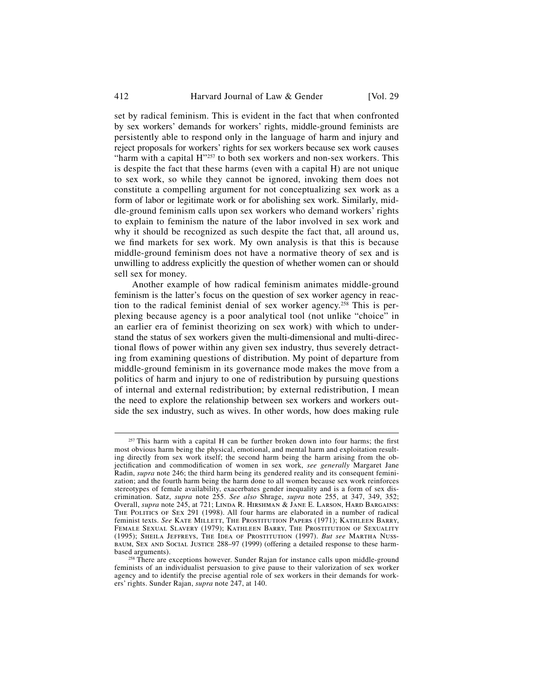412 Harvard Journal of Law & Gender [Vol. 29]

set by radical feminism. This is evident in the fact that when confronted by sex workers' demands for workers' rights, middle-ground feminists are persistently able to respond only in the language of harm and injury and reject proposals for workers' rights for sex workers because sex work causes "harm with a capital H"<sup>257</sup> to both sex workers and non-sex workers. This is despite the fact that these harms (even with a capital H) are not unique to sex work, so while they cannot be ignored, invoking them does not constitute a compelling argument for not conceptualizing sex work as a form of labor or legitimate work or for abolishing sex work. Similarly, middle-ground feminism calls upon sex workers who demand workers' rights to explain to feminism the nature of the labor involved in sex work and why it should be recognized as such despite the fact that, all around us, we find markets for sex work. My own analysis is that this is because middle-ground feminism does not have a normative theory of sex and is unwilling to address explicitly the question of whether women can or should sell sex for money.

Another example of how radical feminism animates middle-ground feminism is the latter's focus on the question of sex worker agency in reaction to the radical feminist denial of sex worker agency.<sup>258</sup> This is perplexing because agency is a poor analytical tool (not unlike "choice" in an earlier era of feminist theorizing on sex work) with which to understand the status of sex workers given the multi-dimensional and multi-directional flows of power within any given sex industry, thus severely detracting from examining questions of distribution. My point of departure from middle-ground feminism in its governance mode makes the move from a politics of harm and injury to one of redistribution by pursuing questions of internal and external redistribution; by external redistribution, I mean the need to explore the relationship between sex workers and workers outside the sex industry, such as wives. In other words, how does making rule

 $257$  This harm with a capital H can be further broken down into four harms; the first most obvious harm being the physical, emotional, and mental harm and exploitation resulting directly from sex work itself; the second harm being the harm arising from the objectification and commodification of women in sex work, *see generally* Margaret Jane Radin, *supra* note 246; the third harm being its gendered reality and its consequent feminization; and the fourth harm being the harm done to all women because sex work reinforces stereotypes of female availability, exacerbates gender inequality and is a form of sex discrimination. Satz, *supra* note 255. *See also* Shrage, *supra* note 255, at 347, 349, 352; Overall, *supra* note 245, at 721; Linda R. Hirshman & Jane E. Larson, Hard Bargains: The Politics of Sex 291 (1998). All four harms are elaborated in a number of radical feminist texts. *See* Kate Millett, The Prostitution Papers (1971); Kathleen Barry, Female Sexual Slavery (1979); Kathleen Barry, The Prostitution of Sexuality (1995); Sheila Jeffreys, The Idea of Prostitution (1997). *But see* Martha Nussbaum, Sex and Social Justice 288–97 (1999) (offering a detailed response to these harm-

<sup>&</sup>lt;sup>258</sup> There are exceptions however. Sunder Rajan for instance calls upon middle-ground feminists of an individualist persuasion to give pause to their valorization of sex worker agency and to identify the precise agential role of sex workers in their demands for workers' rights. Sunder Rajan, *supra* note 247, at 140.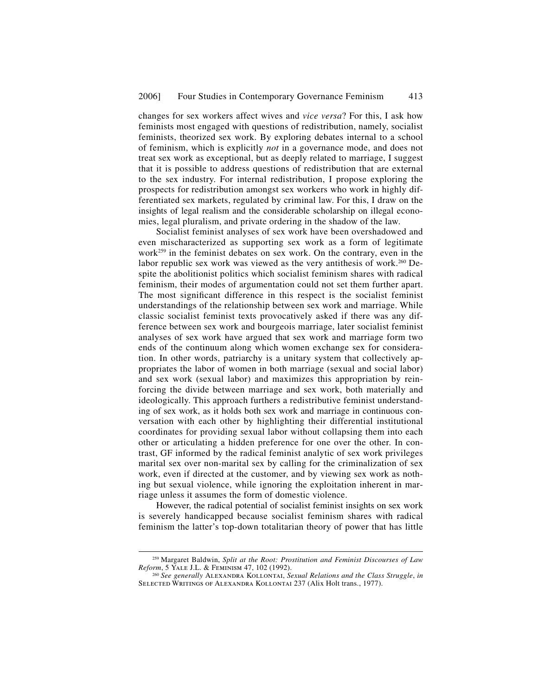changes for sex workers affect wives and *vice versa*? For this, I ask how feminists most engaged with questions of redistribution, namely, socialist feminists, theorized sex work. By exploring debates internal to a school of feminism, which is explicitly *not* in a governance mode, and does not treat sex work as exceptional, but as deeply related to marriage, I suggest that it is possible to address questions of redistribution that are external to the sex industry. For internal redistribution, I propose exploring the prospects for redistribution amongst sex workers who work in highly differentiated sex markets, regulated by criminal law. For this, I draw on the insights of legal realism and the considerable scholarship on illegal economies, legal pluralism, and private ordering in the shadow of the law.

Socialist feminist analyses of sex work have been overshadowed and even mischaracterized as supporting sex work as a form of legitimate work<sup>259</sup> in the feminist debates on sex work. On the contrary, even in the labor republic sex work was viewed as the very antithesis of work.<sup>260</sup> Despite the abolitionist politics which socialist feminism shares with radical feminism, their modes of argumentation could not set them further apart. The most significant difference in this respect is the socialist feminist understandings of the relationship between sex work and marriage. While classic socialist feminist texts provocatively asked if there was any difference between sex work and bourgeois marriage, later socialist feminist analyses of sex work have argued that sex work and marriage form two ends of the continuum along which women exchange sex for consideration. In other words, patriarchy is a unitary system that collectively appropriates the labor of women in both marriage (sexual and social labor) and sex work (sexual labor) and maximizes this appropriation by reinforcing the divide between marriage and sex work, both materially and ideologically. This approach furthers a redistributive feminist understanding of sex work, as it holds both sex work and marriage in continuous conversation with each other by highlighting their differential institutional coordinates for providing sexual labor without collapsing them into each other or articulating a hidden preference for one over the other. In contrast, GF informed by the radical feminist analytic of sex work privileges marital sex over non-marital sex by calling for the criminalization of sex work, even if directed at the customer, and by viewing sex work as nothing but sexual violence, while ignoring the exploitation inherent in marriage unless it assumes the form of domestic violence.

However, the radical potential of socialist feminist insights on sex work is severely handicapped because socialist feminism shares with radical feminism the latter's top-down totalitarian theory of power that has little

 <sup>259</sup> Margaret Baldwin, *Split at the Root: Prostitution and Feminist Discourses of Law* 

<sup>&</sup>lt;sup>260</sup> See generally ALEXANDRA KOLLONTAI, Sexual Relations and the Class Struggle, in Selected Writings of Alexandra Kollontai 237 (Alix Holt trans., 1977).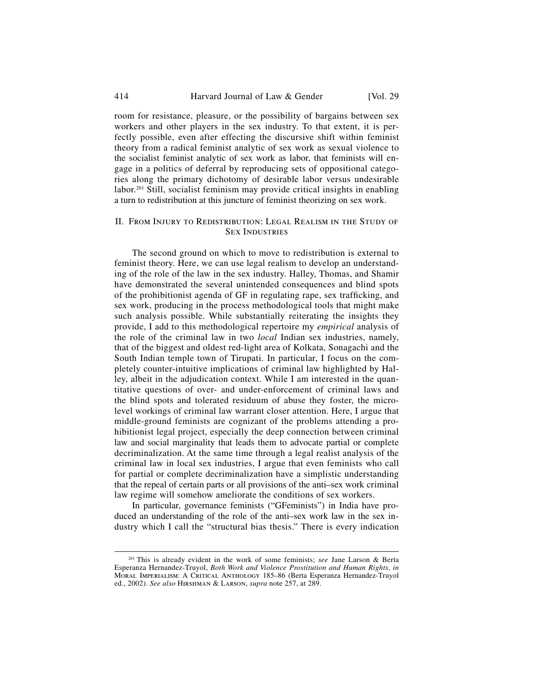#### 414 Harvard Journal of Law & Gender [Vol. 29]

room for resistance, pleasure, or the possibility of bargains between sex workers and other players in the sex industry. To that extent, it is perfectly possible, even after effecting the discursive shift within feminist theory from a radical feminist analytic of sex work as sexual violence to the socialist feminist analytic of sex work as labor, that feminists will engage in a politics of deferral by reproducing sets of oppositional categories along the primary dichotomy of desirable labor versus undesirable labor.<sup>261</sup> Still, socialist feminism may provide critical insights in enabling a turn to redistribution at this juncture of feminist theorizing on sex work.

### II. From Injury to Redistribution: Legal Realism in the Study of Sex Industries

The second ground on which to move to redistribution is external to feminist theory. Here, we can use legal realism to develop an understanding of the role of the law in the sex industry. Halley, Thomas, and Shamir have demonstrated the several unintended consequences and blind spots of the prohibitionist agenda of GF in regulating rape, sex trafficking, and sex work, producing in the process methodological tools that might make such analysis possible. While substantially reiterating the insights they provide, I add to this methodological repertoire my *empirical* analysis of the role of the criminal law in two *local* Indian sex industries, namely, that of the biggest and oldest red-light area of Kolkata, Sonagachi and the South Indian temple town of Tirupati. In particular, I focus on the completely counter-intuitive implications of criminal law highlighted by Halley, albeit in the adjudication context. While I am interested in the quantitative questions of over- and under-enforcement of criminal laws and the blind spots and tolerated residuum of abuse they foster, the microlevel workings of criminal law warrant closer attention. Here, I argue that middle-ground feminists are cognizant of the problems attending a prohibitionist legal project, especially the deep connection between criminal law and social marginality that leads them to advocate partial or complete decriminalization. At the same time through a legal realist analysis of the criminal law in local sex industries, I argue that even feminists who call for partial or complete decriminalization have a simplistic understanding that the repeal of certain parts or all provisions of the anti–sex work criminal law regime will somehow ameliorate the conditions of sex workers.

In particular, governance feminists ("GFeminists") in India have produced an understanding of the role of the anti–sex work law in the sex industry which I call the "structural bias thesis." There is every indication

 <sup>261</sup> This is already evident in the work of some feminists; *see* Jane Larson & Berta Esperanza Hernandez-Truyol, *Both Work and Violence Prostitution and Human Rights*, *in* Moral Imperialism: A Critical Anthology 185–86 (Berta Esperanza Hernandez-Truyol ed., 2002). *See also* Hirshman & Larson, *supra* note 257, at 289.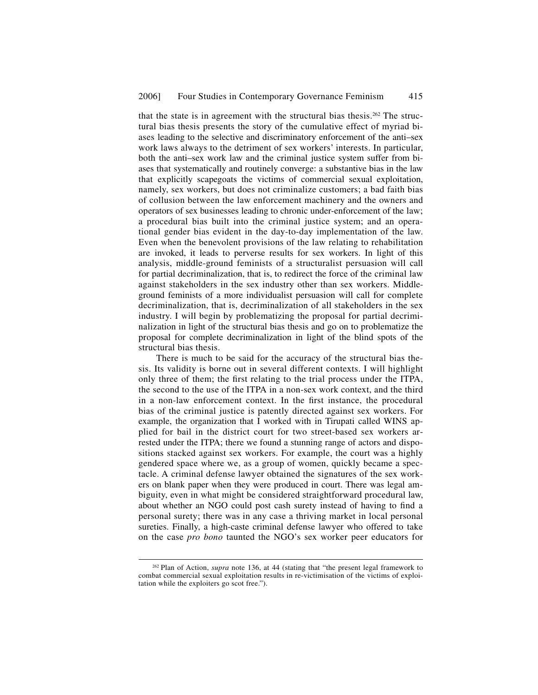that the state is in agreement with the structural bias thesis.<sup>262</sup> The structural bias thesis presents the story of the cumulative effect of myriad biases leading to the selective and discriminatory enforcement of the anti–sex work laws always to the detriment of sex workers' interests. In particular, both the anti–sex work law and the criminal justice system suffer from biases that systematically and routinely converge: a substantive bias in the law that explicitly scapegoats the victims of commercial sexual exploitation, namely, sex workers, but does not criminalize customers; a bad faith bias of collusion between the law enforcement machinery and the owners and operators of sex businesses leading to chronic under-enforcement of the law; a procedural bias built into the criminal justice system; and an operational gender bias evident in the day-to-day implementation of the law. Even when the benevolent provisions of the law relating to rehabilitation are invoked, it leads to perverse results for sex workers. In light of this analysis, middle-ground feminists of a structuralist persuasion will call for partial decriminalization, that is, to redirect the force of the criminal law against stakeholders in the sex industry other than sex workers. Middleground feminists of a more individualist persuasion will call for complete decriminalization, that is, decriminalization of all stakeholders in the sex industry. I will begin by problematizing the proposal for partial decriminalization in light of the structural bias thesis and go on to problematize the proposal for complete decriminalization in light of the blind spots of the structural bias thesis.

There is much to be said for the accuracy of the structural bias thesis. Its validity is borne out in several different contexts. I will highlight only three of them; the first relating to the trial process under the ITPA, the second to the use of the ITPA in a non-sex work context, and the third in a non-law enforcement context. In the first instance, the procedural bias of the criminal justice is patently directed against sex workers. For example, the organization that I worked with in Tirupati called WINS applied for bail in the district court for two street-based sex workers arrested under the ITPA; there we found a stunning range of actors and dispositions stacked against sex workers. For example, the court was a highly gendered space where we, as a group of women, quickly became a spectacle. A criminal defense lawyer obtained the signatures of the sex workers on blank paper when they were produced in court. There was legal ambiguity, even in what might be considered straightforward procedural law, about whether an NGO could post cash surety instead of having to find a personal surety; there was in any case a thriving market in local personal sureties. Finally, a high-caste criminal defense lawyer who offered to take on the case *pro bono* taunted the NGO's sex worker peer educators for

 <sup>262</sup> Plan of Action, *supra* note 136, at 44 (stating that "the present legal framework to combat commercial sexual exploitation results in re-victimisation of the victims of exploitation while the exploiters go scot free.").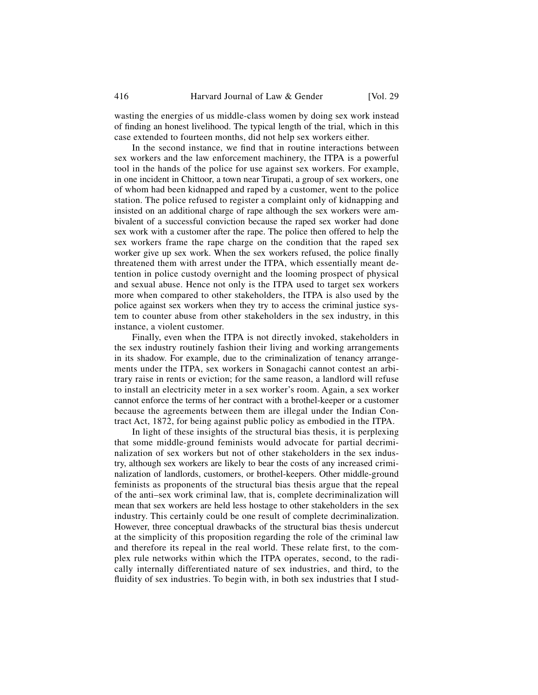wasting the energies of us middle-class women by doing sex work instead of finding an honest livelihood. The typical length of the trial, which in this case extended to fourteen months, did not help sex workers either.

In the second instance, we find that in routine interactions between sex workers and the law enforcement machinery, the ITPA is a powerful tool in the hands of the police for use against sex workers. For example, in one incident in Chittoor, a town near Tirupati, a group of sex workers, one of whom had been kidnapped and raped by a customer, went to the police station. The police refused to register a complaint only of kidnapping and insisted on an additional charge of rape although the sex workers were ambivalent of a successful conviction because the raped sex worker had done sex work with a customer after the rape. The police then offered to help the sex workers frame the rape charge on the condition that the raped sex worker give up sex work. When the sex workers refused, the police finally threatened them with arrest under the ITPA, which essentially meant detention in police custody overnight and the looming prospect of physical and sexual abuse. Hence not only is the ITPA used to target sex workers more when compared to other stakeholders, the ITPA is also used by the police against sex workers when they try to access the criminal justice system to counter abuse from other stakeholders in the sex industry, in this instance, a violent customer.

Finally, even when the ITPA is not directly invoked, stakeholders in the sex industry routinely fashion their living and working arrangements in its shadow. For example, due to the criminalization of tenancy arrangements under the ITPA, sex workers in Sonagachi cannot contest an arbitrary raise in rents or eviction; for the same reason, a landlord will refuse to install an electricity meter in a sex worker's room. Again, a sex worker cannot enforce the terms of her contract with a brothel-keeper or a customer because the agreements between them are illegal under the Indian Contract Act, 1872, for being against public policy as embodied in the ITPA.

In light of these insights of the structural bias thesis, it is perplexing that some middle-ground feminists would advocate for partial decriminalization of sex workers but not of other stakeholders in the sex industry, although sex workers are likely to bear the costs of any increased criminalization of landlords, customers, or brothel-keepers. Other middle-ground feminists as proponents of the structural bias thesis argue that the repeal of the anti–sex work criminal law, that is, complete decriminalization will mean that sex workers are held less hostage to other stakeholders in the sex industry. This certainly could be one result of complete decriminalization. However, three conceptual drawbacks of the structural bias thesis undercut at the simplicity of this proposition regarding the role of the criminal law and therefore its repeal in the real world. These relate first, to the complex rule networks within which the ITPA operates, second, to the radically internally differentiated nature of sex industries, and third, to the fluidity of sex industries. To begin with, in both sex industries that I stud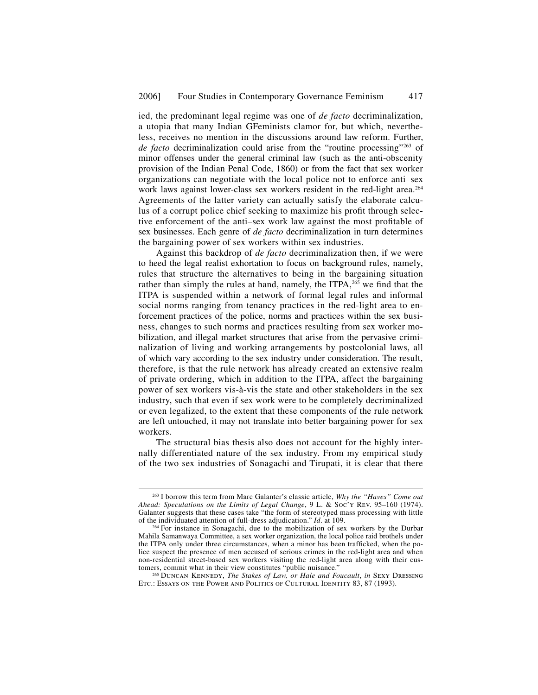ied, the predominant legal regime was one of *de facto* decriminalization, a utopia that many Indian GFeminists clamor for, but which, nevertheless, receives no mention in the discussions around law reform. Further, *de facto* decriminalization could arise from the "routine processing"263 of minor offenses under the general criminal law (such as the anti-obscenity provision of the Indian Penal Code, 1860) or from the fact that sex worker organizations can negotiate with the local police not to enforce anti–sex work laws against lower-class sex workers resident in the red-light area.264 Agreements of the latter variety can actually satisfy the elaborate calculus of a corrupt police chief seeking to maximize his profit through selective enforcement of the anti–sex work law against the most profitable of sex businesses. Each genre of *de facto* decriminalization in turn determines the bargaining power of sex workers within sex industries.

Against this backdrop of *de facto* decriminalization then, if we were to heed the legal realist exhortation to focus on background rules, namely, rules that structure the alternatives to being in the bargaining situation rather than simply the rules at hand, namely, the ITPA,<sup>265</sup> we find that the ITPA is suspended within a network of formal legal rules and informal social norms ranging from tenancy practices in the red-light area to enforcement practices of the police, norms and practices within the sex business, changes to such norms and practices resulting from sex worker mobilization, and illegal market structures that arise from the pervasive criminalization of living and working arrangements by postcolonial laws, all of which vary according to the sex industry under consideration. The result, therefore, is that the rule network has already created an extensive realm of private ordering, which in addition to the ITPA, affect the bargaining power of sex workers vis-à-vis the state and other stakeholders in the sex industry, such that even if sex work were to be completely decriminalized or even legalized, to the extent that these components of the rule network are left untouched, it may not translate into better bargaining power for sex workers.

The structural bias thesis also does not account for the highly internally differentiated nature of the sex industry. From my empirical study of the two sex industries of Sonagachi and Tirupati, it is clear that there

 <sup>263</sup> I borrow this term from Marc Galanter's classic article, *Why the "Haves" Come out Ahead: Speculations on the Limits of Legal Change*, 9 L. & Soc'y Rev. 95–160 (1974). Galanter suggests that these cases take "the form of stereotyped mass processing with little of the individuated attention of full-dress adjudication."  $Id$  at 109.

<sup>&</sup>lt;sup>264</sup> For instance in Sonagachi, due to the mobilization of sex workers by the Durbar Mahila Samanwaya Committee, a sex worker organization, the local police raid brothels under the ITPA only under three circumstances, when a minor has been trafficked, when the police suspect the presence of men accused of serious crimes in the red-light area and when non-residential street-based sex workers visiting the red-light area along with their cus-<br>tomers, commit what in their view constitutes "public nuisance."

<sup>&</sup>lt;sup>265</sup> DUNCAN KENNEDY, The Stakes of Law, or Hale and Foucault, in SEXY DRESSING ETC.: ESSAYS ON THE POWER AND POLITICS OF CULTURAL IDENTITY 83, 87 (1993).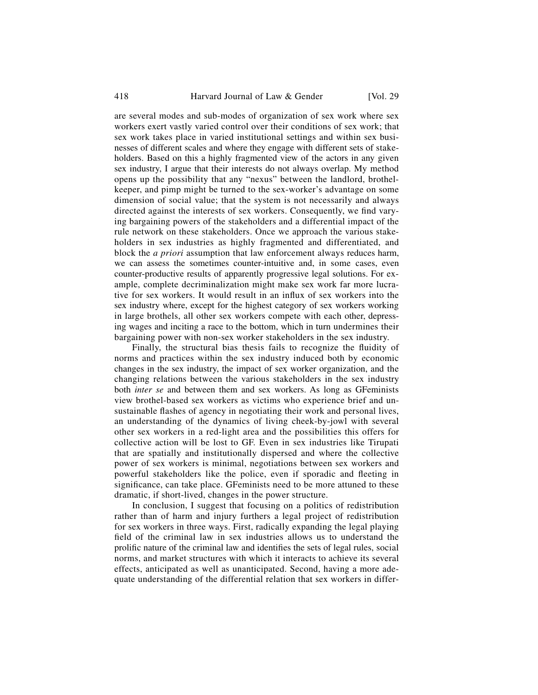are several modes and sub-modes of organization of sex work where sex workers exert vastly varied control over their conditions of sex work; that sex work takes place in varied institutional settings and within sex businesses of different scales and where they engage with different sets of stakeholders. Based on this a highly fragmented view of the actors in any given sex industry, I argue that their interests do not always overlap. My method opens up the possibility that any "nexus" between the landlord, brothelkeeper, and pimp might be turned to the sex-worker's advantage on some dimension of social value; that the system is not necessarily and always directed against the interests of sex workers. Consequently, we find varying bargaining powers of the stakeholders and a differential impact of the rule network on these stakeholders. Once we approach the various stakeholders in sex industries as highly fragmented and differentiated, and block the *a priori* assumption that law enforcement always reduces harm, we can assess the sometimes counter-intuitive and, in some cases, even counter-productive results of apparently progressive legal solutions. For example, complete decriminalization might make sex work far more lucrative for sex workers. It would result in an influx of sex workers into the sex industry where, except for the highest category of sex workers working in large brothels, all other sex workers compete with each other, depressing wages and inciting a race to the bottom, which in turn undermines their bargaining power with non-sex worker stakeholders in the sex industry.

Finally, the structural bias thesis fails to recognize the fluidity of norms and practices within the sex industry induced both by economic changes in the sex industry, the impact of sex worker organization, and the changing relations between the various stakeholders in the sex industry both *inter se* and between them and sex workers. As long as GFeminists view brothel-based sex workers as victims who experience brief and unsustainable flashes of agency in negotiating their work and personal lives, an understanding of the dynamics of living cheek-by-jowl with several other sex workers in a red-light area and the possibilities this offers for collective action will be lost to GF. Even in sex industries like Tirupati that are spatially and institutionally dispersed and where the collective power of sex workers is minimal, negotiations between sex workers and powerful stakeholders like the police, even if sporadic and fleeting in significance, can take place. GFeminists need to be more attuned to these dramatic, if short-lived, changes in the power structure.

In conclusion, I suggest that focusing on a politics of redistribution rather than of harm and injury furthers a legal project of redistribution for sex workers in three ways. First, radically expanding the legal playing field of the criminal law in sex industries allows us to understand the prolific nature of the criminal law and identifies the sets of legal rules, social norms, and market structures with which it interacts to achieve its several effects, anticipated as well as unanticipated. Second, having a more adequate understanding of the differential relation that sex workers in differ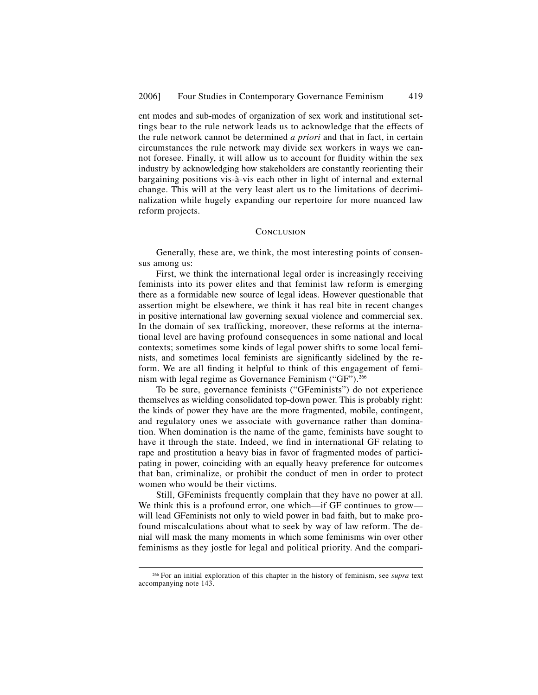ent modes and sub-modes of organization of sex work and institutional settings bear to the rule network leads us to acknowledge that the effects of the rule network cannot be determined *a priori* and that in fact, in certain circumstances the rule network may divide sex workers in ways we cannot foresee. Finally, it will allow us to account for fluidity within the sex industry by acknowledging how stakeholders are constantly reorienting their bargaining positions vis-à-vis each other in light of internal and external change. This will at the very least alert us to the limitations of decriminalization while hugely expanding our repertoire for more nuanced law reform projects.

## **CONCLUSION**

Generally, these are, we think, the most interesting points of consensus among us:

First, we think the international legal order is increasingly receiving feminists into its power elites and that feminist law reform is emerging there as a formidable new source of legal ideas. However questionable that assertion might be elsewhere, we think it has real bite in recent changes in positive international law governing sexual violence and commercial sex. In the domain of sex trafficking, moreover, these reforms at the international level are having profound consequences in some national and local contexts; sometimes some kinds of legal power shifts to some local feminists, and sometimes local feminists are significantly sidelined by the reform. We are all finding it helpful to think of this engagement of feminism with legal regime as Governance Feminism ("GF").<sup>266</sup>

To be sure, governance feminists ("GFeminists") do not experience themselves as wielding consolidated top-down power. This is probably right: the kinds of power they have are the more fragmented, mobile, contingent, and regulatory ones we associate with governance rather than domination. When domination is the name of the game, feminists have sought to have it through the state. Indeed, we find in international GF relating to rape and prostitution a heavy bias in favor of fragmented modes of participating in power, coinciding with an equally heavy preference for outcomes that ban, criminalize, or prohibit the conduct of men in order to protect women who would be their victims.

Still, GFeminists frequently complain that they have no power at all. We think this is a profound error, one which—if GF continues to grow will lead GFeminists not only to wield power in bad faith, but to make profound miscalculations about what to seek by way of law reform. The denial will mask the many moments in which some feminisms win over other feminisms as they jostle for legal and political priority. And the compari-

 <sup>266</sup> For an initial exploration of this chapter in the history of feminism, see *supra* text accompanying note 143.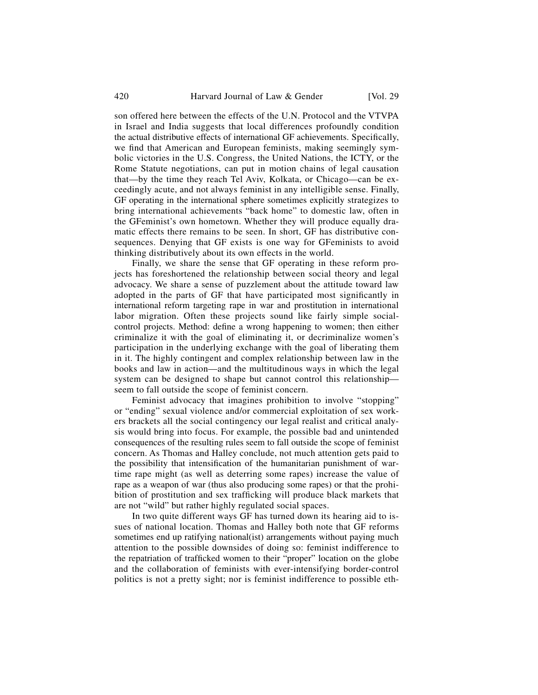son offered here between the effects of the U.N. Protocol and the VTVPA in Israel and India suggests that local differences profoundly condition the actual distributive effects of international GF achievements. Specifically, we find that American and European feminists, making seemingly symbolic victories in the U.S. Congress, the United Nations, the ICTY, or the Rome Statute negotiations, can put in motion chains of legal causation that—by the time they reach Tel Aviv, Kolkata, or Chicago—can be exceedingly acute, and not always feminist in any intelligible sense. Finally, GF operating in the international sphere sometimes explicitly strategizes to bring international achievements "back home" to domestic law, often in the GFeminist's own hometown. Whether they will produce equally dramatic effects there remains to be seen. In short, GF has distributive consequences. Denying that GF exists is one way for GFeminists to avoid thinking distributively about its own effects in the world.

Finally, we share the sense that GF operating in these reform projects has foreshortened the relationship between social theory and legal advocacy. We share a sense of puzzlement about the attitude toward law adopted in the parts of GF that have participated most significantly in international reform targeting rape in war and prostitution in international labor migration. Often these projects sound like fairly simple socialcontrol projects. Method: define a wrong happening to women; then either criminalize it with the goal of eliminating it, or decriminalize women's participation in the underlying exchange with the goal of liberating them in it. The highly contingent and complex relationship between law in the books and law in action—and the multitudinous ways in which the legal system can be designed to shape but cannot control this relationship seem to fall outside the scope of feminist concern.

Feminist advocacy that imagines prohibition to involve "stopping" or "ending" sexual violence and/or commercial exploitation of sex workers brackets all the social contingency our legal realist and critical analysis would bring into focus. For example, the possible bad and unintended consequences of the resulting rules seem to fall outside the scope of feminist concern. As Thomas and Halley conclude, not much attention gets paid to the possibility that intensification of the humanitarian punishment of wartime rape might (as well as deterring some rapes) increase the value of rape as a weapon of war (thus also producing some rapes) or that the prohibition of prostitution and sex trafficking will produce black markets that are not "wild" but rather highly regulated social spaces.

In two quite different ways GF has turned down its hearing aid to issues of national location. Thomas and Halley both note that GF reforms sometimes end up ratifying national(ist) arrangements without paying much attention to the possible downsides of doing so: feminist indifference to the repatriation of trafficked women to their "proper" location on the globe and the collaboration of feminists with ever-intensifying border-control politics is not a pretty sight; nor is feminist indifference to possible eth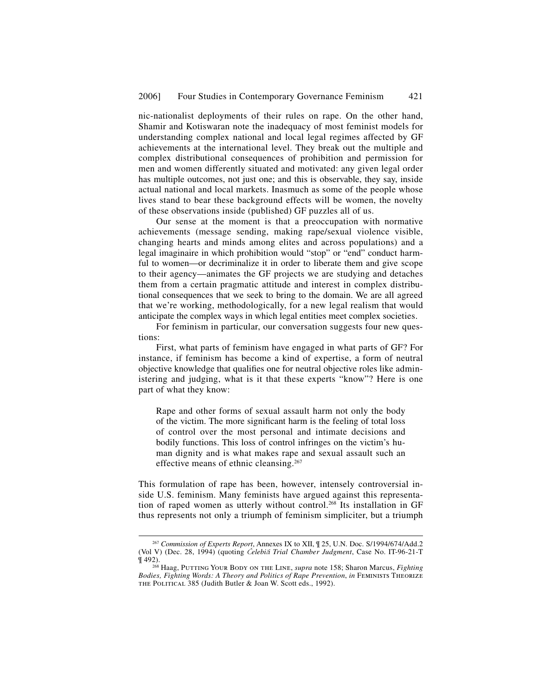nic-nationalist deployments of their rules on rape. On the other hand, Shamir and Kotiswaran note the inadequacy of most feminist models for understanding complex national and local legal regimes affected by GF achievements at the international level. They break out the multiple and complex distributional consequences of prohibition and permission for men and women differently situated and motivated: any given legal order has multiple outcomes, not just one; and this is observable, they say, inside actual national and local markets. Inasmuch as some of the people whose lives stand to bear these background effects will be women, the novelty of these observations inside (published) GF puzzles all of us.

Our sense at the moment is that a preoccupation with normative achievements (message sending, making rape/sexual violence visible, changing hearts and minds among elites and across populations) and a legal imaginaire in which prohibition would "stop" or "end" conduct harmful to women—or decriminalize it in order to liberate them and give scope to their agency—animates the GF projects we are studying and detaches them from a certain pragmatic attitude and interest in complex distributional consequences that we seek to bring to the domain. We are all agreed that we're working, methodologically, for a new legal realism that would anticipate the complex ways in which legal entities meet complex societies.

For feminism in particular, our conversation suggests four new questions:

First, what parts of feminism have engaged in what parts of GF? For instance, if feminism has become a kind of expertise, a form of neutral objective knowledge that qualifies one for neutral objective roles like administering and judging, what is it that these experts "know"? Here is one part of what they know:

Rape and other forms of sexual assault harm not only the body of the victim. The more significant harm is the feeling of total loss of control over the most personal and intimate decisions and bodily functions. This loss of control infringes on the victim's human dignity and is what makes rape and sexual assault such an effective means of ethnic cleansing.<sup>267</sup>

This formulation of rape has been, however, intensely controversial inside U.S. feminism. Many feminists have argued against this representation of raped women as utterly without control.<sup>268</sup> Its installation in GF thus represents not only a triumph of feminism simpliciter, but a triumph

 <sup>267</sup> *Commission of Experts Report*, Annexes IX to XII, ¶ 25, U.N. Doc. S/1994/674/Add.2 (Vol V) (Dec. 28, 1994) (quoting Č*elebi*č*i Trial Chamber Judgment*, Case No. IT-96-21-T

<sup>¶ 492). 268</sup> Haag, Putting Your Body on the Line, *supra* note 158; Sharon Marcus, *Fighting Bodies, Fighting Words: A Theory and Politics of Rape Prevention*, *in* Feminists Theorize THE POLITICAL 385 (Judith Butler & Joan W. Scott eds., 1992).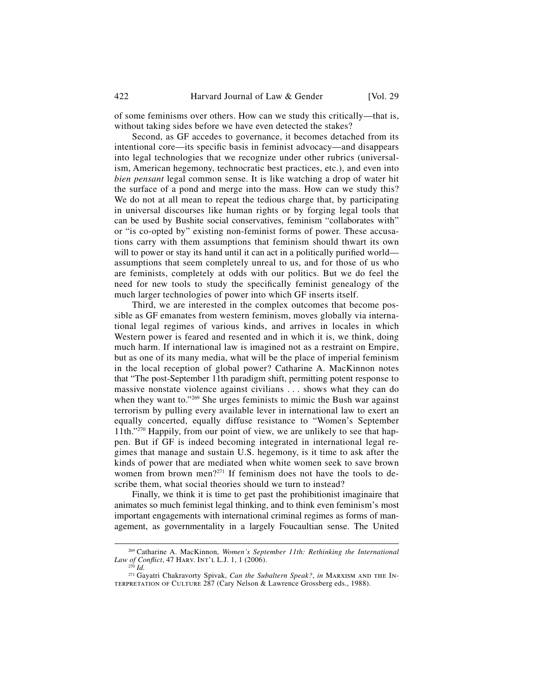of some feminisms over others. How can we study this critically—that is, without taking sides before we have even detected the stakes?

Second, as GF accedes to governance, it becomes detached from its intentional core—its specific basis in feminist advocacy—and disappears into legal technologies that we recognize under other rubrics (universalism, American hegemony, technocratic best practices, etc.), and even into *bien pensant* legal common sense. It is like watching a drop of water hit the surface of a pond and merge into the mass. How can we study this? We do not at all mean to repeat the tedious charge that, by participating in universal discourses like human rights or by forging legal tools that can be used by Bushite social conservatives, feminism "collaborates with" or "is co-opted by" existing non-feminist forms of power. These accusations carry with them assumptions that feminism should thwart its own will to power or stay its hand until it can act in a politically purified world assumptions that seem completely unreal to us, and for those of us who are feminists, completely at odds with our politics. But we do feel the need for new tools to study the specifically feminist genealogy of the much larger technologies of power into which GF inserts itself.

Third, we are interested in the complex outcomes that become possible as GF emanates from western feminism, moves globally via international legal regimes of various kinds, and arrives in locales in which Western power is feared and resented and in which it is, we think, doing much harm. If international law is imagined not as a restraint on Empire, but as one of its many media, what will be the place of imperial feminism in the local reception of global power? Catharine A. MacKinnon notes that "The post-September 11th paradigm shift, permitting potent response to massive nonstate violence against civilians . . . shows what they can do when they want to."<sup>269</sup> She urges feminists to mimic the Bush war against terrorism by pulling every available lever in international law to exert an equally concerted, equally diffuse resistance to "Women's September 11th."270 Happily, from our point of view, we are unlikely to see that happen. But if GF is indeed becoming integrated in international legal regimes that manage and sustain U.S. hegemony, is it time to ask after the kinds of power that are mediated when white women seek to save brown women from brown men?271 If feminism does not have the tools to describe them, what social theories should we turn to instead?

Finally, we think it is time to get past the prohibitionist imaginaire that animates so much feminist legal thinking, and to think even feminism's most important engagements with international criminal regimes as forms of management, as governmentality in a largely Foucaultian sense. The United

 <sup>269</sup> Catharine A. MacKinnon, *Women's September 11th: Rethinking the International Law of Conflict*, 47 Harv. Int'l L.J. 1, 1 (2006). <sup>270</sup> *Id.* 

<sup>&</sup>lt;sup>271</sup> Gayatri Chakravorty Spivak, *Can the Subaltern Speak?*, *in* MARXISM AND THE IN-TERPRETATION OF CULTURE 287 (Cary Nelson & Lawrence Grossberg eds., 1988).